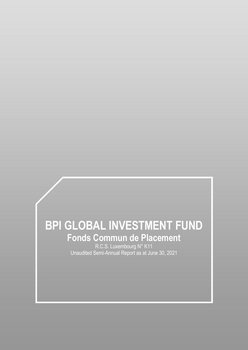# **BPI GLOBAL INVESTMENT FUND Fonds Commun de Placement**

R.C.S. Luxembourg N° K11 Unaudited Semi-Annual Report as at June 30, 2021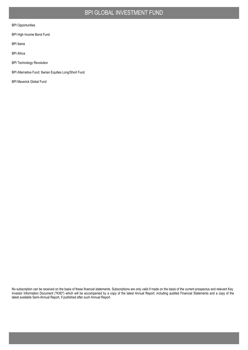#### BPI Opportunities

BPI High Income Bond Fund

BPI Iberia

BPI Africa

BPI Technology Revolution

BPI Alternative Fund: Iberian Equities Long/Short Fund

BPI Maverick Global Fund

No subscription can be received on the basis of these financial statements. Subscriptions are only valid if made on the basis of the current prospectus and relevant Key Investor Information Document ("KIID") which will be accompanied by a copy of the latest Annual Report, including audited Financial Statements and a copy of the latest available Semi-Annual Report, if published after such Annual Report.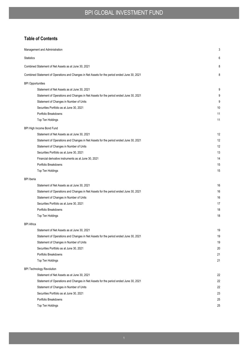## **Table of Contents**

| Management and Administration                                                                 | 3  |
|-----------------------------------------------------------------------------------------------|----|
| <b>Statistics</b>                                                                             | 6  |
| Combined Statement of Net Assets as at June 30, 2021                                          | 8  |
| Combined Statement of Operations and Changes in Net Assets for the period ended June 30, 2021 | 8  |
| <b>BPI Opportunities</b>                                                                      |    |
| Statement of Net Assets as at June 30, 2021                                                   | 9  |
| Statement of Operations and Changes in Net Assets for the period ended June 30, 2021          | 9  |
| Statement of Changes in Number of Units                                                       | 9  |
| Securities Portfolio as at June 30, 2021                                                      | 10 |
| Portfolio Breakdowns                                                                          | 11 |
| Top Ten Holdings                                                                              | 11 |
| BPI High Income Bond Fund                                                                     |    |
| Statement of Net Assets as at June 30, 2021                                                   | 12 |
| Statement of Operations and Changes in Net Assets for the period ended June 30, 2021          | 12 |
| Statement of Changes in Number of Units                                                       | 12 |
| Securities Portfolio as at June 30, 2021                                                      | 13 |
| Financial derivative instruments as at June 30, 2021                                          | 14 |
| Portfolio Breakdowns                                                                          | 15 |
| Top Ten Holdings                                                                              | 15 |
| <b>BPI</b> Iberia                                                                             |    |
| Statement of Net Assets as at June 30, 2021                                                   | 16 |
| Statement of Operations and Changes in Net Assets for the period ended June 30, 2021          | 16 |
| Statement of Changes in Number of Units                                                       | 16 |
| Securities Portfolio as at June 30, 2021                                                      | 17 |
| Portfolio Breakdowns                                                                          | 18 |
| Top Ten Holdings                                                                              | 18 |
| <b>BPI Africa</b>                                                                             |    |
| Statement of Net Assets as at June 30, 2021                                                   | 19 |
| Statement of Operations and Changes in Net Assets for the period ended June 30, 2021          | 19 |
| Statement of Changes in Number of Units                                                       | 19 |
| Securities Portfolio as at June 30, 2021                                                      | 20 |
| Portfolio Breakdowns                                                                          | 21 |
| Top Ten Holdings                                                                              | 21 |
| <b>BPI Technology Revolution</b>                                                              |    |
| Statement of Net Assets as at June 30, 2021                                                   | 22 |
| Statement of Operations and Changes in Net Assets for the period ended June 30, 2021          | 22 |
| Statement of Changes in Number of Units                                                       | 22 |
| Securities Portfolio as at June 30, 2021                                                      | 23 |
| Portfolio Breakdowns                                                                          | 25 |
| Top Ten Holdings                                                                              | 25 |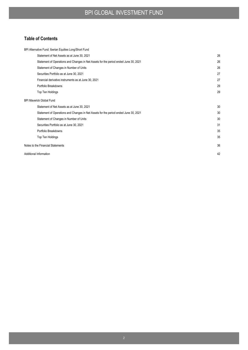## **Table of Contents**

| BPI Alternative Fund: Iberian Equities Long/Short Fund                               |    |
|--------------------------------------------------------------------------------------|----|
| Statement of Net Assets as at June 30, 2021                                          | 26 |
| Statement of Operations and Changes in Net Assets for the period ended June 30, 2021 | 26 |
| Statement of Changes in Number of Units                                              | 26 |
| Securities Portfolio as at June 30, 2021                                             | 27 |
| Financial derivative instruments as at June 30, 2021                                 | 27 |
| Portfolio Breakdowns                                                                 | 29 |
| Top Ten Holdings                                                                     | 29 |
| <b>BPI Maverick Global Fund</b>                                                      |    |
| Statement of Net Assets as at June 30, 2021                                          | 30 |
| Statement of Operations and Changes in Net Assets for the period ended June 30, 2021 | 30 |
| Statement of Changes in Number of Units                                              | 30 |
| Securities Portfolio as at June 30, 2021                                             | 31 |
| Portfolio Breakdowns                                                                 | 35 |
| Top Ten Holdings                                                                     | 35 |
| Notes to the Financial Statements                                                    | 36 |
| Additional Information                                                               | 42 |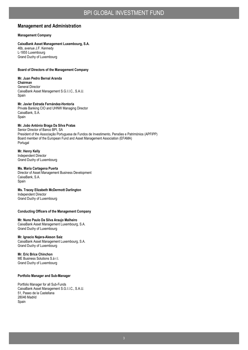#### **Management and Administration**

#### **Management Company**

#### **CaixaBank Asset Management Luxembourg, S.A.**

46b, avenue J.F. Kennedy L-1855 Luxembourg Grand Duchy of Luxembourg

#### **Board of Directors of the Management Company**

#### **Mr. Juan Pedro Bernal Aranda Chairman** General Director CaixaBank Asset Management S.G.I.I.C., S.A.U. Spain

**Mr. Javier Estrada Fernández-Hontoria** Private Banking CIO and UHNW Managing Director CaixaBank, S.A. Spain

#### **Mr. João António Braga Da Silva Pratas**

Senior Director of Banco BPI, SA President of the Associação Portuguesa de Fundos de Investimento, Pensões e Patrimónios (APFIPP) Board member of the European Fund and Asset Management Association (EFAMA) Portugal

**Mr. Henry Kelly** Independent Director Grand Duchy of Luxembourg

#### **Ms. Maria Cartagena Puerta**

Director of Asset Management Business Development CaixaBank, S.A. Spain

**Ms. Tracey Elizabeth McDermott Darlington** Independent Director Grand Duchy of Luxembourg

#### **Conducting Officers of the Management Company**

#### **Mr. Nuno Paulo Da Silva Araujo Malheiro**

CaixaBank Asset Management Luxembourg, S.A. Grand Duchy of Luxembourg

#### **Mr. Ignacio Najera-Aleson Saiz**

CaixaBank Asset Management Luxembourg, S.A. Grand Duchy of Luxembourg

#### **Mr. Eric Brice Chinchon**

ME Business Solutions S.à r.l. Grand Duchy of Luxembourg

#### **Portfolio Manager and Sub-Manager**

Portfolio Manager for all Sub-Funds CaixaBank Asset Management S.G.I.I.C., S.A.U. 51, Paseo de la Castellana 28046 Madrid Spain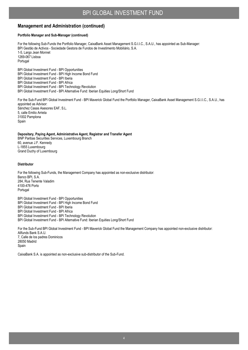#### **Management and Administration (continued)**

#### **Portfolio Manager and Sub-Manager (continued)**

For the following Sub-Funds the Portfolio Manager, CaixaBank Asset Management S.G.I.I.C., S.A.U., has appointed as Sub-Manager: BPI Gestão de Activos - Sociedade Gestora de Fundos de Investimento Mobiliário, S.A. 1-5, Largo Jean Monnet 1269-067 Lisboa Portugal

BPI Global Investment Fund - BPI Opportunities BPI Global Investment Fund - BPI High Income Bond Fund BPI Global Investment Fund - BPI Iberia BPI Global Investment Fund - BPI Africa BPI Global Investment Fund - BPI Technology Revolution BPI Global Investment Fund - BPI Alternative Fund: Iberian Equities Long/Short Fund

For the Sub-Fund BPI Global Investment Fund - BPI Maverick Global Fund the Portfolio Manager, CaixaBank Asset Management S.G.I.I.C., S.A.U., has appointed as Advisor: Sánchez Casas Asesores EAF, S.L. 5, calle Emilio Arrieta 31002 Pamplona Spain

#### **Depositary, Paying Agent, Administrative Agent, Registrar and Transfer Agent**

BNP Paribas Securities Services, Luxembourg Branch 60, avenue J.F. Kennedy L-1855 Luxembourg Grand Duchy of Luxembourg

#### **Distributor**

For the following Sub-Funds, the Management Company has appointed as non-exclusive distributor: Banco BPI, S.A. 284, Rua Tenente Valadim 4100-476 Porto Portugal

BPI Global Investment Fund - BPI Opportunities BPI Global Investment Fund - BPI High Income Bond Fund BPI Global Investment Fund - BPI Iberia BPI Global Investment Fund - BPI Africa BPI Global Investment Fund - BPI Technology Revolution BPI Global Investment Fund - BPI Alternative Fund: Iberian Equities Long/Short Fund

For the Sub-Fund BPI Global Investment Fund - BPI Maverick Global Fund the Management Company has appointed non-exclusive distributor: Allfunds Bank S.A.U. 7, Calle de los padres Dominicos 28050 Madrid Spain

CaixaBank S.A. is appointed as non-exclusive sub-distributor of the Sub-Fund.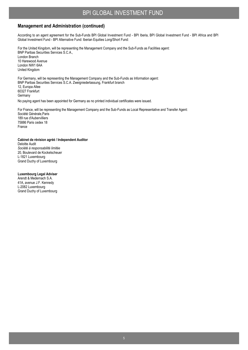#### **Management and Administration (continued)**

According to an agent agreement for the Sub-Funds BPI Global Investment Fund - BPI Iberia, BPI Global Investment Fund - BPI Africa and BPI Global Investment Fund - BPI Alternative Fund: Iberian Equities Long/Short Fund:

For the United Kingdom, will be representing the Management Company and the Sub-Funds as Facilities agent: BNP Paribas Securities Services S.C.A., London Branch 10 Harewood Avenue London NW1 6AA United Kingdom

For Germany, will be representing the Management Company and the Sub-Funds as Information agent: BNP Paribas Securities Services S.C.A. Zweigniederlassung, Frankfurt branch 12, Europa Allee 60327 Frankfurt **Germany** No paying agent has been appointed for Germany as no printed individual certificates were issued.

For France, will be representing the Management Company and the Sub-Funds as Local Representative and Transfer Agent: Société Générale,Paris 189 rue d'Aubervilliers 75886 Paris cedex 18 France

**Cabinet de révision agréé / Independent Auditor** Deloitte Audit *Société à responsabilité limitée*

20, Boulevard de Kockelscheuer L-1821 Luxembourg Grand Duchy of Luxembourg

**Luxembourg Legal Adviser**

Arendt & Medernach S.A. 41A, avenue J.F. Kennedy L-2082 Luxembourg Grand Duchy of Luxembourg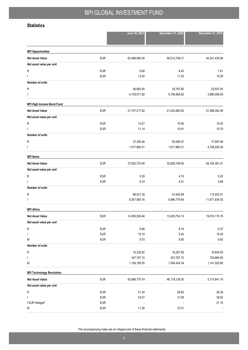### **Statistics**

|                                  |                          | June 30, 2021 | December 31, 2020 | December 31, 2019 |
|----------------------------------|--------------------------|---------------|-------------------|-------------------|
| <b>BPI Opportunities</b>         |                          |               |                   |                   |
| <b>Net Asset Value</b>           | <b>EUR</b>               | 63,469,590.00 | 66,512,749.31     | 40,241,430.88     |
| Net asset value per unit         |                          |               |                   |                   |
| R                                | <b>EUR</b>               | 9.68          | 8.43              | 7.61              |
| T                                | <b>EUR</b>               | 13.30         | 11.52             | 10.29             |
| <b>Number of units</b>           |                          |               |                   |                   |
| R                                |                          | 46,682.45     | 35,787.65         | 25,937.55         |
|                                  |                          | 4,738,071.82  | 5,746,906.82      | 3,890,056.09      |
| <b>BPI High Income Bond Fund</b> |                          |               |                   |                   |
| <b>Net Asset Value</b>           | <b>EUR</b>               | 21,747,217.92 | 21,242,800.82     | 51,588,382.49     |
| Net asset value per unit         |                          |               |                   |                   |
| ${\sf R}$                        | <b>EUR</b>               | 10.27         | 10.00             | 10.03             |
|                                  | <b>EUR</b>               | 11.14         | 10.81             | 10.79             |
| <b>Number of units</b>           |                          |               |                   |                   |
| R                                |                          | 37,355.94     | 50,906.47         | 77,897.68         |
|                                  |                          | 1,917,860.51  | 1,917,860.51      | 4,709,036.39      |
| <b>BPI</b> Iberia                |                          |               |                   |                   |
| <b>Net Asset Value</b>           | <b>EUR</b>               | 37,820,753.94 | 32,826,749.65     | 69,154,361.21     |
| Net asset value per unit         |                          |               |                   |                   |
| R                                | <b>EUR</b>               | 5.39          | 4.74              | 5.20              |
|                                  | <b>EUR</b>               | 6.18          | 5.41              | 5.88              |
| <b>Number of units</b>           |                          |               |                   |                   |
| R                                |                          | 68,521.39     | 81,640.98         | 112,453.51        |
| ı                                |                          | 6,057,955.16  | 5,996,778.64      | 11,671,834.35     |
| <b>BPI Africa</b>                |                          |               |                   |                   |
| <b>Net Asset Value</b>           | <b>EUR</b>               | 14,385,528.46 | 13,029,754.13     | 19,074,175.76     |
| Net asset value per unit         |                          |               |                   |                   |
| R                                | <b>EUR</b>               | 8.89          | 8.19              | 9.37              |
| ı                                | <b>EUR</b>               | 10.10         | 9.24              | 10.40             |
| M                                | <b>EUR</b>               | 9.70          | 8.85              | 9.92              |
| <b>Number of units</b>           |                          |               |                   |                   |
| ${\sf R}$                        |                          | 16,320.82     | 16,287.85         | 16,836.55         |
| T                                |                          | 347,767.10    | 347,767.10        | 729,884.85        |
| Μ                                |                          | 1,106,185.05  | 1,094,434.34      | 1,141,520.60      |
| <b>BPI Technology Revolution</b> |                          |               |                   |                   |
| <b>Net Asset Value</b>           | <b>EUR</b>               | 83,666,770.74 | 46,119,139.50     | 5,715,841.79      |
| Net asset value per unit         |                          |               |                   |                   |
| ${\sf R}$                        | <b>EUR</b>               | 31.34         | 28.85             | 26.29             |
| T                                | <b>EUR</b>               | 34.57         | 31.69             | 28.62             |
| I EUR Hedged*<br>М               | <b>EUR</b><br><b>EUR</b> | 11.26         | 10.31             | 21.16             |
|                                  |                          |               |                   |                   |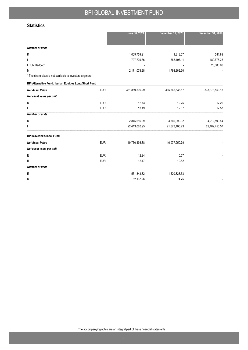### **Statistics**

|                                                          | June 30, 2021  | December 31, 2020 | December 31, 2019 |
|----------------------------------------------------------|----------------|-------------------|-------------------|
|                                                          |                |                   |                   |
| <b>Number of units</b>                                   |                |                   |                   |
| R                                                        | 1,009,759.21   | 1,813.57          | 581.89            |
|                                                          | 797,739.36     | 868,497.11        | 180,678.28        |
| I EUR Hedged*                                            |                |                   | 25,000.00         |
| M                                                        | 2,171,078.28   | 1,798,362.30      |                   |
| * The share class is not available to investors anymore. |                |                   |                   |
| BPI Alternative Fund: Iberian Equities Long/Short Fund   |                |                   |                   |
| <b>EUR</b><br><b>Net Asset Value</b>                     | 331,889,590.29 | 315,866,633.57    | 333,878,553.15    |
| Net asset value per unit                                 |                |                   |                   |
| <b>EUR</b><br>R                                          | 12.73          | 12.25             | 12.20             |
| <b>EUR</b>                                               | 13.19          | 12.67             | 12.57             |
| <b>Number of units</b>                                   |                |                   |                   |
| R                                                        | 2,845,616.09   | 3,366,099.02      | 4,212,590.54      |
|                                                          | 22,413,020.95  | 21,673,405.23     | 22,482,450.57     |
| <b>BPI Maverick Global Fund</b>                          |                |                   |                   |
| <b>EUR</b><br><b>Net Asset Value</b>                     | 19,750,498.88  | 16,077,250.79     |                   |
| Net asset value per unit                                 |                |                   |                   |
| Е<br><b>EUR</b>                                          | 12.24          | 10.57             |                   |
| <b>EUR</b><br>R                                          | 12.17          | 10.52             |                   |
| <b>Number of units</b>                                   |                |                   |                   |
| Е                                                        | 1,531,843.82   | 1,520,823.53      |                   |
| R                                                        | 82,137.26      | 74.75             |                   |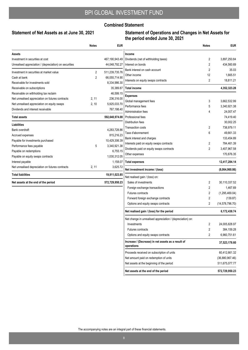#### **Combined Statement**

#### **Statement of Net Assets as at June 30, 2021**

#### **Statement of Operations and Changes in Net Assets for the period ended June 30, 2021**

|                                                        | <b>Notes</b> | <b>EUR</b>     |                                                                  | <b>Notes</b>   | <b>EUR</b>        |
|--------------------------------------------------------|--------------|----------------|------------------------------------------------------------------|----------------|-------------------|
| Assets                                                 |              |                | Income                                                           |                |                   |
| Investment in securities at cost                       |              | 467,190,943.49 | Dividends (net of withholding taxes)                             | 2              | 3,897,250.84      |
| Unrealised appreciation / (depreciation) on securities |              | 44,048,792.27  | Interest on bonds                                                | 2              | 434,560.69        |
| Investment in securities at market value               | 2            | 511,239,735.76 | Bank interest on cash account                                    | $\overline{2}$ | 35.03             |
| Cash at bank                                           | 2            | 66,055,714.90  | Other income                                                     | 12             | 1,665.51          |
| Receivable for investments sold                        |              | 8,334,986.30   | Interests on equity swaps contracts                              | $\overline{2}$ | 18,811.21         |
| Receivable on subscriptions                            |              | 35,389.87      | <b>Total income</b>                                              |                | 4,352,323.28      |
| Receivable on withholding tax reclaim                  |              | 46,599.15      |                                                                  |                |                   |
| Net unrealised appreciation on futures contracts       | 2, 11        | 236,316.00     | <b>Expenses</b>                                                  |                |                   |
| Net unrealised appreciation on equity swaps            | 2, 10        | 5,925,033.70   | Global management fees                                           | 3              | 3,662,532.99      |
| Dividends and interest receivable                      |              | 767,198.40     | Performance fees                                                 | 5              | 3,340,921.38      |
|                                                        |              |                | Administration fees                                              | 4              | 24,007.47         |
| <b>Total assets</b>                                    |              | 592,640,974.08 | Professional fees                                                |                | 74,419.40         |
| Liabilities                                            |              |                | Distribution fees                                                |                | 30,002.25         |
| Bank overdraft                                         |              | 4,283,728.86   | <b>Transaction costs</b>                                         | 2              | 738,979.11        |
| Accrued expenses                                       |              | 815,216.23     | Taxe d'abonnement                                                | 6              | 49.661.33         |
| Payable for investments purchased                      |              | 10,429,306.39  | Bank interest and charges                                        |                | 133,454.89        |
| Performance fees payable                               | 5            | 3,340,921.38   | Interests paid on equity swaps contracts                         | 2              | 784,461.39        |
| Payable on redemptions                                 |              | 6,755.15       | Dividends paid on equity swaps contracts                         | 2              | 3,407,967.58      |
| Payable on equity swaps contracts                      |              | 1,030,312.05   | Other expenses                                                   |                | 170,876.35        |
| Interest payable                                       |              | 1,158.07       | <b>Total expenses</b>                                            |                | 12,417,284.14     |
| Net unrealised depreciation on futures contracts       | 2, 11        | 3,625.72       | Net investment income / (loss)                                   |                | (8,064,960.86)    |
| <b>Total liabilities</b>                               |              | 19,911,023.85  | Net realised gain / (loss) on:                                   |                |                   |
| Net assets at the end of the period                    |              | 572,729,950.23 | Sales of investments                                             | 2              | 30,110,337.52     |
|                                                        |              |                | Foreign exchange transactions                                    | 2              | 1,467.69          |
|                                                        |              |                | <b>Futures contracts</b>                                         | 2              | (1, 295, 469.04)  |
|                                                        |              |                | Forward foreign exchange contracts                               | 2              | (139.87)          |
|                                                        |              |                | Options and equity swaps contracts                               | 2              | (14, 578, 796.70) |
|                                                        |              |                | Net realised gain / (loss) for the period                        |                | 6,172,438.74      |
|                                                        |              |                | Net change in unrealised appreciation / (depreciation) on:       |                |                   |
|                                                        |              |                | Investments                                                      | 2              | 24,005,828.97     |
|                                                        |              |                | <b>Futures contracts</b>                                         | 2              | 384,159.28        |
|                                                        |              |                | Options and equity swaps contracts                               | 2              | 6,960,751.61      |
|                                                        |              |                | Increase / (Decrease) in net assets as a result of<br>operations |                | 37,523,178.60     |
|                                                        |              |                | Proceeds received on subscription of units                       |                | 60,412,661.32     |
|                                                        |              |                | Net amount paid on redemption of units                           |                | (36,880,967.46)   |
|                                                        |              |                | Net assets at the beginning of the period                        |                | 511,675,077.77    |
|                                                        |              |                | Net assets at the end of the period                              |                | 572,729,950.23    |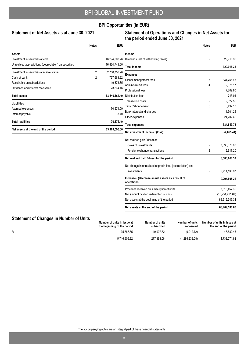### **BPI Opportunities (in EUR)**

#### Statement of Net Assets as at June 30, 2021

### **Statement of Operations and Changes in Net Assets for the period ended June 30, 2021**

|                                                        | <b>Notes</b>   | <b>EUR</b>    |                                                                  | <b>Notes</b>   | <b>EUR</b>      |
|--------------------------------------------------------|----------------|---------------|------------------------------------------------------------------|----------------|-----------------|
| Assets                                                 |                |               | Income                                                           |                |                 |
| Investment in securities at cost                       |                | 46,294,008.76 | Dividends (net of withholding taxes)                             | 2              | 329,918.35      |
| Unrealised appreciation / (depreciation) on securities |                | 16,464,749.50 | <b>Total income</b>                                              |                | 329,918.35      |
| Investment in securities at market value               | $\overline{2}$ | 62,758,758.26 | <b>Expenses</b>                                                  |                |                 |
| Cash at bank                                           | $\overline{2}$ | 737,663.22    | Global management fees                                           | 3              | 334,756.45      |
| Receivable on subscriptions                            |                | 19,878.85     | Administration fees                                              | 4              | 2.075.17        |
| Dividends and interest receivable                      |                | 23,864.16     | Professional fees                                                |                | 7.809.90        |
| <b>Total assets</b>                                    |                | 63,540,164.49 | <b>Distribution fees</b>                                         |                | 743.91          |
| <b>Liabilities</b>                                     |                |               | <b>Transaction costs</b>                                         | 2              | 9,822.56        |
|                                                        |                | 70,571.09     | Taxe d'abonnement                                                | 6              | 3,432.10        |
| Accrued expenses<br>Interest payable                   |                | 3.40          | Bank interest and charges                                        |                | 1,701.25        |
|                                                        |                |               | Other expenses                                                   |                | 24,202.42       |
| <b>Total liabilities</b>                               |                | 70,574.49     | <b>Total expenses</b>                                            |                | 384,543.76      |
| Net assets at the end of the period                    |                | 63,469,590.00 | Net investment income / (loss)                                   |                | (54, 625.41)    |
|                                                        |                |               | Net realised gain / (loss) on:                                   |                |                 |
|                                                        |                |               | Sales of investments                                             | $\overline{2}$ | 3,635,676.60    |
|                                                        |                |               | Foreign exchange transactions                                    | $\overline{2}$ | 2,617.20        |
|                                                        |                |               | Net realised gain / (loss) for the period                        |                | 3,583,668.39    |
|                                                        |                |               | Net change in unrealised appreciation / (depreciation) on:       |                |                 |
|                                                        |                |               | Investments                                                      | 2              | 5,711,136.87    |
|                                                        |                |               | Increase / (Decrease) in net assets as a result of<br>operations |                | 9,294,805.26    |
|                                                        |                |               | Proceeds received on subscription of units                       |                | 3,616,457.30    |
|                                                        |                |               | Net amount paid on redemption of units                           |                | (15,954,421.87) |
|                                                        |                |               | Net assets at the beginning of the period                        |                | 66,512,749.31   |
|                                                        |                |               | Net assets at the end of the period                              |                | 63,469,590.00   |

## **Statement of Changes in Number of Units**

| Statement of Unanges in Number of Units | Number of units in issue at<br>the beginning of the period | Number of units<br>subscribed | Number of units<br>redeemed | Number of units in issue at<br>the end of the period |
|-----------------------------------------|------------------------------------------------------------|-------------------------------|-----------------------------|------------------------------------------------------|
| R                                       | 35.787.65                                                  | 19.907.52                     | (9.012.72)                  | 46.682.45                                            |
|                                         | 5.746.906.82                                               | 277.398.08                    | (1,286,233.08)              | 4.738.071.82                                         |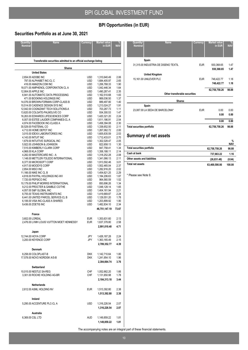## **BPI Opportunities (in EUR)**

## **Securities Portfolio as at June 30, 2021**

| Quantity/<br><b>Nominal</b>                                      | <b>Name</b>                                                            | Currency          | Market value<br>in EUR       | <b>NAV</b>   |  |  |  |
|------------------------------------------------------------------|------------------------------------------------------------------------|-------------------|------------------------------|--------------|--|--|--|
|                                                                  |                                                                        |                   |                              |              |  |  |  |
| Transferable securities admitted to an official exchange listing |                                                                        |                   |                              |              |  |  |  |
|                                                                  | Shares                                                                 |                   |                              |              |  |  |  |
|                                                                  | <b>United States</b>                                                   |                   |                              |              |  |  |  |
|                                                                  | 2,654.00 ADOBE INC                                                     | <b>USD</b>        | 1,310,640.49                 | 2.06         |  |  |  |
|                                                                  | 797.00 ALPHABET INC-CL C                                               | USD               | 1,684,405.97                 | 2.65         |  |  |  |
|                                                                  | 416.00 AMAZON.COM INC                                                  | USD               | 1,206,768.33                 | 1.90         |  |  |  |
|                                                                  | 18,071.00 AMPHENOL CORPORATION CL A<br>12,904.00 APPLE INC             | USD<br><b>USD</b> | 1,042,446.34<br>1,490,287.41 | 1.64<br>2.35 |  |  |  |
|                                                                  | 6,941.00 AUTOMATIC DATA PROCESSING                                     | <b>USD</b>        | 1,162,510.68                 | 1.83         |  |  |  |
|                                                                  | 471.00 BOOKING HOLDINGS INC                                            | USD               | 869,036.50                   | 1.37         |  |  |  |
|                                                                  | 14,076.00 BROWN-FORMAN CORP-CLASS B                                    | USD               | 889,497.80                   | 1.40         |  |  |  |
|                                                                  | 10,514.00 CADENCE DESIGN SYS INC                                       | USD               | 1,213,024.27                 | 1.91         |  |  |  |
|                                                                  | 12,042.00 COGNIZANT TECH SOLUTIONS-A<br>13,620.00 COLGATE-PALMOLIVE CO | USD<br><b>USD</b> | 703,287.73<br>934,300.53     | 1.11<br>1.47 |  |  |  |
|                                                                  | 16,263.00 EDWARDS LIFESCIENCES CORP                                    | USD               | 1,420,321.20                 | 2.24         |  |  |  |
|                                                                  | 6,007.00 ESTEE LAUDER COMPANIES-CL A                                   | <b>USD</b>        | 1,611,186.91                 | 2.54         |  |  |  |
|                                                                  | 4,974.00 FACEBOOK INC-CLASS A                                          | USD               | 1,458,394.08                 | 2.30         |  |  |  |
|                                                                  | 30,529.00 FASTENAL CO<br>4,712.00 HOME DEPOT INC                       | USD<br>USD        | 1,338,652.50<br>1,267,062.72 | 2.11<br>2.00 |  |  |  |
|                                                                  | 3,015.00 IDEXX LABORATORIES INC                                        | USD               | 1,605,635.59                 | 2.53         |  |  |  |
|                                                                  | 4,143.00 INTUIT INC                                                    | <b>USD</b>        | 1,712,433.01                 | 2.70         |  |  |  |
|                                                                  | 1,679.00 INTUITIVE SURGICAL INC                                        | <b>USD</b>        | 1,302,028.47                 | 2.05         |  |  |  |
|                                                                  | 5,922.00 JOHNSON & JOHNSON                                             | USD               | 822,658.13                   | 1.30         |  |  |  |
|                                                                  | 7,515.00 KIMBERLY-CLARK CORP<br>4.968.00 KLA CORP                      | USD<br>USD        | 847,758.41<br>1,358,188.11   | 1.34<br>2.14 |  |  |  |
|                                                                  | 4,282.00 MASTERCARD INC - A                                            | <b>USD</b>        | 1,318,252.28                 | 2.08         |  |  |  |
|                                                                  | 1,148.00 METTLER-TOLEDO INTERNATIONAL                                  | USD               | 1,341,066.13                 | 2.11         |  |  |  |
|                                                                  | 8,377.00 MICROSOFT CORP                                                | <b>USD</b>        | 1,913,592.46                 | 3.01         |  |  |  |
|                                                                  | 4,917.00 MOODYS CORP                                                   | USD               | 1,502,465.04                 | 2.37         |  |  |  |
|                                                                  | 2,854.00 MSCI INC<br>11,166.00 NIKE INC CL B                           | USD<br>USD        | 1,282,916.20<br>1,454,621.25 | 2.02<br>2.29 |  |  |  |
|                                                                  | 4,818.00 PAYPAL HOLDINGS INC-W/I                                       | <b>USD</b>        | 1,184,206.63                 | 1.87         |  |  |  |
|                                                                  | 7,720.00 PEPSICO INC                                                   | USD               | 964,560.59                   | 1.52         |  |  |  |
|                                                                  | 10,179.00 PHILIP MORRIS INTERNATIONAL                                  | USD               | 850,696.26                   | 1.34         |  |  |  |
|                                                                  | 9,212.00 PROCTER & GAMBLE CO/THE<br>4,057.00 S&P GLOBAL INC            | USD<br>USD        | 1,048,128.14<br>1,404,161.94 | 1.65<br>2.21 |  |  |  |
|                                                                  | 8,755.00 TEXAS INSTRUMENTS INC                                         | USD               | 1,419,669.87                 | 2.24         |  |  |  |
|                                                                  | 6,441.00 UNITED PARCEL SERVICE-CL B                                    | USD               | 1,129,551.20                 | 1.78         |  |  |  |
|                                                                  | 6,106.00 VISA INC-CLASS A SHARES                                       | <b>USD</b>        | 1,203,899.92                 | 1.90         |  |  |  |
|                                                                  | 9,436.00 ZOETIS INC                                                    | <b>USD</b>        | 1,482,834.10                 | 2.34         |  |  |  |
|                                                                  |                                                                        |                   | 46,751,147.19                | 73.67        |  |  |  |
|                                                                  | France                                                                 |                   |                              |              |  |  |  |
|                                                                  | 3,602.00 LOREAL                                                        | EUR               | 1,353,631.60                 | 2.13         |  |  |  |
|                                                                  | 2,476.00 LVMH LOUIS VUITTON MOET HENNESSY                              | <b>EUR</b>        | 1,637,378.80                 | 2.58         |  |  |  |
|                                                                  |                                                                        |                   | 2,991,010.40                 | 4.71         |  |  |  |
|                                                                  | Japan                                                                  |                   |                              |              |  |  |  |
|                                                                  | 12,744.00 HOYA CORP                                                    | JPY.              | 1,426,187.28                 | 2.24         |  |  |  |
|                                                                  | 3,200.00 KEYENCE CORP                                                  | JPY               | 1,363,165.49                 | 2.15         |  |  |  |
|                                                                  |                                                                        |                   | 2,789,352.77                 | 4.39         |  |  |  |
|                                                                  | <b>Denmark</b>                                                         |                   |                              |              |  |  |  |
|                                                                  | 8.258.00 COLOPLAST-B                                                   | <b>DKK</b>        | 1,142,710.64                 | 1.80         |  |  |  |
|                                                                  | 17,578.00 NOVO NORDISK A/S-B                                           | <b>DKK</b>        | 1,241,954.10                 | 1.96         |  |  |  |
|                                                                  |                                                                        |                   | 2,384,664.74                 | 3.76         |  |  |  |
|                                                                  | Switzerland                                                            |                   |                              |              |  |  |  |
|                                                                  | 10,015.00 NESTLE SA-REG                                                | CHF               | 1,052,662.20                 | 1.66         |  |  |  |
|                                                                  | 3,301.00 ROCHE HOLDING AG-BR                                           | <b>CHF</b>        | 1,131,650.98                 | 1.78         |  |  |  |
|                                                                  |                                                                        |                   | 2,184,313.18                 | 3.44         |  |  |  |
|                                                                  | Netherlands                                                            |                   |                              |              |  |  |  |
|                                                                  | 2,612.00 ASML HOLDING NV                                               | EUR               | 1,513,392.80                 | 2.38         |  |  |  |
|                                                                  |                                                                        |                   | 1,513,392.80                 | 2.38         |  |  |  |
|                                                                  | Ireland                                                                |                   |                              |              |  |  |  |
|                                                                  | 5,295.00 ACCENTURE PLC-CL A                                            | USD               | 1,316,226.54                 | 2.07         |  |  |  |
|                                                                  |                                                                        |                   | 1,316,226.54                 | 2.07         |  |  |  |
|                                                                  |                                                                        |                   |                              |              |  |  |  |
|                                                                  | Australia                                                              |                   |                              |              |  |  |  |
|                                                                  | 6,369.00 CSL LTD                                                       | AUD               | 1,149,859.22                 | 1.81         |  |  |  |
|                                                                  |                                                                        |                   | 1,149,859.22                 | 1.81         |  |  |  |

| Quantity/<br><b>Name</b><br><b>Nominal</b> | Currency   | <b>Market value</b><br>in EUR | %<br><b>NAV</b> |
|--------------------------------------------|------------|-------------------------------|-----------------|
| Spain                                      |            |                               |                 |
| 31,315.00 INDUSTRIA DE DISENO TEXTIL       | <b>EUR</b> | 930,368.65                    | 1.47            |
|                                            |            | 930,368.65                    | 1.47            |
| <b>United Kingdom</b>                      |            |                               |                 |
| 15,161.00 UNILEVER PLC                     | <b>EUR</b> | 748,422.77                    | 1.18            |
|                                            |            | 748,422.77                    | 1.18            |
|                                            |            | 62,758,758.26                 | 98.88           |
| Other transferable securities              |            |                               |                 |
| <b>Shares</b>                              |            |                               |                 |
| Spain                                      |            |                               |                 |
| 23,087.00 LA SEDA DE BARCELONA*            | <b>EUR</b> | 0.00                          | 0.00            |
|                                            |            | 0.00                          | 0.00            |
|                                            |            | 0.00                          | 0.00            |
| <b>Total securities portfolio</b>          |            | 62,758,758.26                 | 98.88           |

## **Summary of net assets**

|                                   |               | $\frac{0}{0}$<br><b>NAV</b> |
|-----------------------------------|---------------|-----------------------------|
| <b>Total securities portfolio</b> | 62,758,758.26 | 98.88                       |
| Cash at bank                      | 737.663.22    | 1.16                        |
| Other assets and liabilities      | (26, 831.48)  | (0.04)                      |
| <b>Total net assets</b>           | 63,469,590.00 | 100.00                      |

\* Please see Note 9.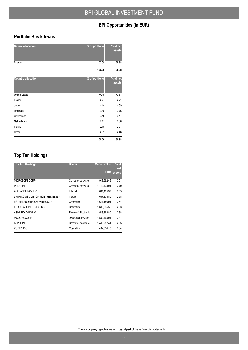## **BPI Opportunities (in EUR)**

### **Portfolio Breakdowns**

| <b>Nature allocation</b>  | % of portfolio | % of net<br>assets |
|---------------------------|----------------|--------------------|
| <b>Shares</b>             | 100.00         | 98.88              |
|                           | 100.00         | 98.88              |
| <b>Country allocation</b> | % of portfolio | % of net<br>assets |
| <b>United States</b>      | 74.49          | 73.67              |
| France                    | 4.77           | 4.71               |
| Japan                     | 4.44           | 4.39               |
| Denmark                   | 3.80           | 3.76               |
| Switzerland               | 3.48           | 3.44               |
| Netherlands               | 2.41           | 2.38               |
| Ireland                   | 2.10           | 2.07               |
| Other                     | 4.51           | 4.46               |
|                           | 100.00         | 98.88              |

## **Top Ten Holdings**

| <b>Top Ten Holdings</b>          | <b>Sector</b>         | <b>Market value</b> | $%$ of<br>net |
|----------------------------------|-----------------------|---------------------|---------------|
|                                  |                       | <b>EUR</b>          | assets        |
| MICROSOFT CORP                   | Computer software     | 1,913,592.46        | 3.01          |
| <b>INTUIT INC</b>                | Computer software     | 1,712,433.01        | 2.70          |
| ALPHABET INC-CL C                | Internet              | 1.684.405.97        | 2.65          |
| LVMH LOUIS VUITTON MOET HENNESSY | Textile               | 1,637,378.80        | 2.58          |
| ESTEE LAUDER COMPANIES-CL A      | Cosmetics             | 1,611,186.91        | 2.54          |
| <b>IDEXX LABORATORIES INC</b>    | Cosmetics             | 1.605.635.59        | 2.53          |
| ASML HOLDING NV                  | Electric & Electronic | 1,513,392.80        | 2.38          |
| <b>MOODYS CORP</b>               | Diversified services  | 1.502.465.04        | 2.37          |
| APPLE INC                        | Computer hardware     | 1.490.287.41        | 2.35          |
| ZOETIS INC                       | Cosmetics             | 1,482,834.10        | 2.34          |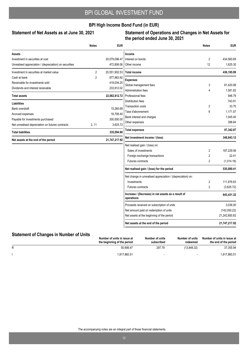### **BPI High Income Bond Fund (in EUR)**

#### Statement of Net Assets as at June 30, 2021

#### **Statement of Operations and Changes in Net Assets for the period ended June 30, 2021**

|                                                        | <b>Notes</b>   | <b>EUR</b>    |                                                                  | <b>Notes</b>   | <b>EUR</b>    |
|--------------------------------------------------------|----------------|---------------|------------------------------------------------------------------|----------------|---------------|
| Assets                                                 |                |               | Income                                                           |                |               |
| Investment in securities at cost                       |                | 20,079,096.47 | Interest on bonds                                                | 2              | 434,560.69    |
| Unrealised appreciation / (depreciation) on securities |                | 472,806.06    | Other income                                                     | 12             | 1,625.30      |
| Investment in securities at market value               | $\overline{2}$ | 20,551,902.53 | <b>Total income</b>                                              |                | 436,185.99    |
| Cash at bank                                           | $\overline{2}$ | 877,963.92    | <b>Expenses</b>                                                  |                |               |
| Receivable for investments sold                        |                | 419,034.25    | Global management fees                                           | 3              | 81,420.99     |
| Dividends and interest receivable                      |                | 233,912.02    | <b>Administration fees</b>                                       | 4              | 1,581.82      |
| <b>Total assets</b>                                    |                | 22,082,812.72 | Professional fees                                                |                | 946.79        |
| <b>Liabilities</b>                                     |                |               | Distribution fees                                                |                | 743.91        |
| <b>Bank overdraft</b>                                  |                | 15,260.68     | <b>Transaction costs</b>                                         | 2              | 33.75         |
| Accrued expenses                                       |                | 16,708.40     | Taxe d'abonnement                                                | 6              | 1,171.57      |
| Payable for investments purchased                      |                | 300,000.00    | Bank interest and charges                                        |                | 1,045.40      |
| Net unrealised depreciation on futures contracts       | 2, 11          | 3,625.72      | Other expenses                                                   |                | 398.64        |
| <b>Total liabilities</b>                               |                | 335,594.80    | <b>Total expenses</b>                                            |                | 87,342.87     |
| Net assets at the end of the period                    |                | 21,747,217.92 | Net investment income / (loss)                                   |                | 348,843.12    |
|                                                        |                |               | Net realised gain / (loss) on:                                   |                |               |
|                                                        |                |               | Sales of investments                                             | 2              | 187.229.06    |
|                                                        |                |               | Foreign exchange transactions                                    | $\overline{2}$ | 22.41         |
|                                                        |                |               | Futures contracts                                                | $\overline{2}$ | (1,014.18)    |
|                                                        |                |               | Net realised gain / (loss) for the period                        |                | 535,080.41    |
|                                                        |                |               | Net change in unrealised appreciation / (depreciation) on:       |                |               |
|                                                        |                |               | Investments                                                      | 2              | 111,976.63    |
|                                                        |                |               | Futures contracts                                                | $\overline{2}$ | (3,625.72)    |
|                                                        |                |               | Increase / (Decrease) in net assets as a result of<br>operations |                | 643,431.32    |
|                                                        |                |               | Proceeds received on subscription of units                       |                | 3,036.00      |
|                                                        |                |               | Net amount paid on redemption of units                           |                | (142,050.22)  |
|                                                        |                |               | Net assets at the beginning of the period                        |                | 21,242,800.82 |
|                                                        |                |               | Net assets at the end of the period                              |                | 21,747,217.92 |

## **Statement of Changes in Number of Units**

|   | Number of units in issue at<br>the beginning of the period | Number of units<br>subscribed | Number of units<br>redeemed | Number of units in issue at<br>the end of the period |
|---|------------------------------------------------------------|-------------------------------|-----------------------------|------------------------------------------------------|
| R | 50.906.47                                                  | 297.79                        | (13.848.32)                 | 37.355.94                                            |
|   | 1.917.860.51                                               |                               |                             | 1.917.860.51                                         |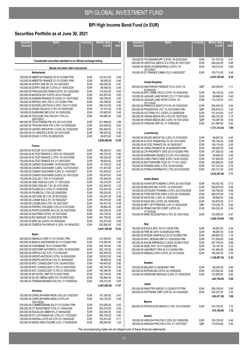## **BPI High Income Bond Fund (in EUR)**

## **Securities Portfolio as at June 30, 2021**

| <b>Name</b><br>Quantity/<br><b>Nominal</b>                                                                                                                                                                                                                                                                                                                                                                                                                                                                                                                                                                                                                                                                                                                                                                                                                                                                                                                                                                                                  | <b>Currency</b>                                                                                                                                                                                                                                                                                                  | <b>Market value</b><br>in EUR                                                                                                                                                                                                                                                                                                 | $\%$<br><b>NAV</b>                                                                                                                                                                    |
|---------------------------------------------------------------------------------------------------------------------------------------------------------------------------------------------------------------------------------------------------------------------------------------------------------------------------------------------------------------------------------------------------------------------------------------------------------------------------------------------------------------------------------------------------------------------------------------------------------------------------------------------------------------------------------------------------------------------------------------------------------------------------------------------------------------------------------------------------------------------------------------------------------------------------------------------------------------------------------------------------------------------------------------------|------------------------------------------------------------------------------------------------------------------------------------------------------------------------------------------------------------------------------------------------------------------------------------------------------------------|-------------------------------------------------------------------------------------------------------------------------------------------------------------------------------------------------------------------------------------------------------------------------------------------------------------------------------|---------------------------------------------------------------------------------------------------------------------------------------------------------------------------------------|
| Transferable securities admitted to an official exchange listing                                                                                                                                                                                                                                                                                                                                                                                                                                                                                                                                                                                                                                                                                                                                                                                                                                                                                                                                                                            |                                                                                                                                                                                                                                                                                                                  |                                                                                                                                                                                                                                                                                                                               |                                                                                                                                                                                       |
| Bonds and other debt instruments                                                                                                                                                                                                                                                                                                                                                                                                                                                                                                                                                                                                                                                                                                                                                                                                                                                                                                                                                                                                            |                                                                                                                                                                                                                                                                                                                  |                                                                                                                                                                                                                                                                                                                               |                                                                                                                                                                                       |
| Netherlands<br>100,000.00 ABERTIS FINANCE 20-31/12/2060 FRN<br>100,000.00 ABERTIS FINANCE 21-31/12/2061 FRN<br>200,000.00 DUFRY ONE BV 2% 19-15/02/2027<br>100,000.00 DUFRY ONE BV 3.375% 21-15/04/2028<br>200,000.00 FRIGOGLASS FINAN 6.875% 20-12/02/2025<br>200,000.00 MAXEDA DIY 5.875% 20-01/10/2026<br>200,000.00 NOBIAN FINANCE B 3.625% 21-15/07/2026                                                                                                                                                                                                                                                                                                                                                                                                                                                                                                                                                                                                                                                                               | <b>EUR</b><br><b>EUR</b><br><b>EUR</b><br><b>EUR</b><br><b>EUR</b><br><b>EUR</b><br><b>EUR</b>                                                                                                                                                                                                                   | 103,612.50<br>99,285.00<br>189.000.00<br>99,500.00<br>179,500.00<br>205.870.00<br>199,750.00                                                                                                                                                                                                                                  | 0.48<br>0.46<br>0.87<br>0.46<br>0.83<br>0.95<br>0.92                                                                                                                                  |
| 100,000.00 REPSOL INTL FIN 21-31/12/2061 FRN<br>200,000.00 SCHOELLER PACK 6.375% 19-01/11/2024<br>100,000.00 SIGMA HOLDCO 5.75% 18-15/05/2026<br>100,000.00 SUNSHINE MID 6.5% 18-15/05/2026<br>100,000.00 TELECOM ITALI FIN SA 7.75% 03-<br>24/01/2033<br>400,000.00 TEVA PHARM FNC 6% 20-31/01/2025                                                                                                                                                                                                                                                                                                                                                                                                                                                                                                                                                                                                                                                                                                                                        | <b>EUR</b><br><b>EUR</b><br><b>EUR</b><br><b>EUR</b><br><b>EUR</b><br><b>EUR</b>                                                                                                                                                                                                                                 | 100,766.50<br>208,510.00<br>97,375.00<br>103,663.00<br>146,880.00<br>431,698.00                                                                                                                                                                                                                                               | 0.46<br>0.95<br>0.45<br>0.48<br>0.68<br>1.98                                                                                                                                          |
| 200,000.00 TRIVIUM PACK FIN 3.75% 19-15/08/2026<br>300,000.00 UNITED GROUP BV 3.125% 20-15/02/2026<br>200,000.00 VZ VENDOR 2.875% 20-15/01/2029<br>100,000.00 ZIGGO 3.375% 20-28/02/2030<br>France                                                                                                                                                                                                                                                                                                                                                                                                                                                                                                                                                                                                                                                                                                                                                                                                                                          | <b>EUR</b><br><b>EUR</b><br><b>EUR</b><br><b>EUR</b>                                                                                                                                                                                                                                                             | 203,428.00<br>292.500.00<br>196,253.00<br>98,875.00<br>2,956,466.00                                                                                                                                                                                                                                                           | 0.94<br>1.33<br>0.90<br>0.45<br>13.59                                                                                                                                                 |
| 200,000.00 ACCOR 19-31/12/2059 FRN<br>200.000.00 ALTICE FRANCE 2.125% 20-15/02/2025<br>200,000.00 ALTICE FRANCE 3.375% 19-15/01/2028<br>100,000.00 ALTICE FRANCE 4% 21-15/07/2029<br>100,000.00 CASINO GUICHARD 14-07/02/2025 FRN<br>100,000.00 CASINO GUICHARD 3.248% 14-07/03/2024<br>100,000.00 CASINO GUICHARD 5.25% 21-15/04/2027<br>100,000.00 CASINO GUICHARD 6.625% 20-15/01/2026<br>130,000.00 CGG SA 7.75% 21-01/04/2027<br>100,000.00 CMA CGM SA 5.25% 17-15/01/2025<br>200,000.00 CMA CGM SA 7.5% 20-15/01/2026<br>100,000.00 FAURECIA 2.375% 21-15/06/2029<br>150,000.00 FAURECIA 3.75% 20-15/06/2028<br>100,000.00 GETLINK SE 3.5% 20-30/10/2025<br>100,000.00 LOXAM SAS 4.5% 19-15/04/2027<br>100,000.00 LOXAM SAS 5.75% 19-15/07/2027<br>100,000.00 PAPREC HOLDING 3.5% 21-01/07/2028<br>100,000.00 PARTS EUROPE SA 6.5% 20-16/07/2025<br>100,000.00 QUATRIM 5.875% 19-15/01/2024<br>200,000.00 RCI BANQUE 19-18/02/2030 FRN<br>100,000.00 SPIE SA 2.625% 19-18/06/2026<br>200,000.00 TEREOS FIN GROUP 4.125% 16-16/06/2023 | <b>EUR</b><br><b>EUR</b><br><b>EUR</b><br><b>EUR</b><br><b>EUR</b><br><b>EUR</b><br><b>EUR</b><br><b>EUR</b><br><b>EUR</b><br><b>EUR</b><br><b>EUR</b><br><b>EUR</b><br><b>EUR</b><br><b>EUR</b><br><b>EUR</b><br><b>EUR</b><br><b>EUR</b><br><b>EUR</b><br><b>EUR</b><br><b>EUR</b><br><b>EUR</b><br><b>EUR</b> | 196,250.00<br>195,375.00<br>195,306.00<br>99,625.00<br>97,700.00<br>101,875.00<br>102,500.00<br>105,875.00<br>135,005.00<br>102,375.00<br>222,900.00<br>102,043.00<br>158,250.00<br>103,937.50<br>100,979.00<br>104,437.50<br>99,852.50<br>105,035.00<br>104,125.00<br>201,755.00<br>103,812.50<br>202,695.00<br>2,941,708.00 | 0.90<br>0.90<br>0.90<br>0.46<br>0.45<br>0.47<br>0.47<br>0.49<br>0.62<br>0.47<br>1.02<br>0.47<br>0.73<br>0.48<br>0.46<br>0.48<br>0.46<br>0.48<br>0.48<br>0.93<br>0.48<br>0.93<br>13.53 |
| Spain<br>200,000.00 ABANCA CORP 21-31/12/2061 FRN<br>400,000.00 BANCO SANTANDER 20-31/12/2060 FRN<br>400,000.00 CAIXABANK 18-31/12/2049 FRN<br>200,000.00 GESTAMP AUTOMOCI 3.25% 18-30/04/2026<br>200,000.00 GRIFOLS SA 3.2% 17-01/05/2025<br>100,000.00 GRUPO-ANTOLIN 3.375% 18-30/04/2026<br>100,000.00 GRUPO-ANTOLIN 3.5% 21-30/04/2028<br>200,000.00 INTL CONSOLIDAT 0.5% 19-04/07/2023<br>100,000.00 INTL CONSOLIDAT 2.75% 21-25/03/2025<br>100,000.00 INTL CONSOLIDAT 3.75% 21-25/03/2029<br>100,000.00 NH HOTEL GRP 4% 21-02/07/2026<br>100,000.00 SA DE OBRAS SERV 6% 18-24/07/2022<br>150,000.00 TENDAM BRANDS SAU 5% 17-15/09/2024                                                                                                                                                                                                                                                                                                                                                                                                | <b>EUR</b><br><b>EUR</b><br><b>EUR</b><br><b>EUR</b><br><b>EUR</b><br><b>EUR</b><br><b>EUR</b><br><b>EUR</b><br><b>EUR</b><br><b>EUR</b><br><b>EUR</b><br><b>EUR</b><br><b>EUR</b>                                                                                                                               | 213,500.00<br>414,000.00<br>430,162.00<br>203,125.00<br>202,000.00<br>100,812.50<br>99,950.00<br>194.655.00<br>100,187.50<br>100,494.00<br>100,144.50<br>100,560.00<br>148,312.50<br>2,407,903.00                                                                                                                             | 0.98<br>1.90<br>1.99<br>0.93<br>0.93<br>0.46<br>0.46<br>0.90<br>0.46<br>0.46<br>0.46<br>0.46<br>0.68<br>11.07                                                                         |
| Germany<br>100,000.00 CHEPLAPHARM ARZN 3.5% 20-11/02/2027<br>100,000.00 CHEPLAPHARM ARZN 4.375% 20-<br>15/01/2028<br>200,000.00 COMMERZBANK AG 21-31/12/2061 FRN<br>200,000.00 CT INVESTMENT 5.5% 21-15/04/2026<br>200,000.00 DOUGLAS GMBH 6% 21-08/04/2026<br>200,000.00 DT LUFTHANSA AG 3.75% 21-11/02/2028<br>150,000.00 HAPAG-LLOYD AG 2.5% 21-15/04/2028<br>300,000.00 NIDDA HEALTHCARE 3.5% 17-30/09/2024                                                                                                                                                                                                                                                                                                                                                                                                                                                                                                                                                                                                                             | <b>EUR</b><br><b>EUR</b><br><b>EUR</b><br><b>EUR</b><br><b>EUR</b><br><b>EUR</b><br><b>EUR</b><br><b>EUR</b>                                                                                                                                                                                                     | 101,250.00<br>104,125.00<br>203,000.00<br>205,216.00<br>200,000.00<br>206,750.00<br>153,910.50<br>299,550.00                                                                                                                                                                                                                  | 0.47<br>0.48<br>0.93<br>0.94<br>0.92<br>0.95<br>0.71<br>1.38                                                                                                                          |

| Quantity/<br><b>Nominal</b> | Name                                                                                                                                                                                                                                                                                                                                                                                                                                                                                                            | Currency                                                                                                                                 | Market value<br>in EUR                                                                                                                                 | <b>NAV</b>                                                                           |
|-----------------------------|-----------------------------------------------------------------------------------------------------------------------------------------------------------------------------------------------------------------------------------------------------------------------------------------------------------------------------------------------------------------------------------------------------------------------------------------------------------------------------------------------------------------|------------------------------------------------------------------------------------------------------------------------------------------|--------------------------------------------------------------------------------------------------------------------------------------------------------|--------------------------------------------------------------------------------------|
|                             | 100,000.00 THYSSENKRUPP 2.875% 19-22/02/2024<br>200,000.00 VERTICAL MIDCO G 4.375% 20-15/07/2027<br>150,000.00 WEPA HYGIENEPROD 2.875% 19-<br>15/12/2027                                                                                                                                                                                                                                                                                                                                                        | <b>EUR</b><br><b>EUR</b><br><b>EUR</b>                                                                                                   | 101,570.00<br>209.303.00<br>148.312.50                                                                                                                 | 0.47<br>0.96<br>0.68                                                                 |
|                             | 100,000.00 ZF FINANCE GMBH 2% 21-06/05/2027<br><b>United Kingdom</b>                                                                                                                                                                                                                                                                                                                                                                                                                                            | <b>EUR</b>                                                                                                                               | 100,713.00<br>2,033,700.00                                                                                                                             | 0.46<br>9.35                                                                         |
|                             | 200.000.00 HEATHROW FINANCE PLC4.125% 19-<br>01/09/2029                                                                                                                                                                                                                                                                                                                                                                                                                                                         | <b>GBP</b>                                                                                                                               | 240.549.83                                                                                                                                             | 1.11                                                                                 |
|                             | 100,000.00 INTL GAME TECH 2.375% 19-15/04/2028<br>100,000.00 JAGUAR LAND ROVR 2.2% 17-15/01/2024<br>100,000.00 JAGUAR LAND ROVR 5.875% 19-<br>15/11/2024                                                                                                                                                                                                                                                                                                                                                        | <b>EUR</b><br><b>EUR</b><br><b>EUR</b>                                                                                                   | 98,125.00<br>99,998.00<br>110,125.00                                                                                                                   | 0.45<br>0.46<br>0.51                                                                 |
|                             | 200,000.00 PINNACLE BIDCO P 5.5% 20-15/02/2025<br>200,000.00 PRUDENTIAL PLC 13-19/12/2063 FRN<br>100,000.00 VICTORIA PLC 3.625% 21-24/08/2026<br>250,000.00 VIRGIN MEDIA FIN 3.75% 20-15/07/2030<br>100,000.00 VIRGIN MEDIA SEC 4.25% 19-15/01/2030<br>200,000.00 VIRIDIAN GRP 4% 17-15/09/2025                                                                                                                                                                                                                 | <b>EUR</b><br><b>GBP</b><br>EUR<br><b>EUR</b><br><b>GBP</b><br><b>EUR</b>                                                                | 205,420.00<br>306,976.53<br>101,514.00<br>250,312.50<br>116,387.68<br>201,906.00<br>1,731,314.54                                                       | 0.94<br>1.40<br>0.47<br>1.15<br>0.54<br>0.93<br>7.96                                 |
|                             | Luxembourg<br>100,000.00 ADLER GROUP SA 2.25% 21-27/04/2027<br>200,000.00 ALTICE FINANCING 3% 20-15/01/2028<br>100,000.00 ALTICE FRANCE 8% 19-15/05/2027<br>200.000.00 CIRSA FINANCE IN 19-30/09/2025 FRN<br>300.000.00 CPI PROPERTY GRO 20-31/12/2060 FRN<br>100,000.00 EDREAMS ODIGEO S 5.5% 18-01/09/2023<br>100,000.00 LHMC FINCO SARL 6.25% 18-20/12/2023<br>200,000.00 MATTERHORN TELE 4% 17-15/11/2027<br>150,000.00 ROSSINI SARL 6.75% 18-30/10/2025<br>200,000.00 STENA INTERNATIO 3.75% 20-01/02/2025 | <b>EUR</b><br><b>EUR</b><br><b>EUR</b><br><b>EUR</b><br><b>EUR</b><br><b>EUR</b><br><b>EUR</b><br><b>EUR</b><br><b>EUR</b><br><b>EUR</b> | 98,687.50<br>190,750.00<br>108,114.00<br>196,625.00<br>317,592.00<br>99,450.00<br>101,625.00<br>205,950.00<br>157,312.50<br>200,151.00<br>1,676,257.00 | 0.45<br>0.88<br>0.50<br>0.90<br>1.46<br>0.46<br>0.47<br>0.95<br>0.72<br>0.92<br>7.71 |
|                             | <b>United States</b>                                                                                                                                                                                                                                                                                                                                                                                                                                                                                            |                                                                                                                                          |                                                                                                                                                        |                                                                                      |
|                             | 150,000.00 AVANTOR FUNDING 3.875% 20-15/07/2028<br>200,000.00 BELDEN INC 3.875% 18-15/03/2028<br>150,000.00 CATALENT PHARMA 2.375% 20-01/03/2028<br>250,000.00 FORD MOTOR CRED 3.25% 20-15/09/2025<br>100,000.00 IQVIA INC 2.25% 21-15/03/2029<br>150,000.00 IQVIA INC 2.875% 20-15/06/2028<br>150,000.00 MPT OP PTNR/FINL 2.5% 21-24/03/2026<br>200.000.00 PRIMO WATER CORP 3.875% 20-<br>31/10/2028                                                                                                           | <b>EUR</b><br><b>EUR</b><br><b>EUR</b><br><b>EUR</b><br><b>EUR</b><br><b>EUR</b><br><b>GBP</b><br><b>EUR</b>                             | 158,437.50<br>208,875.00<br>150,750.00<br>268,375.00<br>99,940.00<br>154,875.00<br>178,235.19<br>204,332.00                                            | 0.73<br>0.96<br>0.69<br>1.24<br>0.46<br>0.71<br>0.82<br>0.94                         |
|                             | 100,000.00 WMG ACQUISITION 2.75% 20-15/07/2028<br>Italy                                                                                                                                                                                                                                                                                                                                                                                                                                                         | <b>EUR</b>                                                                                                                               | 102,500.00<br>1,526,319.69                                                                                                                             | 0.47<br>7.02                                                                         |
|                             | 100,000.00 EVOCA SPA 19-01/11/2026 FRN<br>100,000.00 FIRE BC SPA 18-30/09/2024 FRN<br>250,000.00 INTESA SANPAOLO 20-31/12/2060 FRN<br>100,000.00 INTL DESIGN GRP 21-15/05/2026 FRN<br>200,000.00 SALINI IMPREGILO 3.625% 20-28/01/2027<br>50,000.00 SISAL PAY 19-17/12/2026 FRN<br>200,000.00 UNICREDIT SPA 20-31/12/2060 FRN<br>150,000.00 WEBUILD SPA 5.875% 20-15/12/2025                                                                                                                                    | <b>EUR</b><br><b>EUR</b><br><b>EUR</b><br><b>EUR</b><br><b>EUR</b><br><b>EUR</b><br><b>EUR</b><br><b>EUR</b>                             | 94,681.50<br>96,687.50<br>249,687.50<br>101,000.00<br>207,750.00<br>50,187.50<br>191,800.00<br>166,303.50<br>1,158,097.50                              | 0.44<br>0.44<br>1.16<br>0.46<br>0.96<br>0.23<br>0.88<br>0.76<br>5.33                 |
|                             | Sweden<br>100,000.00 BALDER 21-02/06/2081 FRN<br>200,000.00 INTRUM AB 4.875% 20-15/08/2025<br>130,000.00 VERISURE MIDHOLD 5.25% 21-15/02/2029                                                                                                                                                                                                                                                                                                                                                                   | <b>EUR</b><br><b>EUR</b><br><b>EUR</b>                                                                                                   | 99,345.00<br>210,500.00<br>133,900.00<br>443,745.00                                                                                                    | 0.46<br>0.96<br>0.62<br>2.04                                                         |
|                             | Japan<br>200,000.00 RAKUTEN GROUP 21-22/04/2170 FRN<br>200,000.00 SOFTBANK GRP COR 5% 18-15/04/2028                                                                                                                                                                                                                                                                                                                                                                                                             | <b>EUR</b><br>EUR                                                                                                                        | 206,150.00<br>224,327.00<br>430,477.00                                                                                                                 | 0.95<br>1.03<br>1.98                                                                 |
|                             | Mexico<br>400,000.00 PETROLEOS MEXICA 2.75% 15-21/04/2027                                                                                                                                                                                                                                                                                                                                                                                                                                                       | <b>EUR</b>                                                                                                                               | 374,100.00<br>374,100.00                                                                                                                               | 1.72<br>1.72                                                                         |
|                             | Ireland<br>100,000.00 ARDAGH PKG FIN 2.125% 20-15/08/2026<br>100,000.00 ARDAGH PKG FIN 4.75% 17-15/07/2027                                                                                                                                                                                                                                                                                                                                                                                                      | <b>EUR</b><br><b>GBP</b>                                                                                                                 | 100,125.00<br>118,818.80                                                                                                                               | 0.46<br>0.55                                                                         |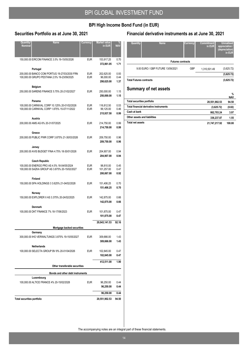## **BPI High Income Bond Fund (in EUR)**

## **Securities Portfolio as at June 30, 2021**

| Quantity/<br><b>Nominal</b>       | <b>Name</b>                                                                                                            | <b>Currency</b>          | <b>Market value</b><br>in EUR         | <b>NAV</b>           |
|-----------------------------------|------------------------------------------------------------------------------------------------------------------------|--------------------------|---------------------------------------|----------------------|
|                                   | 150,000.00 EIRCOM FINANCE 3.5% 19-15/05/2026                                                                           | <b>EUR</b>               | 153,917.25<br>372,861.05              | 0.70<br>1.71         |
|                                   | Portugal<br>200,000.00 BANCO COM PORTUG 19-27/03/2030 FRN<br>100,000.00 GRUPO PESTANA 2.5% 19-23/09/2025               | <b>EUR</b><br>EUR        | 202,625.00<br>96,000.00<br>298,625.00 | 0.93<br>0.44<br>1.37 |
|                                   | Belgium<br>250,000.00 SARENS FINANCE 5.75% 20-21/02/2027                                                               | <b>EUR</b>               | 250,000.00<br>250,000.00              | 1.15<br>1.15         |
|                                   | Panama<br>100,000.00 CARNIVAL CORP 10.125% 20-01/02/2026<br>100,000.00 CARNIVAL CORP 1.875% 15-07/11/2022              | <b>EUR</b><br><b>EUR</b> | 116,812.50<br>99,125.00<br>215,937.50 | 0.53<br>0.46<br>0.99 |
|                                   | Austria<br>200,000.00 AMS AG 6% 20-31/07/2025                                                                          | <b>EUR</b>               | 214,750.00<br>214,750.00              | 0.99<br>0.99         |
|                                   | Greece<br>200,000.00 PUBLIC PWR CORP 3.875% 21-30/03/2026                                                              | <b>EUR</b>               | 209,750.00<br>209,750.00              | 0.96<br>0.96         |
|                                   | Jersey<br>200,000.00 AVIS BUDGET FINA 4.75% 18-30/01/2026                                                              | <b>EUR</b>               | 204,907.00<br>204,907.00              | 0.94<br>0.94         |
|                                   | <b>Czech Republic</b><br>100,000.00 ENERGO PRO AS 4.5% 18-04/05/2024<br>100,000.00 SAZKA GROUP AS 3.875% 20-15/02/2027 | <b>EUR</b><br><b>EUR</b> | 98,810.00<br>101,257.00<br>200,067.00 | 0.45<br>0.47<br>0.92 |
|                                   | Finland<br>150,000.00 SPA HOLDINGS 3 3.625% 21-04/02/2028                                                              | <b>EUR</b>               | 151,406.25<br>151,406.25              | 0.70<br>0.70         |
|                                   | Norway<br>150,000.00 EXPLORER II AS 3.375% 20-24/02/2025                                                               | <b>EUR</b>               | 142,875.00<br>142,875.00              | 0.66<br>0.66         |
|                                   | <b>Denmark</b><br>100,000.00 DKT FINANCE 7% 18-17/06/2023                                                              | <b>EUR</b>               | 101,875.00<br>101,875.00              | 0.47<br>0.47         |
|                                   | Mortgage backed securities                                                                                             |                          | 20,043,141.53                         | 92.16                |
|                                   | Germany<br>300,000.00 IHO VERWALTUNGS 3.875% 19-15/05/2027                                                             | <b>EUR</b>               | 309,666.00<br>309,666.00              | 1.43<br>1.43         |
|                                   | Netherlands<br>100,000.00 SELECTA GROUP BV 8% 20-01/04/2026                                                            | <b>EUR</b>               | 102,845.00<br>102,845.00              | 0.47<br>0.47         |
|                                   | Other transferable securities                                                                                          |                          | 412,511.00                            | 1.90                 |
|                                   | Bonds and other debt instruments                                                                                       |                          |                                       |                      |
|                                   | Luxembourg<br>100,000.00 ALTICE FRANCE 4% 20-15/02/2028                                                                | <b>EUR</b>               | 96,250.00<br>96,250.00                | 0.44<br>0.44         |
| <b>Total securities portfolio</b> |                                                                                                                        |                          | 96,250.00<br>20,551,902.53            | 0.44<br>94.50        |
|                                   |                                                                                                                        |                          |                                       |                      |

## **Financial derivative instruments as at June 30, 2021**

| Quantity                       | <b>Name</b>                       | Currency | <b>Commitment</b><br>in EUR | <b>Unrealised</b><br>appreciation /<br>(depreciation)<br>in EUR |
|--------------------------------|-----------------------------------|----------|-----------------------------|-----------------------------------------------------------------|
|                                | <b>Futures contracts</b>          |          |                             |                                                                 |
|                                | 9.00 EURO / GBP FUTURE 13/09/2021 | GBP      | 1,310,501.49                | (3,625.72)                                                      |
|                                |                                   |          |                             | (3,625.72)                                                      |
| <b>Total Futures contracts</b> |                                   |          |                             | (3,625.72)                                                      |
|                                | <b>Summary of net assets</b>      |          |                             | $\sim$ $\sim$                                                   |

|                                        |               | $\frac{0}{0}$ |
|----------------------------------------|---------------|---------------|
|                                        |               | <b>NAV</b>    |
| Total securities portfolio             | 20,551,902.53 | 94.50         |
| Total financial derivative instruments | (3,625.72)    | (0.02)        |
| Cash at bank                           | 862.703.24    | 3.97          |
| Other assets and liabilities           | 336,237,87    | 1.55          |
| <b>Total net assets</b>                | 21.747.217.92 | 100.00        |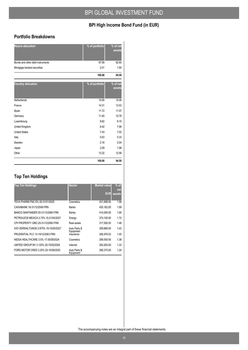## **BPI High Income Bond Fund (in EUR)**

#### **Portfolio Breakdowns**

| <b>Nature allocation</b>         | % of portfolio             | % of net<br>assets |
|----------------------------------|----------------------------|--------------------|
| Bonds and other debt instruments | 97.99                      | 92.60              |
| Mortgage backed securities       | 2.01                       | 1.90               |
|                                  | 100.00                     | 94.50              |
| <b>Country allocation</b>        | $\sqrt[6]{ }$ of portfolio | % of net<br>assets |
| Netherlands                      | 14.90                      | 14.06              |
| France                           | 14.31                      | 13.53              |
| Spain                            | 11.72                      | 11.07              |
| Germany                          | 11.40                      | 10.78              |
| Luxembourg                       | 8.62                       | 8.15               |
| United Kingdom                   | 8.42                       | 7.96               |
| <b>United States</b>             | 7.43                       | 7.02               |
| Italy                            | 5.63                       | 5.33               |
| Sweden                           | 2.16                       | 2.04               |
| Japan                            | 2.09                       | 1.98               |
| Other                            | 13.32                      | 12.58              |
|                                  | 100.00                     | 94.50              |

## **Top Ten Holdings**

| <b>Top Ten Holdings</b>              | <b>Sector</b>             | <b>Market value</b><br>EUR | $%$ of<br>net<br>assets |
|--------------------------------------|---------------------------|----------------------------|-------------------------|
| TEVA PHARM FNC 6% 20-31/01/2025      | Cosmetics                 | 431,698.00                 | 1.98                    |
| CAIXABANK 18-31/12/2049 FRN          | <b>Banks</b>              | 430.162.00                 | 1.99                    |
| BANCO SANTANDER 20-31/12/2060 FRN    | <b>Banks</b>              | 414.000.00                 | 1.90                    |
| PETROLEOS MEXICA 2.75% 15-21/04/2027 | Energy                    | 374,100.00                 | 1.72                    |
| CPI PROPERTY GRO 20-31/12/2060 FRN   | Real estate               | 317.592.00                 | 1.46                    |
| IHO VERWALTUNGS 3.875% 19-15/05/2027 | Auto Parts &<br>Equipment | 309.666.00                 | 1.43                    |
| PRUDENTIAL PLC 13-19/12/2063 FRN     | Insurance                 | 306.976.53                 | 1.40                    |
| NIDDA HEALTHCARE 3.5% 17-30/09/2024  | Cosmetics                 | 299.550.00                 | 1.38                    |
| UNITED GROUP BV 3.125% 20-15/02/2026 | Internet                  | 292.500.00                 | 1.33                    |
| FORD MOTOR CRED 3.25% 20-15/09/2025  | Auto Parts &<br>Equipment | 268,375.00                 | 1.24                    |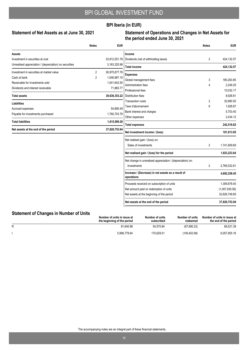### **BPI Iberia (in EUR)**

#### Statement of Net Assets as at June 30, 2021

#### **Statement of Operations and Changes in Net Assets for the period ended June 30, 2021**

|                                                        | <b>Notes</b>   | <b>EUR</b>    |                                                                  | <b>Notes</b>   | <b>EUR</b>     |
|--------------------------------------------------------|----------------|---------------|------------------------------------------------------------------|----------------|----------------|
| Assets                                                 |                |               | Income                                                           |                |                |
| Investment in securities at cost                       |                | 33,812,551.78 | Dividends (net of withholding taxes)                             | $\overline{2}$ | 424,132.57     |
| Unrealised appreciation / (depreciation) on securities |                | 3,163,325.98  | <b>Total income</b>                                              |                | 424,132.57     |
| Investment in securities at market value               | $\overline{2}$ | 36,975,877.76 | <b>Expenses</b>                                                  |                |                |
| Cash at bank                                           | 2              | 1,046,967.19  | Global management fees                                           | 3              | 180,263.85     |
| Receivable for investments sold                        |                | 1,541,642.50  | Administration fees                                              | 4              | 2,249.25       |
| Dividends and interest receivable                      |                | 71,865.77     | Professional fees                                                |                | 10,032.17      |
| <b>Total assets</b>                                    |                | 39,636,353.22 | <b>Distribution fees</b>                                         |                | 8,926.61       |
| <b>Liabilities</b>                                     |                |               | <b>Transaction costs</b>                                         | 2              | 30,980.55      |
| Accrued expenses                                       |                | 54,895.49     | Taxe d'abonnement                                                | 6              | 1,928.67       |
| Payable for investments purchased                      |                | 1,760,703.79  | Bank interest and charges                                        |                | 5,703.40       |
|                                                        |                |               | Other expenses                                                   |                | 2,434.12       |
| <b>Total liabilities</b>                               |                | 1,815,599.28  | <b>Total expenses</b>                                            |                | 242,518.62     |
| Net assets at the end of the period                    |                | 37,820,753.94 | Net investment income / (loss)                                   |                | 181,613.95     |
|                                                        |                |               | Net realised gain / (loss) on:                                   |                |                |
|                                                        |                |               | Sales of investments                                             | 2              | 1,741,609.69   |
|                                                        |                |               | Net realised gain / (loss) for the period                        |                | 1,923,223.64   |
|                                                        |                |               | Net change in unrealised appreciation / (depreciation) on:       |                |                |
|                                                        |                |               | Investments                                                      | 2              | 2,769,032.81   |
|                                                        |                |               | Increase / (Decrease) in net assets as a result of<br>operations |                | 4,692,256.45   |
|                                                        |                |               | Proceeds received on subscription of units                       |                | 1,309,678.40   |
|                                                        |                |               | Net amount paid on redemption of units                           |                | (1,007,930.56) |
|                                                        |                |               | Net assets at the beginning of the period                        |                | 32,826,749.65  |
|                                                        |                |               | Net assets at the end of the period                              |                | 37,820,753.94  |

## **Statement of Changes in Number of Units**

|   | Number of units in issue at<br>the beginning of the period | Number of units<br>subscribed | Number of units<br>redeemed | Number of units in issue at<br>the end of the period |
|---|------------------------------------------------------------|-------------------------------|-----------------------------|------------------------------------------------------|
| R | 81.640.98                                                  | 54.570.64                     | (67, 690.23)                | 68,521.39                                            |
|   | 5.996.778.64                                               | 170.629.51                    | (109, 452.99)               | 6,057,955.16                                         |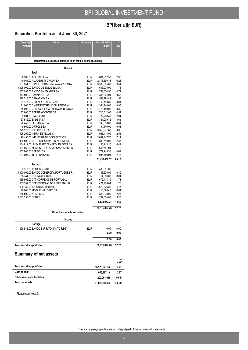## **BPI Iberia (in EUR)**

## **Securities Portfolio as at June 30, 2021**

| Quantity/<br><b>Name</b><br><b>Nominal</b>                                         | Currency                 | <b>Market value</b><br>in EUR | <b>NAV</b>    |
|------------------------------------------------------------------------------------|--------------------------|-------------------------------|---------------|
| Transferable securities admitted to an official exchange listing                   |                          |                               |               |
| Shares                                                                             |                          |                               |               |
| Spain                                                                              |                          |                               |               |
| 86,500.00 ACERINOX SA                                                              | <b>EUR</b>               | 881,002.50                    | 2.33          |
| 40,064.00 AMADEUS IT GROUP SA<br>687,851.00 BANCO BILBAO VIZCAYA ARGENTA           | <b>EUR</b><br><b>EUR</b> | 2,376,596.48<br>3.596.085.03  | 6.28<br>9.51  |
| 1,125,000.00 BANCO DE SABADELL SA                                                  | <b>EUR</b>               | 645,975.00                    | 1.71          |
| 557,096.00 BANCO SANTANDER SA<br>317.590.00 BANKINTER SA                           | <b>EUR</b><br><b>EUR</b> | 1,793,570.57<br>1,346,264.01  | 4.74<br>3.56  |
| 228,718.00 CAIXABANK SA                                                            | <b>EUR</b>               | 593,294.49                    | 1.57          |
| 21,415.00 CELLNEX TELECOM SA<br>21,000.00 CIA DE DISTRIBUCION INTEGRAL             | <b>EUR</b><br><b>EUR</b> | 1,150,413.80<br>364,140.00    | 3.04<br>0.96  |
| 55,000.00 CORP ACCIONA ENERGIAS RENOVA                                             | <b>EUR</b>               | 1,470,150.00                  | 3.89          |
| 87,800.00 EDP RENOVAVEIS SA                                                        | <b>EUR</b><br><b>EUR</b> | 1,715,612.00                  | 4.54<br>2.04  |
| 39,634.00 ENAGAS SA<br>67,542.00 ENDESA SA                                         | <b>EUR</b>               | 772,268.49<br>1,381,909.32    | 3.65          |
| 70,440.00 FERROVIAL SA                                                             | <b>EUR</b>               | 1,743,390.00                  | 4.61          |
| 8,500.00 GRIFOLS SA<br>325,970.00 IBERDROLA SA                                     | <b>EUR</b><br><b>EUR</b> | 194,140.00<br>3,350,971.60    | 0.51<br>8.86  |
| 125,200.00 INDRA SISTEMAS SA                                                       | <b>EUR</b>               | 963,414.00                    | 2.55          |
| 90,456.00 INDUSTRIA DE DISENO TEXTIL                                               | <b>EUR</b>               | 2,687,447.76                  | 7.11          |
| 439,500.00 INTL CONSOLIDATED AIRLINE-DI<br>104,819.00 LINEA DIRECTA ASEGURADORA SA | <b>EUR</b><br><b>EUR</b> | 889.548.00<br>185,215.17      | 2.35<br>0.49  |
| 121,869.00 MEDIASET ESPANA COMUNICACION                                            | <b>EUR</b>               | 644,687.01                    | 1.70          |
| 167.988.00 REPSOL SA<br>237,696.00 TELEFONICA SA                                   | <b>EUR</b><br><b>EUR</b> | 1,772,945.35<br>936,759.94    | 4.69<br>2.48  |
|                                                                                    |                          | 31,455,800.52                 | 83.17         |
| Portugal                                                                           |                          |                               |               |
| 83,317.00 ALTRI SGPS SA                                                            | <b>EUR</b>               | 436,581.08                    | 1.15          |
| 1,100,000.00 BANCO COMERCIAL PORTUGUES-R<br>58,744.00 COFINA SGPS SA               | <b>EUR</b><br><b>EUR</b> | 148,500.00<br>14,686.00       | 0.39<br>0.04  |
| 139,505.00 CTT-CORREIOS DE PORTUGAL                                                | <b>EUR</b>               | 672,414.10                    | 1.78          |
| 105,532.00 EDP-ENERGIAS DE PORTUGAL SA                                             | <b>EUR</b>               | 471,728.04                    | 1.25          |
| 109,189.00 JERONIMO MARTINS<br>10,800.00 MOTA ENGIL SGPS SA                        | <b>EUR</b><br><b>EUR</b> | 1,679,326.82<br>15,098.40     | 4.45<br>0.04  |
| 285,500.00 NOS SGPS                                                                | <b>EUR</b>               | 843,938.00                    | 2.23          |
| 1,547,256.00 SONAE                                                                 | <b>EUR</b>               | 1,237,804.80<br>5,520,077.24  | 3.27<br>14.60 |
|                                                                                    |                          |                               |               |
| Other transferable securities                                                      |                          | 36,975,877.76                 | 97.77         |
| <b>Shares</b>                                                                      |                          |                               |               |
| Portugal                                                                           |                          |                               |               |
| 998,548.00 BANCO ESPIRITO SANTO-REG*                                               | EUR                      | 0.00                          | 0.00          |
|                                                                                    |                          | 0.00                          | $0.00\,$      |
|                                                                                    |                          | 0.00                          | 0.00          |
| <b>Total securities portfolio</b>                                                  |                          | 36,975,877.76                 | 97.77         |
| <b>Summary of net assets</b>                                                       |                          |                               |               |
|                                                                                    |                          |                               | %<br>NAV      |
| <b>Total securities portfolio</b>                                                  |                          | 36,975,877.76                 | 97.77         |
| Cash at bank                                                                       |                          | 1,046,967.19                  | 2.77          |
| Other assets and liabilities                                                       |                          | (202, 091.01)                 | (0.54)        |
| <b>Total net assets</b>                                                            |                          | 37,820,753.94                 | 100.00        |
| * Please see Note 9.                                                               |                          |                               |               |
|                                                                                    |                          |                               |               |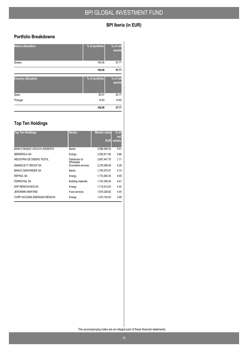## **BPI Iberia (in EUR)**

### **Portfolio Breakdowns**

| <b>Nature allocation</b>  | % of portfolio | % of net<br>assets |
|---------------------------|----------------|--------------------|
| Shares                    | 100.00         | 97.77              |
|                           | 100.00         | 97.77              |
| <b>Country allocation</b> | % of portfolio | % of net<br>assets |
| Spain                     | 85.07          | 83.17              |
| Portugal                  | 14.93          | 14.60              |
|                           | 100.00         | 97.77              |

## **Top Ten Holdings**

| <b>Top Ten Holdings</b>           | <b>Sector</b>               | <b>Market value</b> | $%$ of<br>net |
|-----------------------------------|-----------------------------|---------------------|---------------|
|                                   |                             | EUR                 | assets        |
| BANCO BILBAO VIZCAYA ARGENTA      | <b>Banks</b>                | 3,596,085.03        | 9.51          |
| <b>IBERDROLA SA</b>               | Energy                      | 3,350,971.60        | 8.86          |
| <b>INDUSTRIA DE DISENO TEXTIL</b> | Distribution &<br>Wholesale | 2.687.447.76        | 7.11          |
| AMADEUS IT GROUP SA               | Diversified services        | 2.376.596.48        | 6.28          |
| BANCO SANTANDER SA                | <b>Banks</b>                | 1,793,570.57        | 4.74          |
| REPSOL SA                         | Energy                      | 1,772,945.35        | 4.69          |
| <b>FERROVIAL SA</b>               | <b>Building materials</b>   | 1,743,390.00        | 4.61          |
| EDP RENOVAVEIS SA                 | Energy                      | 1.715.612.00        | 4.54          |
| <b>JERONIMO MARTINS</b>           | Food services               | 1,679,326.82        | 4.45          |
| CORP ACCIONA ENERGIAS RENOVA      | Energy                      | 1,470,150.00        | 3.89          |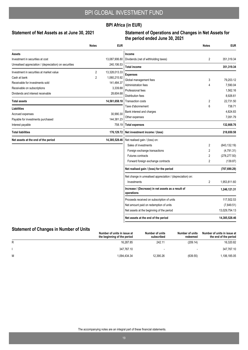### **BPI Africa (in EUR)**

#### Statement of Net Assets as at June 30, 2021

#### **Statement of Operations and Changes in Net Assets for the period ended June 30, 2021**

|                                                        | <b>Notes</b>   | <b>EUR</b>    |                                                                  | <b>Notes</b>   | <b>EUR</b>    |
|--------------------------------------------------------|----------------|---------------|------------------------------------------------------------------|----------------|---------------|
| Assets                                                 |                |               | Income                                                           |                |               |
| Investment in securities at cost                       |                | 13,087,906.80 | Dividends (net of withholding taxes)                             | 2              | 351,319.34    |
| Unrealised appreciation / (depreciation) on securities |                | 240,106.53    | <b>Total income</b>                                              |                | 351,319.34    |
| Investment in securities at market value               | 2              | 13,328,013.33 | <b>Expenses</b>                                                  |                |               |
| Cash at bank                                           | $\overline{2}$ | 1,060,215.92  | Global management fees                                           | 3              | 79,203.12     |
| Receivable for investments sold                        |                | 141,484.37    | Administration fees                                              | 4              | 7,590.04      |
| Receivable on subscriptions                            |                | 3,339.88      | Professional fees                                                |                | 1,562.16      |
| Dividends and interest receivable                      |                | 28,604.68     | Distribution fees                                                |                | 8,926.61      |
| <b>Total assets</b>                                    |                | 14,561,658.18 | Transaction costs                                                | 2              | 22,731.50     |
| <b>Liabilities</b>                                     |                |               | Taxe d'abonnement                                                | 6              | 738.71        |
| Accrued expenses                                       |                | 30,990.30     | Bank interest and charges                                        |                | 4,824.83      |
| Payable for investments purchased                      |                | 144,381.23    | Other expenses                                                   |                | 7,091.79      |
| Interest payable                                       |                | 758.19        | <b>Total expenses</b>                                            |                | 132,668.76    |
| <b>Total liabilities</b>                               |                | 176,129.72    | Net investment income / (loss)                                   |                | 218,650.58    |
| Net assets at the end of the period                    |                | 14,385,528.46 | Net realised gain / (loss) on:                                   |                |               |
|                                                        |                |               | Sales of investments                                             | $\overline{2}$ | (643, 132.19) |
|                                                        |                |               | Foreign exchange transactions                                    | $\overline{2}$ | (4,791.31)    |
|                                                        |                |               | Futures contracts                                                | 2              | (278, 277.50) |
|                                                        |                |               | Forward foreign exchange contracts                               | $\overline{2}$ | (139.87)      |
|                                                        |                |               | Net realised gain / (loss) for the period                        |                | (707, 690.29) |
|                                                        |                |               | Net change in unrealised appreciation / (depreciation) on:       |                |               |
|                                                        |                |               | Investments                                                      | $\overline{2}$ | 1,953,811.60  |
|                                                        |                |               | Increase / (Decrease) in net assets as a result of<br>operations |                | 1,246,121.31  |
|                                                        |                |               | Proceeds received on subscription of units                       |                | 117,502.53    |
|                                                        |                |               | Net amount paid on redemption of units                           |                | (7,849.51)    |
|                                                        |                |               | Net assets at the beginning of the period                        |                | 13,029,754.13 |
|                                                        |                |               | Net assets at the end of the period                              |                | 14,385,528.46 |

## **Statement of Changes in Number of Units**

|   | Number of units in issue at<br>the beginning of the period | Number of units<br>subscribed | Number of units<br>redeemed | Number of units in issue at<br>the end of the period |
|---|------------------------------------------------------------|-------------------------------|-----------------------------|------------------------------------------------------|
| R | 16.287.85                                                  | 242.11                        | (209.14)                    | 16,320.82                                            |
|   | 347.767.10                                                 |                               |                             | 347,767.10                                           |
| M | 1.094.434.34                                               | 12.390.26                     | (639.55)                    | 1,106,185.05                                         |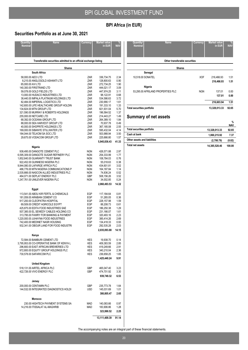## **BPI Africa (in EUR)**

 $\overline{\phantom{a}}$  $\overline{a}$ 

## **Securities Portfolio as at June 30, 2021**

| Quantity/          | <b>Name</b>                                                                          | Currency                 | <b>Market value</b>        | %<br>NAV     |
|--------------------|--------------------------------------------------------------------------------------|--------------------------|----------------------------|--------------|
| Nominal            |                                                                                      |                          | in EUR                     |              |
|                    |                                                                                      |                          |                            |              |
|                    | Transferable securities admitted to an official exchange listing                     |                          |                            |              |
|                    | Shares                                                                               |                          |                            |              |
|                    | South Africa                                                                         |                          |                            |              |
| 58,000.00 AECI LTD |                                                                                      | ZAR                      | 336,734.75                 | 2.34         |
| 65,000.00 AVI LTD  | 8,215.00 ANGLOGOLD ASHANTI LTD                                                       | ZAR<br>ZAR               | 128,800.63<br>272,734.25   | 0.90<br>1.90 |
|                    | 140,300.00 FIRSTRAND LTD                                                             | ZAR                      | 444,021.17                 | 3.09         |
|                    | 59,078.00 GOLD FIELDS LTD                                                            | ZAR                      | 447,974.25                 | 3.11         |
|                    | 13,000.00 HUDACO INDUSTRIES LTD                                                      | ZAR                      | 98,122.91                  | 0.68         |
|                    | 38,440.00 IMPALA PLATINUM HOLDINGS LTD<br>82,484.00 IMPERIAL LOGISTICS LTD           | ZAR<br>ZAR               | 534,586.63<br>230,990.17   | 3.72<br>1.61 |
|                    | 142,600.00 LIFE HEALTHCARE GROUP HOLDIN                                              | ZAR                      | 191,333.10                 | 1.33         |
|                    | 134,824.00 MTN GROUP LTD                                                             | ZAR                      | 821,931.04                 | 5.70         |
|                    | 321,590.00 MURRAY & ROBERTS HOLDINGS                                                 | ZAR                      | 196,564.52                 | 1.37         |
|                    | 255,000.00 NETCARE LTD<br>68,392.00 OCEANA GROUP LTD                                 | ZAR<br>ZAR               | 214,443.27<br>264,389.10   | 1.49<br>1.84 |
|                    | 88,000.00 SEA HARVEST GROUP LTD                                                      | ZAR                      | 70,937.78                  | 0.49         |
|                    | 40,000.00 SHOPRITE HOLDINGS LTD                                                      | ZAR                      | 367,185.08                 | 2.55         |
|                    | 169,000.00 SIBANYE STILLWATER LTD                                                    | ZAR                      | 595,432.04                 | 4.14         |
|                    | 184,044.00 TELKOM SA SOC LTD<br>29,675.00 VODACOM GROUP LTD                          | ZAR<br>ZAR               | 503,988.94<br>225,666.80   | 3.50<br>1.57 |
|                    |                                                                                      |                          | 5,945,836.43               | 41.33        |
|                    |                                                                                      |                          |                            |              |
|                    | Nigeria                                                                              |                          |                            |              |
|                    | 938,495.00 DANGOTE CEMENT PLC<br>6,595,309.00 DANGOTE SUGAR REFINERY PLC             | <b>NGN</b><br>NGN        | 426,571.88<br>254,333.99   | 2.97<br>1.77 |
|                    | 1,852,640.00 GUARANTY TRUST BANK                                                     | <b>NGN</b>               | 108,784.03                 | 0.76         |
|                    | 922,452.00 GUINNESS NIGERIA PLC                                                      | <b>NGN</b>               | 55,018.63                  | 0.38         |
|                    | 9,944,080.00 LAFARGE AFRICA PLC                                                      | <b>NGN</b>               | 434,601.81                 | 3.02         |
|                    | 486,776.00 MTN NIGERIA COMMUNICATIONS P<br>2,535,666.00 NASCON ALLIED INDUSTRIES PLC | <b>NGN</b><br><b>NGN</b> | 164,187.84<br>74,836.24    | 1.14<br>0.52 |
|                    | 464,071.00 SEPLAT ENERGY PLC                                                         | <b>GBP</b>               | 508,156.26                 | 3.52         |
|                    | 1,247,761.00 UNILEVER NIGERIA PLC                                                    | <b>NGN</b>               | 34,002.85                  | 0.24         |
|                    |                                                                                      |                          | 2,060,493.53               | 14.32        |
|                    | Egypt                                                                                |                          |                            |              |
|                    | 113,541.00 ABOU KIR FERTIL & CHEMICALS                                               | EGP                      | 117,184.64                 | 0.81         |
|                    | 181,059.00 ARABIAN CEMENT CO                                                         | EGP                      | 51,265.05                  | 0.36         |
|                    | 917,200.00 CLEOPATRA HOSPITAL<br>69,509.00 CREDIT AGRICOLE EGYPT                     | EGP<br>EGP               | 228,157.98<br>88,208.73    | 1.59<br>0.61 |
|                    | 425,875.00 EDITA FOOD INDUSTRIES SAE                                                 | EGP                      | 186,250.38                 | 1.29         |
|                    | 507,385.00 EL SEWEDY CABLES HOLDING CO                                               | <b>EGP</b>               | 231,166.07                 | 1.61         |
|                    | 313,795.00 FAWRY FOR BANKING & PAYMENT                                               | EGP                      | 320,493.16                 | 2.23         |
|                    | 1,220,000.00 JUHAYNA FOOD INDUSTRIES<br>742,400.00 MEDINET NASR HOUSING              | <b>EGP</b><br>EGP        | 385,414.26                 | 2.69<br>0.93 |
|                    | 932,341.00 OBOUR LAND FOR FOOD INDUSTRI                                              | EGP                      | 134,418.33<br>292,535.28   | 2.03         |
|                    |                                                                                      |                          | 2,035,093.88               | 14.15        |
|                    | Kenya                                                                                |                          |                            |              |
|                    | 72,584.00 BAMBURI CEMENT LTD                                                         | KES                      | 19,938.70                  | 0.14         |
|                    | 3,795,953.00 CO-OPERATIVE BANK OF KENYA L                                            | KES                      | 409.383.59                 | 2.85         |
|                    | 296,800.00 EAST AFRICAN BREWERIES LTD                                                | KES                      | 419,249.66                 | 2.91         |
|                    | 972,800.00 EQUITY GROUP HOLDINGS PLC                                                 | KES                      | 340,210.04                 | 2.36         |
|                    | 730,578.00 SAFARICOM PLC                                                             | KES                      | 236,658.25<br>1,425,440.24 | 1.65         |
|                    |                                                                                      |                          |                            | 9.91         |
|                    | <b>United Kingdom</b>                                                                |                          |                            |              |
|                    | 518,131.00 AIRTEL AFRICA PLC<br>422,726.00 VIVO ENERGY PLC                           | <b>GBP</b><br><b>GBP</b> | 465,047.40<br>474,701.92   | 3.23         |
|                    |                                                                                      |                          | 939,749.32                 | 3.30<br>6.53 |
|                    | Jersey                                                                               |                          |                            |              |
|                    | 200,000.00 CENTAMIN PLC                                                              | GBP                      | 235,773.78                 | 1.64         |
|                    | 144,532.00 INTEGRATED DIAGNOSTICS HOLDI                                              | <b>USD</b>               | 145,031.69                 | 1.01         |
|                    |                                                                                      |                          | 380,805.47                 | 2.65         |
|                    | Morocco                                                                              |                          |                            |              |
|                    | 230.00 HIGHTECH PAYMENT SYSTEMS SA                                                   | MAD                      | 140,083.66                 | 0.97         |
|                    | 14,216.00 ITISSALAT AL-MAGHRIB                                                       | MAD                      | 183,906.86                 | 1.28         |
|                    |                                                                                      |                          | 323,990.52                 | 2.25         |
|                    |                                                                                      |                          | 13,111,409.39              | 91.14        |
|                    |                                                                                      |                          |                            |              |

| <b>Quantity/</b><br><b>Nominal</b> | <b>Name</b>                       | Currency   | <b>Market value</b><br>in EUR | %<br><b>NAV</b> |
|------------------------------------|-----------------------------------|------------|-------------------------------|-----------------|
|                                    | Other transferable securities     |            |                               |                 |
|                                    | <b>Shares</b>                     |            |                               |                 |
|                                    | Senegal                           |            |                               |                 |
| 10,518.00 SONATEL                  |                                   | <b>XOF</b> | 216,466.93                    | 1.51            |
|                                    |                                   |            | 216,466.93                    | 1.51            |
|                                    | Nigeria                           |            |                               |                 |
|                                    | 53,295.00 AFRILAND PROPERTIES PLC | <b>NGN</b> | 137.01                        | 0.00            |
|                                    |                                   |            | 137.01                        | 0.00            |
|                                    |                                   |            | 216,603.94                    | 1.51            |
| <b>Total securities portfolio</b>  |                                   |            | 13,328,013.33                 | 92.65           |

## **Summary of net assets**

|                                   |               | $\%$<br><b>NAV</b> |
|-----------------------------------|---------------|--------------------|
| <b>Total securities portfolio</b> | 13,328,013.33 | 92.65              |
| Cash at bank                      | 1,060,215.92  | 7.37               |
| Other assets and liabilities      | (2,700.79)    | (0.02)             |
| Total net assets                  | 14,385,528.46 | 100.00             |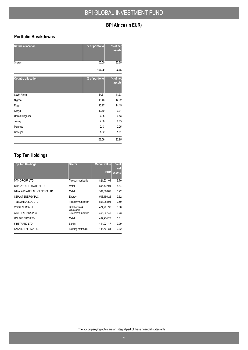## **BPI Africa (in EUR)**

### **Portfolio Breakdowns**

| <b>Nature allocation</b>  | % of portfolio | % of net<br>assets |
|---------------------------|----------------|--------------------|
| <b>Shares</b>             | 100.00         | 92.65              |
|                           | 100.00         | 92.65              |
| <b>Country allocation</b> | % of portfolio | % of net<br>assets |
| South Africa              | 44.61          | 41.33              |
| Nigeria                   | 15.46          | 14.32              |
| Egypt                     | 15.27          | 14.15              |
| Kenya                     | 10.70          | 9.91               |
| United Kingdom            | 7.05           | 6.53               |
| Jersey                    | 2.86           | 2.65               |
| Morocco                   | 2.43           | 2.25               |
| Senegal                   | 1.62           | 1.51               |
|                           | 100.00         | 92.65              |

## **Top Ten Holdings**

| <b>Top Ten Holdings</b>      | <b>Sector</b>               | <b>Market value</b> | $%$ of<br>net |
|------------------------------|-----------------------------|---------------------|---------------|
|                              |                             | <b>EUR</b>          | assets        |
| <b>MTN GROUP LTD</b>         | Telecommunication           | 821,931.04          | 5.70          |
| SIBANYE STILLWATER LTD       | Metal                       | 595.432.04          | 4.14          |
| IMPALA PLATINUM HOLDINGS LTD | Metal                       | 534.586.63          | 3.72          |
| SEPLAT ENERGY PLC            | Energy                      | 508.156.26          | 3.52          |
| TELKOM SA SOC LTD            | Telecommunication           | 503.988.94          | 3.50          |
| <b>VIVO ENERGY PLC</b>       | Distribution &<br>Wholesale | 474.701.92          | 3.30          |
| AIRTEL AFRICA PLC            | Telecommunication           | 465.047.40          | 3.23          |
| <b>GOLD FIELDS LTD</b>       | Metal                       | 447.974.25          | 3.11          |
| <b>FIRSTRAND LTD</b>         | <b>Banks</b>                | 444.021.17          | 3.09          |
| LAFARGE AFRICA PLC           | <b>Building materials</b>   | 434.601.81          | 3.02          |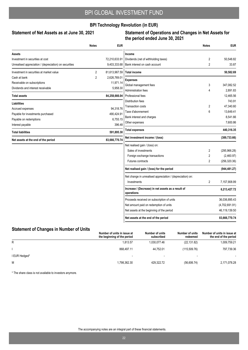### **BPI Technology Revolution (in EUR)**

#### Statement of Net Assets as at June 30, 2021

#### **Statement of Operations and Changes in Net Assets for the period ended June 30, 2021**

|                                                        | <b>Notes</b>   | <b>EUR</b>    |                                                                  | <b>Notes</b>   | <b>EUR</b>     |
|--------------------------------------------------------|----------------|---------------|------------------------------------------------------------------|----------------|----------------|
| <b>Assets</b>                                          |                |               | Income                                                           |                |                |
| Investment in securities at cost                       |                | 72,210,633.91 | Dividends (net of withholding taxes)                             | $\overline{c}$ | 50,548.82      |
| Unrealised appreciation / (depreciation) on securities |                | 9,403,333.68  | Bank interest on cash account                                    | $\overline{2}$ | 33.87          |
| Investment in securities at market value               | $\overline{2}$ | 81,613,967.59 | <b>Total income</b>                                              |                | 50,582.69      |
| Cash at bank                                           | $\overline{2}$ | 2,626,769.01  | <b>Expenses</b>                                                  |                |                |
| Receivable on subscriptions                            |                | 11,971.14     | Global management fees                                           | 3              | 347,082.52     |
| Dividends and interest receivable                      |                | 5,958.30      | Administration fees                                              | 4              | 2,891.83       |
| <b>Total assets</b>                                    |                | 84,258,666.04 | Professional fees                                                |                | 12,465.56      |
| <b>Liabilities</b>                                     |                |               | Distribution fees                                                |                | 743.91         |
| Accrued expenses                                       |                | 94,318.76     | <b>Transaction costs</b>                                         | 2              | 47.340.60      |
| Payable for investments purchased                      |                | 490,424.91    | Taxe d'abonnement                                                | 6              | 13,649.41      |
| Payable on redemptions                                 |                | 6,755.15      | Bank interest and charges                                        |                | 8,541.66       |
| Interest payable                                       |                | 396.48        | Other expenses                                                   |                | 7,600.86       |
| <b>Total liabilities</b>                               |                | 591,895.30    | <b>Total expenses</b>                                            |                | 440,316.35     |
| Net assets at the end of the period                    |                | 83,666,770.74 | Net investment income / (loss)                                   |                | (389, 733.66)  |
|                                                        |                |               | Net realised gain / (loss) on:                                   |                |                |
|                                                        |                |               | Sales of investments                                             | 2              | (295,966.28)   |
|                                                        |                |               | Foreign exchange transactions                                    | $\overline{2}$ | (2,460.97)     |
|                                                        |                |               | Futures contracts                                                | $\overline{2}$ | (256, 320.36)  |
|                                                        |                |               | Net realised gain / (loss) for the period                        |                | (944, 481.27)  |
|                                                        |                |               | Net change in unrealised appreciation / (depreciation) on:       |                |                |
|                                                        |                |               | Investments                                                      | $\overline{2}$ | 7,157,908.99   |
|                                                        |                |               | Increase / (Decrease) in net assets as a result of<br>operations |                | 6,213,427.72   |
|                                                        |                |               | Proceeds received on subscription of units                       |                | 36,036,895.43  |
|                                                        |                |               | Net amount paid on redemption of units                           |                | (4,702,691.91) |
|                                                        |                |               | Net assets at the beginning of the period                        |                | 46,119,139.50  |
|                                                        |                |               | Net assets at the end of the period                              |                | 83,666,770.74  |

#### **Statement of Changes in Number of Units**

|               | Number of units in issue at<br>the beginning of the period | Number of units<br>subscribed | Number of units<br>redeemed | Number of units in issue at<br>the end of the period |
|---------------|------------------------------------------------------------|-------------------------------|-----------------------------|------------------------------------------------------|
| R             | 1.813.57                                                   | 1,030,077.46                  | (22, 131.82)                | 1,009,759.21                                         |
|               | 868.497.11                                                 | 44.752.01                     | (115.509.76)                | 797,739.36                                           |
| I EUR Hedged* | $\overline{\phantom{a}}$                                   |                               |                             |                                                      |
| М             | .798.362.30                                                | 429,322.72                    | (56, 606.74)                | 2,171,078.28                                         |

\* The share class is not available to investors anymore.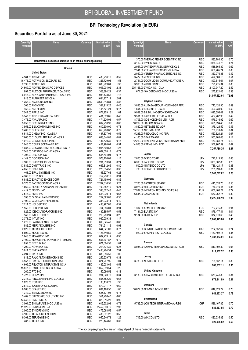## **BPI Technology Revolution (in EUR)**

## **Securities Portfolio as at June 30, 2021**

| Quantity/<br>Nominal                                             | <b>Name</b>                                                                  | Currency          | <b>Market value</b><br>in EUR | <b>NAV</b>   |  |  |  |  |  |  |
|------------------------------------------------------------------|------------------------------------------------------------------------------|-------------------|-------------------------------|--------------|--|--|--|--|--|--|
|                                                                  |                                                                              |                   |                               |              |  |  |  |  |  |  |
|                                                                  |                                                                              |                   |                               |              |  |  |  |  |  |  |
| Transferable securities admitted to an official exchange listing |                                                                              |                   |                               |              |  |  |  |  |  |  |
|                                                                  | Shares                                                                       |                   |                               |              |  |  |  |  |  |  |
|                                                                  | <b>United States</b><br>4,561.00 ABBVIE INC                                  | USD               | 433,216.16                    | 0.52         |  |  |  |  |  |  |
|                                                                  | 16,473.00 ACTIVISION BLIZZARD INC                                            | <b>USD</b>        | 1,325,729.93                  | 1.58         |  |  |  |  |  |  |
|                                                                  | 2,195.00 ADOBE INC                                                           | <b>USD</b>        | 1,083,969.81                  | 1.30         |  |  |  |  |  |  |
|                                                                  | 24,569.00 ADVANCED MICRO DEVICES                                             | <b>USD</b>        | 1,946,004.02                  | 2.33         |  |  |  |  |  |  |
|                                                                  | 1,994.00 ALEXION PHARMACEUTICALS INC<br>6,915.00 ALNYLAM PHARMACEUTICALS INC | <b>USD</b><br>USD | 308,894.29<br>988,473.56      | 0.37<br>1.18 |  |  |  |  |  |  |
|                                                                  | 818.00 ALPHABET INC-CL A                                                     | USD               | 1,684,277.11                  | 2.01         |  |  |  |  |  |  |
|                                                                  | 1,258.00 AMAZON.COM INC                                                      | <b>USD</b>        | 3,649,313.84                  | 4.36         |  |  |  |  |  |  |
|                                                                  | 1,305.00 ANSYS INC<br>452.00 ANTHEM INC                                      | <b>USD</b><br>USD | 381,915.25<br>145,521.21      | 0.46<br>0.17 |  |  |  |  |  |  |
|                                                                  | 7,544.00 APPLE INC                                                           | <b>USD</b>        | 871,259.16                    | 1.04         |  |  |  |  |  |  |
|                                                                  | 3,347.00 APPLIED MATERIALS INC                                               | <b>USD</b>        | 401,899.65                    | 0.48         |  |  |  |  |  |  |
|                                                                  | 3,478.00 AVALARA INC                                                         | USD               | 474,526.01                    | 0.57         |  |  |  |  |  |  |
|                                                                  | 5,250.00 BEYOND MEAT INC<br>3,953.00 BILL.COM HOLDINGS INC                   | <b>USD</b><br>USD | 697,210.98<br>610,600.00      | 0.83<br>0.73 |  |  |  |  |  |  |
|                                                                  | 9,400.00 CHEGG INC                                                           | USD               | 658,768.87                    | 0.79         |  |  |  |  |  |  |
|                                                                  | 6,514.00 CHEWY INC - CLASS A                                                 | USD               | 437,837.04                    | 0.52         |  |  |  |  |  |  |
|                                                                  | 7,660.00 CLOUDFLARE INC - CLASS A                                            | USD               | 683,644.83                    | 0.82         |  |  |  |  |  |  |
|                                                                  | 1,970.00 COSTAR GROUP INC<br>2,045.00 COUPA SOFTWARE INC                     | <b>USD</b><br>USD | 137,579.39<br>451,990.01      | 0.16<br>0.54 |  |  |  |  |  |  |
|                                                                  | 4,935.00 CROWDSTRIKE HOLDINGS INC - A                                        | <b>USD</b>        | 1,045,800.53                  | 1.25         |  |  |  |  |  |  |
|                                                                  | 7,543.00 DATADOG INC - CLASS A                                               | <b>USD</b>        | 662,008.13                    | 0.79         |  |  |  |  |  |  |
|                                                                  | 1,793.00 DEXCOM INC<br>4,149.00 DOCUSIGN INC                                 | USD<br><b>USD</b> | 645,594.91<br>978,106.02      | 0.77<br>1.17 |  |  |  |  |  |  |
|                                                                  | 7,900.00 DROPBOX INC-CLASS A                                                 | USD               | 201,913.31                    | 0.24         |  |  |  |  |  |  |
|                                                                  | 13,536.00 DYNATRACE INC                                                      | <b>USD</b>        | 666,812.65                    | 0.80         |  |  |  |  |  |  |
|                                                                  | 4,655.00 EBAY INC                                                            | USD               | 275,594.53                    | 0.33         |  |  |  |  |  |  |
|                                                                  | 461.00 EPAM SYSTEMS INC<br>4,363.00 ETSY INC                                 | USD<br>USD        | 198,627.68<br>757,298.19      | 0.24<br>0.91 |  |  |  |  |  |  |
|                                                                  | 6,883.00 EXACT SCIENCES CORP                                                 | USD               | 721,499.06                    | 0.86         |  |  |  |  |  |  |
|                                                                  | 9,370.00 FACEBOOK INC-CLASS A                                                | <b>USD</b>        | 2,747,316.55                  | 3.28         |  |  |  |  |  |  |
|                                                                  | 1,669.00 FIDELITY NATIONAL INFO SERV<br>4,419.00 FISERV INC                  | USD<br><b>USD</b> | 199,382.10<br>398,302.48      | 0.24<br>0.48 |  |  |  |  |  |  |
|                                                                  | 3,518.00 FIVE9 INC                                                           | <b>USD</b>        | 544,030.71                    | 0.65         |  |  |  |  |  |  |
|                                                                  | 1,596.00 GLOBAL PAYMENTS INC                                                 | USD               | 252,393.83                    | 0.30         |  |  |  |  |  |  |
|                                                                  | 3,192.00 GUARDANT HEALTH INC                                                 | USD               | 334,273.11                    | 0.40         |  |  |  |  |  |  |
|                                                                  | 7,714.00 HOLOGIC INC<br>1,555.00 HUBSPOT INC                                 | USD<br>USD        | 433,997.88<br>764,086.01      | 0.52<br>0.91 |  |  |  |  |  |  |
|                                                                  | 826.00 IDEXX LABORATORIES INC                                                | USD               | 439,885.57                    | 0.53         |  |  |  |  |  |  |
|                                                                  | 943.00 INSULET CORP                                                          | USD               | 218,283.94                    | 0.26         |  |  |  |  |  |  |
|                                                                  | 2,371.00 INTUIT INC<br>1,270.00 LAM RESEARCH CORP                            | USD<br><b>USD</b> | 980,009.33<br>696,845.43      | 1.17<br>0.83 |  |  |  |  |  |  |
|                                                                  | 582.00 MERCADOLIBRE INC                                                      | <b>USD</b>        | 764,511.16                    | 0.91         |  |  |  |  |  |  |
|                                                                  | 2,822.00 MICROSOFT CORP                                                      | <b>USD</b>        | 644,641.03                    | 0.77         |  |  |  |  |  |  |
|                                                                  | 5,692.00 MODERNA INC                                                         | USD               | 1,127,840.59                  | 1.35         |  |  |  |  |  |  |
|                                                                  | 2,648.00 MONGODB INC<br>2,100.00 MONOLITHIC POWER SYSTEMS INC                | USD<br>USD        | 807,239.19<br>661,307.87      | 0.96<br>0.79 |  |  |  |  |  |  |
|                                                                  | 1,957.00 NETFLIX INC                                                         | USD               | 871,664.53                    | 1.04         |  |  |  |  |  |  |
|                                                                  | 1,200.00 NOVAVAX INC                                                         | USD               | 214,834.30                    | 0.26         |  |  |  |  |  |  |
|                                                                  | 3,614.00 NVIDIA CORP<br>4,294.00 OKTA INC                                    | USD<br>USD        | 2,438,284.34<br>885,956.59    | 2.91<br>1.06 |  |  |  |  |  |  |
|                                                                  | 818.00 PALO ALTO NETWORKS INC                                                | USD               | 255,939.71                    | 0.31         |  |  |  |  |  |  |
|                                                                  | 3,557.00 PAYPAL HOLDINGS INC-W/I                                             | USD               | 874,267.95                    | 1.04         |  |  |  |  |  |  |
|                                                                  | 4,609.00 PELOTON INTERACTIVE INC-A                                           | USD               | 482,003.69                    | 0.58         |  |  |  |  |  |  |
|                                                                  | 15,817.00 PINTEREST INC- CLASS A<br>1,260.00 PTC INC                         | USD<br>USD        | 1,052,999.54<br>150,086.52    | 1.26<br>0.18 |  |  |  |  |  |  |
|                                                                  | 1,727.00 QORVO INC                                                           | USD               | 284,920.78                    | 0.34         |  |  |  |  |  |  |
|                                                                  | 2,313.00 RINGCENTRAL INC-CLASS A                                             | USD               | 566,752.29                    | 0.68         |  |  |  |  |  |  |
|                                                                  | 2,926.00 ROKU INC<br>2,812.00 SALESFORCE.COM INC                             | USD<br>USD        | 1,133,118.73<br>579,211.77    | 1.35<br>0.69 |  |  |  |  |  |  |
|                                                                  | 6,266.00 SEAGEN INC                                                          | USD               | 834,198.57                    | 1.00         |  |  |  |  |  |  |
|                                                                  | 1,349.00 SERVICENOW INC                                                      | USD               | 625,131.08                    | 0.75         |  |  |  |  |  |  |
|                                                                  | 3,409.00 SKYWORKS SOLUTIONS INC                                              | USD               | 551,206.47                    | 0.66         |  |  |  |  |  |  |
|                                                                  | 14,442.00 SNAP INC - A<br>3,004.00 SNOWFLAKE INC-CLASS A                     | USD<br>USD        | 829,815.23<br>612,502.91      | 0.99<br>0.73 |  |  |  |  |  |  |
|                                                                  | 11,929.00 SQUARE INC - A                                                     | <b>USD</b>        | 2,452,390.76                  | 2.93         |  |  |  |  |  |  |
|                                                                  | 2,060.00 SYNOPSYS INC                                                        | USD               | 479,068.56                    | 0.57         |  |  |  |  |  |  |
|                                                                  | 3,105.00 TELADOC HEALTH INC<br>9,301.00 TERADYNE INC                         | <b>USD</b><br>USD | 435,391.22<br>1,050,646.73    | 0.52<br>1.26 |  |  |  |  |  |  |
|                                                                  | 487.00 TESLA INC                                                             | USD               | 279,124.63                    | 0.33         |  |  |  |  |  |  |
|                                                                  |                                                                              |                   |                               |              |  |  |  |  |  |  |

| Quantity/<br><b>Nominal</b> | <b>Name</b>                            | Currency   | <b>Market value</b><br>in EUR | %<br><b>NAV</b> |
|-----------------------------|----------------------------------------|------------|-------------------------------|-----------------|
|                             |                                        |            |                               |                 |
|                             | 1,370.00 THERMO FISHER SCIENTIFIC INC  | USD        | 582,784.30                    | 0.70            |
|                             | 3,112.00 TWILIO INC - A                | <b>USD</b> | 1,034,341.78                  | 1.24            |
|                             | 2,957.00 UNITED PARCEL SERVICE-CL B    | <b>USD</b> | 518,565.89                    | 0.62            |
|                             | 2,541.00 VEEVA SYSTEMS INC-CLASS A     | <b>USD</b> | 666,265.24                    | 0.80            |
|                             | 2,059.00 VERTEX PHARMACEUTICALS INC    | <b>USD</b> | 350,076.88                    | 0.42            |
|                             | 3,472.00 ZENDESK INC                   | <b>USD</b> | 422,589.16                    | 0.51            |
|                             | 2,751.00 ZOOM VIDEO COMMUNICATIONS-A   | <b>USD</b> | 897,815.61                    | 1.07            |
|                             | 3,960.00 ZSCALER INC                   | <b>USD</b> | 721,475.34                    | 0.86            |
|                             | 235,166.00 ZYNGA INC - CL A            | <b>USD</b> | 2,107,947.20                  | 2.52            |
|                             | 1,671.00 10X GENOMICS INC-CLASS A      | <b>USD</b> | 275,921.43                    | 0.33            |
|                             |                                        |            | 61,057,532.64                 | 72.98           |
|                             |                                        |            |                               |                 |
|                             | Cayman Islands                         |            |                               |                 |
|                             | 3,886.00 ALIBABA GROUP HOLDING-SP ADR  | <b>USD</b> | 743,120.90                    | 0.89            |
|                             | 1,694.00 BEIGENE LTD-ADR               | <b>USD</b> | 490,230.09                    | 0.59            |
|                             | 9,982.00 BILIBILI INC-SPONSORED ADR    | <b>USD</b> | 1,025,556.02                  | 1.22            |
|                             | 9,591.00 FARFETCH LTD-CLASS A          | <b>USD</b> | 407,287.93                    | 0.49            |
|                             | 8,703.00 GDS HOLDINGS LTD - ADR        | <b>USD</b> | 576,016.92                    | 0.69            |
|                             | 10,269.00 JD.COM INC-ADR               | <b>USD</b> | 691,094.43                    | 0.83            |
|                             | 3,860.00 NETEASE INC-ADR               | <b>USD</b> | 375,128.59                    | 0.45            |
|                             |                                        |            |                               |                 |
|                             | 15,758.00 NIO INC - ADR                | <b>USD</b> | 706.910.87                    | 0.84            |
|                             | 5,236.00 PINDUODUO INC-ADR             | <b>USD</b> | 560,820.24                    | 0.67            |
|                             | 4,160.00 SEA LTD-ADR                   | <b>USD</b> | 963,265.03                    | 1.14            |
|                             | 12,210.00 TENCENT MUSIC ENTERTAINM-ADR | <b>USD</b> | 159,381.74                    | 0.19            |
|                             | 14,923.00 XPENG INC - ADR              | <b>USD</b> | 558,967.59                    | 0.67            |
|                             |                                        |            | 7,257,780.35                  | 8.67            |
|                             |                                        |            |                               |                 |
|                             | Japan                                  |            |                               |                 |
|                             | 2,800.00 DISCO CORP                    | JPY        | 722,213.93                    | 0.86            |
|                             | 6,300.00 LASERTEC CORP                 | JPY        | 1,033,382.83                  | 1.23            |
|                             | 1,500.00 NINTENDO CO LTD               | JPY        | 736,421.17                    | 0.88            |
|                             | 700.00 TOKYO ELECTRON LTD              | JPY        | 255,699.89                    | 0.31            |
|                             |                                        |            | 2,747,717.82                  | 3.28            |
|                             |                                        |            |                               |                 |
|                             | Germany                                |            |                               |                 |
|                             | 2,200.00 BIONTECH SE-ADR               | <b>USD</b> | 415,326.76                    | 0.50            |
|                             | 8,978.00 HELLOFRESH SE                 | <b>EUR</b> | 736,016.44                    | 0.88            |
|                             | 17,932.00 INFINEON TECHNOLOGIES AG     | <b>EUR</b> | 606,460.24                    | 0.72            |
|                             | 6,545.00 ZALANDO SE                    | <b>EUR</b> | 667,262.75                    | 0.80            |
|                             |                                        |            | 2,425,066.19                  | 2.90            |
|                             |                                        |            |                               |                 |
|                             | Netherlands                            |            |                               |                 |
|                             | 1,307.00 ASML HOLDING NV               | <b>EUR</b> | 757,275.80                    | 0.91            |
|                             | 7,131.00 ELASTIC NV                    | <b>USD</b> | 876,477.41                    | 1.04            |
|                             | 9,184.00 QIAGEN N.V.                   | <b>USD</b> | 374,670.65                    | 0.45            |
|                             |                                        |            |                               | 2.40            |
|                             |                                        |            | 2,008,423.86                  |                 |
|                             | Canada                                 |            |                               |                 |
|                             | 160.00 CONSTELLATION SOFTWARE INC      | CAD        | 204,552.67                    | 0.24            |
|                             | 920.00 SHOPIFY INC - CLASS A           | USD        | 1,133,402.14                  | 1.36            |
|                             |                                        |            | 1,337,954.81                  | 1.60            |
|                             |                                        |            |                               |                 |
|                             | Taiwan                                 |            |                               |                 |
|                             | 8,084.00 TAIWAN SEMICONDUCTOR-SP ADR   | <b>USD</b> | 819,102.32                    | 0.98            |
|                             |                                        |            | 819,102.32                    | 0.98            |
|                             |                                        |            |                               |                 |
|                             | Jersey                                 |            |                               |                 |
|                             | 3,788.00 NOVOCURE LTD                  | <b>USD</b> | 708,537.11                    | 0.85            |
|                             |                                        |            | 708,537.11                    | 0.85            |
|                             |                                        |            |                               |                 |
|                             | <b>United Kingdom</b>                  |            |                               |                 |
|                             | 3,136.00 ATLASSIAN CORP PLC-CLASS A    | USD.       | 679,241.89                    | 0.81            |
|                             |                                        |            | 679,241.89                    | 0.81            |
|                             |                                        |            |                               |                 |
|                             | Denmark                                |            |                               |                 |
|                             | 18,874.00 GENMAB A/S -SP ADR           | <b>USD</b> | 649,823.27                    | 0.78            |
|                             |                                        |            | 649,823.27                    | 0.78            |
|                             | <b>Switzerland</b>                     |            |                               |                 |
|                             |                                        |            |                               |                 |
|                             | 5,732.00 LOGITECH INTERNATIONAL-REG    | CHF        | 586,167.85                    | 0.70            |
|                             |                                        |            | 586,167.85                    | 0.70            |
|                             | Israel                                 |            |                               |                 |
|                             |                                        |            |                               |                 |
|                             | 1,716.00 WIX.COM LTD                   | USD.       | 420,035.82                    | 0.50            |
|                             |                                        |            | 420.035.82                    | 0.50            |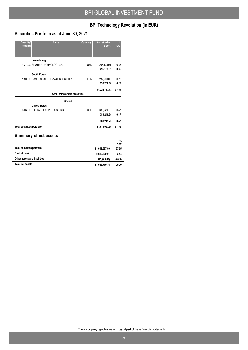## **BPI Technology Revolution (in EUR)**

## **Securities Portfolio as at June 30, 2021**

| <b>Name</b><br>Quantity/<br><b>Nominal</b> | Currency   | <b>Market value</b><br>in EUR | $\frac{9}{6}$<br><b>NAV</b> |
|--------------------------------------------|------------|-------------------------------|-----------------------------|
| Luxembourg                                 |            |                               |                             |
| 1,270.00 SPOTIFY TECHNOLOGY SA             | <b>USD</b> | 295,133.91<br>295,133.91      | 0.35<br>0.35                |
| South Korea                                |            |                               |                             |
| 1.800.00 SAMSUNG SDI CO-144A REGS GDR      | <b>EUR</b> | 232,200.00<br>232,200.00      | 0.28<br>0.28                |
|                                            |            | 81,224,717.84                 | 97.08                       |
| Other transferable securities              |            |                               |                             |
| <b>Shares</b>                              |            |                               |                             |
| <b>United States</b>                       |            |                               |                             |
| 3.068.00 DIGITAL REALTY TRUST INC          | <b>USD</b> | 389,249.75                    | 047                         |
|                                            |            | 389,249.75                    | 0.47                        |
|                                            |            | 389,249.75                    | 0.47                        |
| <b>Total securities portfolio</b>          |            | 81,613,967.59                 | 97.55                       |
| <b>Summary of net assets</b>               |            |                               |                             |
|                                            |            |                               | $\frac{9}{6}$<br><b>NAV</b> |
| <b>Total securities portfolio</b>          |            | 81,613,967.59                 | 97.55                       |
| Cash at bank                               |            | 2,626,769.01                  | 3.14                        |
|                                            |            |                               |                             |
| Other assets and liabilities               |            | (573,965.86)                  | (0.69)                      |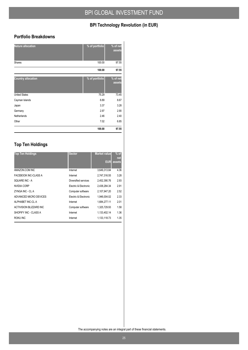## **BPI Technology Revolution (in EUR)**

#### **Portfolio Breakdowns**

| <b>Nature allocation</b>  | % of portfolio | % of net<br>assets |
|---------------------------|----------------|--------------------|
| <b>Shares</b>             | 100.00         | 97.55              |
|                           | 100.00         | 97.55              |
| <b>Country allocation</b> | % of portfolio | % of net<br>assets |
| <b>United States</b>      | 75.29          | 73.45              |
| Cayman Islands            | 8.89           | 8.67               |
| Japan                     | 3.37           | 3.28               |
| Germany                   | 2.97           | 2.90               |
| Netherlands               | 2.46           | 2.40               |
| Other                     | 7.02           | 6.85               |
|                           | 100.00         | 97.55              |

## **Top Ten Holdings**

| <b>Top Ten Holdings</b> | <b>Sector</b>         | <b>Market value</b> | $%$ of<br>net |
|-------------------------|-----------------------|---------------------|---------------|
|                         |                       | <b>EUR</b>          | assets        |
| AMAZON.COM INC          | Internet              | 3,649,313.84        | 4.36          |
| FACEBOOK INC-CLASS A    | Internet              | 2,747,316.55        | 3.28          |
| SOUARE INC - A          | Diversified services  | 2,452,390.76        | 2.93          |
| NVIDIA CORP             | Electric & Electronic | 2,438,284.34        | 2.91          |
| ZYNGA INC - CL A        | Computer software     | 2,107,947.20        | 2.52          |
| ADVANCED MICRO DEVICES  | Electric & Electronic | 1.946.004.02        | 2.33          |
| ALPHABET INC-CL A       | Internet              | 1,684,277.11        | 2.01          |
| ACTIVISION BLIZZARD INC | Computer software     | 1.325.729.93        | 1.58          |
| SHOPIFY INC - CLASS A   | Internet              | 1.133.402.14        | 1.36          |
| ROKU INC                | Internet              | 1,133,118.73        | 1.35          |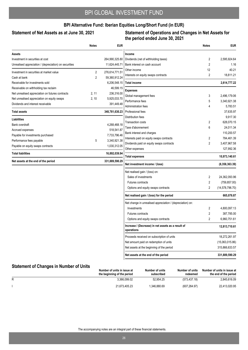#### Statement of Net Assets as at June 30, 2021

#### **Statement of Operations and Changes in Net Assets for the period ended June 30, 2021**

| Dividends (net of withholding taxes)<br>2<br>2<br>Bank interest on cash account<br>12<br>2<br>Interests on equity swaps contracts<br><b>Total income</b><br>3<br>Global management fees<br>Performance fees<br>5 | 2,595,924.64<br>1.16<br>40.21<br>18,811.21<br>2,614,777.22<br>2,496,179.06                                                                                                                                                                                                                                                                                                                                                                                                                                                                                                                                                                                                                                                                                                                                                                                              |
|------------------------------------------------------------------------------------------------------------------------------------------------------------------------------------------------------------------|-------------------------------------------------------------------------------------------------------------------------------------------------------------------------------------------------------------------------------------------------------------------------------------------------------------------------------------------------------------------------------------------------------------------------------------------------------------------------------------------------------------------------------------------------------------------------------------------------------------------------------------------------------------------------------------------------------------------------------------------------------------------------------------------------------------------------------------------------------------------------|
|                                                                                                                                                                                                                  |                                                                                                                                                                                                                                                                                                                                                                                                                                                                                                                                                                                                                                                                                                                                                                                                                                                                         |
|                                                                                                                                                                                                                  |                                                                                                                                                                                                                                                                                                                                                                                                                                                                                                                                                                                                                                                                                                                                                                                                                                                                         |
|                                                                                                                                                                                                                  |                                                                                                                                                                                                                                                                                                                                                                                                                                                                                                                                                                                                                                                                                                                                                                                                                                                                         |
|                                                                                                                                                                                                                  |                                                                                                                                                                                                                                                                                                                                                                                                                                                                                                                                                                                                                                                                                                                                                                                                                                                                         |
|                                                                                                                                                                                                                  |                                                                                                                                                                                                                                                                                                                                                                                                                                                                                                                                                                                                                                                                                                                                                                                                                                                                         |
|                                                                                                                                                                                                                  |                                                                                                                                                                                                                                                                                                                                                                                                                                                                                                                                                                                                                                                                                                                                                                                                                                                                         |
|                                                                                                                                                                                                                  |                                                                                                                                                                                                                                                                                                                                                                                                                                                                                                                                                                                                                                                                                                                                                                                                                                                                         |
|                                                                                                                                                                                                                  |                                                                                                                                                                                                                                                                                                                                                                                                                                                                                                                                                                                                                                                                                                                                                                                                                                                                         |
|                                                                                                                                                                                                                  |                                                                                                                                                                                                                                                                                                                                                                                                                                                                                                                                                                                                                                                                                                                                                                                                                                                                         |
|                                                                                                                                                                                                                  | 3,340,921.38                                                                                                                                                                                                                                                                                                                                                                                                                                                                                                                                                                                                                                                                                                                                                                                                                                                            |
| <b>Administration fees</b><br>4                                                                                                                                                                                  | 5,783.51                                                                                                                                                                                                                                                                                                                                                                                                                                                                                                                                                                                                                                                                                                                                                                                                                                                                |
|                                                                                                                                                                                                                  | 37,635.97                                                                                                                                                                                                                                                                                                                                                                                                                                                                                                                                                                                                                                                                                                                                                                                                                                                               |
|                                                                                                                                                                                                                  | 9,917.30                                                                                                                                                                                                                                                                                                                                                                                                                                                                                                                                                                                                                                                                                                                                                                                                                                                                |
|                                                                                                                                                                                                                  | 628,070.15                                                                                                                                                                                                                                                                                                                                                                                                                                                                                                                                                                                                                                                                                                                                                                                                                                                              |
|                                                                                                                                                                                                                  | 24,011.34                                                                                                                                                                                                                                                                                                                                                                                                                                                                                                                                                                                                                                                                                                                                                                                                                                                               |
|                                                                                                                                                                                                                  | 110,200.57                                                                                                                                                                                                                                                                                                                                                                                                                                                                                                                                                                                                                                                                                                                                                                                                                                                              |
|                                                                                                                                                                                                                  | 784,461.39                                                                                                                                                                                                                                                                                                                                                                                                                                                                                                                                                                                                                                                                                                                                                                                                                                                              |
|                                                                                                                                                                                                                  | 3,407,967.58                                                                                                                                                                                                                                                                                                                                                                                                                                                                                                                                                                                                                                                                                                                                                                                                                                                            |
|                                                                                                                                                                                                                  | 127,992.36                                                                                                                                                                                                                                                                                                                                                                                                                                                                                                                                                                                                                                                                                                                                                                                                                                                              |
|                                                                                                                                                                                                                  | 10,973,140.61                                                                                                                                                                                                                                                                                                                                                                                                                                                                                                                                                                                                                                                                                                                                                                                                                                                           |
|                                                                                                                                                                                                                  | (8,358,363.39)                                                                                                                                                                                                                                                                                                                                                                                                                                                                                                                                                                                                                                                                                                                                                                                                                                                          |
|                                                                                                                                                                                                                  |                                                                                                                                                                                                                                                                                                                                                                                                                                                                                                                                                                                                                                                                                                                                                                                                                                                                         |
| 2                                                                                                                                                                                                                | 24,362,093.96                                                                                                                                                                                                                                                                                                                                                                                                                                                                                                                                                                                                                                                                                                                                                                                                                                                           |
| 2                                                                                                                                                                                                                | (759, 857.00)                                                                                                                                                                                                                                                                                                                                                                                                                                                                                                                                                                                                                                                                                                                                                                                                                                                           |
| 2                                                                                                                                                                                                                | (14, 578, 796.70)                                                                                                                                                                                                                                                                                                                                                                                                                                                                                                                                                                                                                                                                                                                                                                                                                                                       |
|                                                                                                                                                                                                                  | 665,076.87                                                                                                                                                                                                                                                                                                                                                                                                                                                                                                                                                                                                                                                                                                                                                                                                                                                              |
|                                                                                                                                                                                                                  |                                                                                                                                                                                                                                                                                                                                                                                                                                                                                                                                                                                                                                                                                                                                                                                                                                                                         |
| 2                                                                                                                                                                                                                | 4,800,097.13                                                                                                                                                                                                                                                                                                                                                                                                                                                                                                                                                                                                                                                                                                                                                                                                                                                            |
| 2                                                                                                                                                                                                                | 387,785.00                                                                                                                                                                                                                                                                                                                                                                                                                                                                                                                                                                                                                                                                                                                                                                                                                                                              |
| 2                                                                                                                                                                                                                | 6,960,751.61                                                                                                                                                                                                                                                                                                                                                                                                                                                                                                                                                                                                                                                                                                                                                                                                                                                            |
|                                                                                                                                                                                                                  | 12,813,710.61                                                                                                                                                                                                                                                                                                                                                                                                                                                                                                                                                                                                                                                                                                                                                                                                                                                           |
|                                                                                                                                                                                                                  | 18,272,261.97                                                                                                                                                                                                                                                                                                                                                                                                                                                                                                                                                                                                                                                                                                                                                                                                                                                           |
|                                                                                                                                                                                                                  | (15,063,015.86)                                                                                                                                                                                                                                                                                                                                                                                                                                                                                                                                                                                                                                                                                                                                                                                                                                                         |
|                                                                                                                                                                                                                  | 315,866,633.57                                                                                                                                                                                                                                                                                                                                                                                                                                                                                                                                                                                                                                                                                                                                                                                                                                                          |
|                                                                                                                                                                                                                  | 331,889,590.29                                                                                                                                                                                                                                                                                                                                                                                                                                                                                                                                                                                                                                                                                                                                                                                                                                                          |
|                                                                                                                                                                                                                  | Professional fees<br>Distribution fees<br>2<br><b>Transaction costs</b><br>6<br>Taxe d'abonnement<br>Bank interest and charges<br>2<br>Interests paid on equity swaps contracts<br>Dividends paid on equity swaps contracts<br>2<br>Other expenses<br><b>Total expenses</b><br>Net investment income / (loss)<br>Net realised gain / (loss) on:<br>Sales of investments<br><b>Futures contracts</b><br>Options and equity swaps contracts<br>Net realised gain / (loss) for the period<br>Net change in unrealised appreciation / (depreciation) on:<br>Investments<br><b>Futures contracts</b><br>Options and equity swaps contracts<br>Increase / (Decrease) in net assets as a result of<br>Proceeds received on subscription of units<br>Net amount paid on redemption of units<br>Net assets at the beginning of the period<br>Net assets at the end of the period |

|  | Number of units in issue at<br>the beginning of the period | Number of units<br>subscribed | Number of units<br>redeemed | Number of units in issue at<br>the end of the period |
|--|------------------------------------------------------------|-------------------------------|-----------------------------|------------------------------------------------------|
|  | 3.366.099.02                                               | 52.954.25                     | (573, 437.18)               | 2,845,616.09                                         |
|  | 21.673.405.23                                              | 1.346.880.69                  | (607, 264.97)               | 22,413,020.95                                        |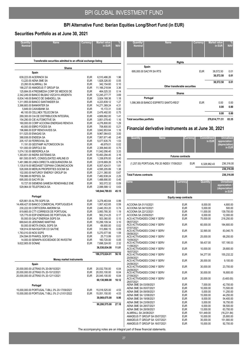j,  $\overline{\phantom{a}}$ 

## **Securities Portfolio as at June 30, 2021**

| Quantity/<br><b>Name</b><br><b>Nominal</b>                                                                                        | Currency                               | <b>Market value</b><br>in EUR                 | ℅<br><b>NAV</b>      |  |  |  |  |  |  |
|-----------------------------------------------------------------------------------------------------------------------------------|----------------------------------------|-----------------------------------------------|----------------------|--|--|--|--|--|--|
| Transferable securities admitted to an official exchange listing                                                                  |                                        |                                               |                      |  |  |  |  |  |  |
| <b>Shares</b>                                                                                                                     |                                        |                                               |                      |  |  |  |  |  |  |
| Spain                                                                                                                             |                                        |                                               |                      |  |  |  |  |  |  |
| 639,223.00 ACERINOX SA<br>13,220.00 AENA SME SA<br>23.260.00 ALMIRALL SA                                                          | <b>EUR</b><br><b>EUR</b><br><b>EUR</b> | 6,510,486.26<br>1,828,326.00<br>342,154.60    | 1.96<br>0.55<br>0.10 |  |  |  |  |  |  |
| 188,237.00 AMADEUS IT GROUP SA<br>125,684.00 ATRESMEDIA CORP DE MEDIOS DE                                                         | <b>EUR</b><br><b>EUR</b>               | 11,166,218.84<br>464,025.33                   | 3.36<br>0.14         |  |  |  |  |  |  |
| 2,342,249.00 BANCO BILBAO VIZCAYA ARGENTA<br>6,834,149.00 BANCO DE SABADELL SA<br>1,311,955.00 BANCO SANTANDER SA                 | <b>EUR</b><br><b>EUR</b><br><b>EUR</b> | 12,245,277.77<br>3,924,168.36<br>4,223,839.12 | 3.69<br>1.18<br>1.27 |  |  |  |  |  |  |
| 3,366,683.00 BANKINTER SA<br>5,849.00 CAIXABANK SA                                                                                | <b>EUR</b><br><b>EUR</b>               | 14,271,369.24<br>15,172.31                    | 4.31<br>0.00         |  |  |  |  |  |  |
| 46,100.00 CELLNEX TELECOM SA<br>269,300.00 CIA DE DISTRIBUCION INTEGRAL<br>154,290.00 CIE AUTOMOTIVE SA                           | <b>EUR</b><br><b>EUR</b><br><b>EUR</b> | 2,476,492.00<br>4,669,662.00<br>3,851,078.40  | 0.75<br>1.41<br>1.16 |  |  |  |  |  |  |
| 160,000.00 CORP ACCIONA ENERGIAS RENOVA<br>40.000.00 EBRO FOODS SA<br>196,666.00 EDP RENOVAVEIS SA                                | <b>EUR</b><br><b>EUR</b><br><b>EUR</b> | 4,276,800.00<br>708,800.00                    | 1.29<br>0.21<br>1.16 |  |  |  |  |  |  |
| 511,525.00 ENAGAS SA<br>388,938.00 ENDESA SA                                                                                      | <b>EUR</b><br><b>EUR</b>               | 3,842,853.64<br>9,967,064.63<br>7,957,671.48  | 3.00<br>2.40         |  |  |  |  |  |  |
| 205,157.00 FERROVIAL SA<br>11,191.00 GESTAMP AUTOMOCION SA<br>101,000.00 GRIFOLS SA                                               | <b>EUR</b><br><b>EUR</b><br><b>EUR</b> | 5,077,635.75<br>49,979.01<br>2,306,840.00     | 1.53<br>0.02<br>0.70 |  |  |  |  |  |  |
| 1,074,130.00 IBERDROLA SA<br>1,363,651.00 INDRA SISTEMAS SA                                                                       | <b>EUR</b><br><b>EUR</b>               | 11,042,056.40<br>10,493,294.45                | 3.33<br>3.16         |  |  |  |  |  |  |
| 661,500.00 INTL CONSOLIDATED AIRLINE-DI<br>1,481,986.00 LINEA DIRECTA ASEGURADORA SA<br>1,135,619.00 MEDIASET ESPANA COMUNICACION | <b>EUR</b><br><b>EUR</b><br><b>EUR</b> | 1,338,876.00<br>2,618,669.26<br>6,007,424.51  | 0.40<br>0.79<br>1.81 |  |  |  |  |  |  |
| 526,008.00 MERLIN PROPERTIES SOCIMI SA<br>102,000.00 NATURGY ENERGY GROUP SA                                                      | <b>EUR</b><br><b>EUR</b>               | 4,595,205.89<br>2,211,360.00                  | 1.38<br>0.67         |  |  |  |  |  |  |
| 708,986.00 REPSOL SA<br>695,000.00 SACYR SA<br>10,727.00 SIEMENS GAMESA RENEWABLE ENE                                             | <b>EUR</b><br><b>EUR</b><br><b>EUR</b> | 7,482,638.24<br>1,488,690.00<br>302,072.32    | 2.25<br>0.45<br>0.09 |  |  |  |  |  |  |
| 529,964.00 TELEFONICA SA                                                                                                          | <b>EUR</b>                             | 2,088,588.12<br>149,844,789.93                | 0.63<br>45.15        |  |  |  |  |  |  |
| Portugal                                                                                                                          |                                        |                                               |                      |  |  |  |  |  |  |
| 625,661.00 ALTRI SGPS SA<br>14,499,427.00 BANCO COMERCIAL PORTUGUES-R<br>230,222.00 CORTICEIRA AMORIM SA                          | <b>EUR</b><br><b>EUR</b><br><b>EUR</b> | 3,278,463.64<br>1,957,422.65<br>2,440,353.20  | 0.99<br>0.59<br>0.74 |  |  |  |  |  |  |
| 819,665.00 CTT-CORREIOS DE PORTUGAL<br>125,775.00 EDP-ENERGIAS DE PORTUGAL SA<br>55,000.00 GALP ENERGIA SGPS SA                   | <b>EUR</b><br><b>EUR</b><br><b>EUR</b> | 3,950,785.30<br>562,214.25<br>503,360.00      | 1.19<br>0.17<br>0.15 |  |  |  |  |  |  |
| 669,643.00 JERONIMO MARTINS<br>50,000.00 MOTA ENGIL SGPS SA                                                                       | <b>EUR</b><br><b>EUR</b>               | 10,299,109.34<br>69,900.00                    | 3.10<br>0.02         |  |  |  |  |  |  |
| 108,914.00 NAVIGATOR CO SA/THE<br>1,783,010.00 NOS SGPS<br>254,594.00 PHAROL SGPS SA                                              | <b>EUR</b><br><b>EUR</b><br><b>EUR</b> | 313,890.15<br>5,270,577.56<br>25,713.99       | 0.09<br>1.59<br>0.01 |  |  |  |  |  |  |
| 14,000.00 SEMAPA-SOCIEDADE DE INVESTIM<br>9.622.905.00 SONAE                                                                      | <b>EUR</b><br><b>EUR</b>               | 160,720.00<br>7,698,324.00                    | 0.05<br>2.32         |  |  |  |  |  |  |
|                                                                                                                                   |                                        | 36,530,834.08                                 | 11.01                |  |  |  |  |  |  |
|                                                                                                                                   |                                        | 186,375,624.01                                | 56.16                |  |  |  |  |  |  |
| Money market instruments<br>Spain                                                                                                 |                                        |                                               |                      |  |  |  |  |  |  |
| 20,000,000.00 LETRAS 0% 20-08/10/2021                                                                                             | <b>EUR</b>                             | 20,032,700.00                                 | 6.04                 |  |  |  |  |  |  |
| 20,000,000.00 LETRAS 0% 20-10/12/2021<br>20,000,000.00 LETRAS 0% 20-12/11/2021                                                    | <b>EUR</b><br><b>EUR</b>               | 20,053,100.00<br>20,045,100.00                | 6.04<br>6.04         |  |  |  |  |  |  |
|                                                                                                                                   |                                        | 60,130,900.00                                 | 18.12                |  |  |  |  |  |  |
| Portugal<br>15,000,000.00 PORTUGAL T-BILL 0% 20-17/09/2021                                                                        | <b>EUR</b>                             | 15,018,525.00                                 | 4.53                 |  |  |  |  |  |  |
| 15,000,000.00 PORTUGAL T-BILL 0% 21-21/01/2022                                                                                    | <b>EUR</b>                             | 15,051,150.00<br>30,069,675.00                | 4.53<br>9.06         |  |  |  |  |  |  |
|                                                                                                                                   |                                        | 90,200,575.00                                 | 27.18                |  |  |  |  |  |  |
|                                                                                                                                   |                                        |                                               |                      |  |  |  |  |  |  |

| Quantity/<br><b>Nominal</b>            | <b>Name</b>                   | Currency   | <b>Market value</b><br>in EUR | %<br><b>NAV</b> |
|----------------------------------------|-------------------------------|------------|-------------------------------|-----------------|
|                                        | <b>Rights</b>                 |            |                               |                 |
| Spain                                  |                               |            |                               |                 |
| 695,000.00 SACYR SA RTS                |                               | <b>EUR</b> | 38,572.50                     | 0.01            |
|                                        |                               |            | 38,572.50                     | 0.01            |
|                                        |                               |            | 38,572.50                     | 0.01            |
|                                        | Other transferable securities |            |                               |                 |
|                                        | <b>Shares</b>                 |            |                               |                 |
| Portugal                               |                               |            |                               |                 |
| 1,098,369.00 BANCO ESPIRITO SANTO-REG* |                               | <b>EUR</b> | 0.00                          | 0.00            |
|                                        |                               |            | 0.00                          | 0.00            |
|                                        |                               |            | 0.00                          | 0.00            |
| <b>Total securities portfolio</b>      |                               |            | 276,614,771.51                | 83.35           |

## **Financial derivative instruments as at June 30, 2021**

| <b>Name</b><br>Quantity                                                                                                         | Currency                                                           | Commitment<br>in EUR                                       | <b>Unrealised</b><br>appreciation /<br>(depreciation)<br>in EUR |
|---------------------------------------------------------------------------------------------------------------------------------|--------------------------------------------------------------------|------------------------------------------------------------|-----------------------------------------------------------------|
|                                                                                                                                 | <b>Futures contracts</b>                                           |                                                            |                                                                 |
| (1,257.00) PORTUGAL PSI 20 INDEX 17/09/2021                                                                                     |                                                                    | <b>EUR</b><br>6,328,982.43                                 | 236,316.00                                                      |
|                                                                                                                                 |                                                                    |                                                            | 236,316.00                                                      |
| <b>Total Futures contracts</b>                                                                                                  |                                                                    |                                                            | 236,316.00                                                      |
| Name                                                                                                                            | Currency                                                           | Quantity                                                   | <b>Unrealised</b><br>appreciation /<br>(depreciation)<br>in EUR |
|                                                                                                                                 | <b>Equity swap contracts</b>                                       |                                                            |                                                                 |
| ACCIONA SA 01/10/2021<br>ACCIONA SA 04/10/2021<br>ACCIONA SA 22/12/2021<br>ACCIONA SA 23/09/2021<br>ACS ACTIVIDADES CONS Y SERV | <b>EUR</b><br><b>EUR</b><br><b>EUR</b><br><b>EUR</b><br><b>EUR</b> | 8,000.00<br>5,000.00<br>11.000.00<br>6,000.00<br>75,000.00 | 4,800.00<br>500.00<br>139,700.00<br>12,000.00<br>218,250.00     |
| 06/07/2021<br>ACS ACTIVIDADES CONS Y SERV                                                                                       | <b>EUR</b>                                                         | 60,000.00                                                  | 184,800.00                                                      |
| 07/07/2021<br>ACS ACTIVIDADES CONS Y SERV                                                                                       | <b>EUR</b>                                                         | 32,565.00                                                  | 83,040.75                                                       |
| 09/08/2021<br>ACS ACTIVIDADES CONS Y SERV                                                                                       | <b>EUR</b>                                                         | 25,000.00                                                  | 68,250.00                                                       |
| 10/09/2021<br>ACS ACTIVIDADES CONS Y SERV                                                                                       | <b>EUR</b>                                                         | 58,437.00                                                  | 157,195.53                                                      |
| 11/08/2021<br>ACS ACTIVIDADES CONS Y SERV                                                                                       | <b>EUR</b>                                                         | 10,000.00                                                  | 29,800.00                                                       |
| 16/07/2021<br>ACS ACTIVIDADES CONS Y SERV                                                                                       | <b>EUR</b>                                                         | 54,277.00                                                  | 155,232.22                                                      |
| 20/09/2021<br>ACS ACTIVIDADES CONS Y SERV                                                                                       | <b>EUR</b>                                                         | 26,000.00                                                  | 9,100.00                                                        |
| 24/08/2021<br>ACS ACTIVIDADES CONS Y SERV                                                                                       | <b>EUR</b>                                                         | 30,000.00                                                  | 23,700.00                                                       |
| 24/09/2021<br>ACS ACTIVIDADES CONS Y SERV                                                                                       | <b>EUR</b>                                                         | 30,000.00                                                  | 16,800.00                                                       |
| 27/09/2021<br>ACS ACTIVIDADES CONS Y SERV                                                                                       | <b>EUR</b>                                                         | 20,000.00                                                  | (5,400.00)                                                      |
| 28/07/2021<br>AENA SME SA 03/09/2021                                                                                            | <b>EUR</b>                                                         | 7,000.00                                                   | 42,700.00                                                       |
| AENA SME SA 05/07/2021                                                                                                          | <b>EUR</b>                                                         | 10,000.00                                                  | 73,500.00                                                       |
| AENA SME SA 09/09/2021                                                                                                          | <b>EUR</b>                                                         | 5,000.00                                                   | 11,250.00                                                       |
| AENA SME SA 12/08/2021                                                                                                          | <b>EUR</b>                                                         | 15,000.00                                                  | 44,250.00                                                       |
| AENA SME SA 19/08/2021                                                                                                          | <b>EUR</b>                                                         | 8,000.00                                                   | 54,400.00                                                       |
| AENA SME SA 23/09/2021                                                                                                          | <b>EUR</b>                                                         | 5.000.00                                                   | 16.750.00                                                       |
| AENA SME SA 28/07/2021<br>AENA SME SA 28/09/2021                                                                                | <b>EUR</b><br><b>EUR</b>                                           | 6,000.00                                                   | 58,500.00                                                       |
| ALMIRALL SA 24/08/2021                                                                                                          | <b>EUR</b>                                                         | 13,000.00<br>101,449.00                                    | 63,700.00<br>(16, 231.84)                                       |
| AMADEUS IT GROUP SA 05/07/2021                                                                                                  | <b>EUR</b>                                                         | 10,000.00                                                  | 25,800.00                                                       |
| AMADEUS IT GROUP SA 12/07/2021                                                                                                  | <b>EUR</b>                                                         | 35,000.00                                                  | 151,900.00                                                      |
| AMADEUS IT GROUP SA 16/07/2021                                                                                                  | <b>EUR</b>                                                         | 15,000.00                                                  | 92,700.00                                                       |
|                                                                                                                                 |                                                                    |                                                            |                                                                 |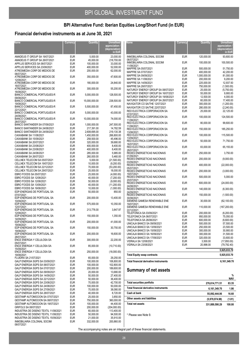## **Financial derivative instruments as at June 30, 2021**

| Name                                                                 | Currency                 | Quantity                   | <b>Unrealised</b><br>appreciation<br>(depreciation)<br>in EUR | Name                                                                 | Currency                 | Quantity                 | Unrealised<br>appreciation<br>(depreciation) | in EUR                  |
|----------------------------------------------------------------------|--------------------------|----------------------------|---------------------------------------------------------------|----------------------------------------------------------------------|--------------------------|--------------------------|----------------------------------------------|-------------------------|
| AMADEUS IT GROUP SA 19/07/2021                                       | <b>EUR</b>               | 5,000.00                   | 23,000.00                                                     | INMOBILIARIA COLONIAL SOCIMI                                         | <b>EUR</b>               | 120,000.00               |                                              | 93,600.00               |
| AMADEUS IT GROUP SA 26/07/2021<br>APPLUS SERVICES SA 06/07/2021      | <b>EUR</b><br><b>EUR</b> | 45,000.00<br>100.000.00    | 218,700.00<br>33.000.00                                       | 06/07/2021<br>INMOBILIARIA COLONIAL SOCIMI                           | <b>EUR</b>               | 100,000.00               |                                              | 100,500.00              |
| APPLUS SERVICES SA 23/08/2021                                        | <b>EUR</b>               | 400,000.00                 | 52,000.00                                                     | 11/08/2021                                                           |                          |                          |                                              |                         |
| ATRESMEDIA CORP DE MEDIOS DE                                         | <b>EUR</b>               | 200,000.00                 | 62,000.00                                                     | MAPFRE SA 05/07/2021                                                 | <b>EUR</b>               | 500,000.00               |                                              | 51.750.00               |
| 06/07/2021                                                           |                          |                            |                                                               | MAPFRE SA 07/07/2021                                                 | <b>EUR</b>               | 400,000.00               |                                              | 42,200.00               |
| ATRESMEDIA CORP DE MEDIOS DE                                         | <b>EUR</b>               | 350,000.00                 | 47,600.00                                                     | MAPFRE SA 09/09/2021                                                 | <b>EUR</b>               | 1,000,000.00             |                                              | 81,000.00               |
| 12/08/2021                                                           | <b>EUR</b>               |                            |                                                               | MAPFRE SA 11/08/2021<br>MAPFRE SA 14/09/2021                         | <b>EUR</b><br><b>EUR</b> | 200,000.00<br>225,000.00 |                                              | 9,200.00<br>12,937.50   |
| ATRESMEDIA CORP DE MEDIOS DE<br>16/07/2021                           |                          | 180,000.00                 | 24,840.00                                                     | MAPFRE SA 28/07/2021                                                 | <b>EUR</b>               | 750,000.00               |                                              | (1,500.00)              |
| ATRESMEDIA CORP DE MEDIOS DE                                         | <b>EUR</b>               | 300,000.00                 | 55,200.00                                                     | NATURGY ENERGY GROUP SA 08/07/2021                                   | <b>EUR</b>               | 25,000.00                |                                              | (5,750.00)              |
| 16/08/2021                                                           |                          |                            |                                                               | NATURGY ENERGY GROUP SA 16/07/2021                                   | <b>EUR</b>               | 55,000.00                |                                              | 9,900.00                |
| <b>BANCO COMERCIAL PORTUGUES-R</b><br>09/08/2021                     | <b>EUR</b>               | 5,000,000.00               | 128,500.00                                                    | NATURGY ENERGY GROUP SA 19/08/2021                                   | <b>EUR</b>               | 12,500.00                |                                              | 4,000.00                |
| BANCO COMERCIAL PORTUGUES-R<br>19/08/2021                            | <b>EUR</b>               | 15,000,000.00              | 238,500.00                                                    | NATURGY ENERGY GROUP SA 26/07/2021<br>NAVIGATOR CO SA/THE 12/07/2021 | <b>EUR</b><br><b>EUR</b> | 60,000.00<br>300,000.00  |                                              | 17,400.00<br>(1,200.00) |
| <b>BANCO COMERCIAL PORTUGUES-R</b>                                   | <b>EUR</b>               | 5,500,000.00               | 87,450.00                                                     | NAVIGATOR CO SA/THE 22/07/2021                                       | <b>EUR</b>               | 280,000.00               |                                              | (2,240.00)              |
| 22/12/2021<br>BANCO COMERCIAL PORTUGUES-R                            | <b>EUR</b>               | 5,000,000.00               | 43,000.00                                                     | RED ELECTRICA CORPORACION SA                                         | <b>EUR</b>               | 25,000.00                |                                              | 22,125.00               |
| 24/08/2021<br><b>BANCO COMERCIAL PORTUGUES-R</b>                     | <b>EUR</b>               | 10,000,000.00              | 74,000.00                                                     | 07/07/2021<br>RED ELECTRICA CORPORACION SA                           | <b>EUR</b>               | 100,000.00               |                                              | 124,500.00              |
| 26/07/2021                                                           |                          |                            |                                                               | 11/08/2021<br>RED ELECTRICA CORPORACION SA                           | <b>EUR</b>               | 80,000.00                |                                              | 99,600.00               |
| BANCO SANTANDER SA 07/09/2021                                        | <b>EUR</b><br><b>EUR</b> | 1,000,000.00               | 247,500.00<br>14.782.59                                       | 11/08/2021                                                           |                          |                          |                                              |                         |
| BANCO SANTANDER SA 24/08/2021<br>BANCO SANTANDER SA 24/09/2021       | <b>EUR</b>               | 217,391.00<br>2.608.695.00 | 219,130.38                                                    | RED ELECTRICA CORPORACION SA                                         | <b>EUR</b>               | 150,000.00               |                                              | 185,250.00              |
| CAIXABANK SA 11/08/2021                                              | <b>EUR</b>               | 1,450,000.00               | 266,800.00                                                    | 13/08/2021<br>RED ELECTRICA CORPORACION SA                           | <b>EUR</b>               | 100,000.00               |                                              | 115,500.00              |
| CAIXABANK SA 15/09/2021                                              | <b>EUR</b>               | 258,500.00                 | 45,496.00                                                     | 13/09/2021                                                           |                          |                          |                                              |                         |
| CAIXABANK SA 20/07/2021                                              | <b>EUR</b>               | 320,000.00                 | 39,680.00                                                     | RED ELECTRICA CORPORACION SA                                         | <b>EUR</b>               | 50,000.00                |                                              | 71,750.00               |
| CAIXABANK SA 23/08/2021                                              | <b>EUR</b>               | 400,000.00                 | 8,400.00                                                      | 16/07/2021<br>RED ELECTRICA CORPORACION SA                           | <b>EUR</b>               | 83,000.00                |                                              | 65,155.00               |
| CAIXABANK SA 23/08/2021                                              | <b>EUR</b>               | 400,000.00                 | 8,400.00                                                      | 28/07/2021                                                           |                          |                          |                                              |                         |
| CAIXABANK SA 24/08/2021                                              | <b>EUR</b>               | 285,000.00                 | 5,985.00                                                      | REDES ENERGETICAS NACIONAIS                                          | <b>EUR</b>               | 250,000.00               |                                              | 3,750.00                |
| CAIXABANK SA 26/07/2021                                              | <b>EUR</b>               | 260.000.00                 | 5,460.00                                                      | 01/09/2021<br>REDES ENERGETICAS NACIONAIS                            | <b>EUR</b>               | 200,000.00               |                                              | (9,000.00)              |
| CELLNEX TELECOM SA 05/07/2021                                        | <b>EUR</b>               | 5,000.00                   | (21,500.00)                                                   | 03/09/2021                                                           |                          |                          |                                              |                         |
| CELLNEX TELECOM SA 19/07/2021<br>CELLNEX TELECOM SA 22/12/2021       | <b>EUR</b><br><b>EUR</b> | 10,000.00<br>70,000.00     | (9,200.00)                                                    | REDES ENERGETICAS NACIONAIS                                          | <b>EUR</b>               | 400,000.00               |                                              | (22,000.00)             |
| CELLNEX TELECOM SA 29/07/2021                                        | <b>EUR</b>               | 25,000.00                  | (53,200.00)<br>18,000.00                                      | 05/07/2021<br>REDES ENERGETICAS NACIONAIS                            | <b>EUR</b>               | 200,000.00               |                                              |                         |
| EBRO FOODS SA 05/07/2021                                             | <b>EUR</b>               | 25,000.00                  | (4,000.00)                                                    | 19/07/2021                                                           |                          |                          |                                              | (3,000.00)              |
| EBRO FOODS SA 12/08/2021                                             | <b>EUR</b>               | 40,000.00                  | (7,200.00)                                                    | REDES ENERGETICAS NACIONAIS                                          | <b>EUR</b>               | 500,000.00               |                                              | 5,000.00                |
| EBRO FOODS SA 12/08/2021                                             | <b>EUR</b>               | 50,000.00                  | (9,000.00)                                                    | 20/07/2021                                                           |                          |                          |                                              |                         |
| EBRO FOODS SA 13/09/2021                                             | <b>EUR</b>               | 40,000.00                  | (11,200.00)                                                   | REDES ENERGETICAS NACIONAIS<br>24/08/2021                            | <b>EUR</b>               | 600,000.00               |                                              | (24,000.00)             |
| EBRO FOODS SA 19/08/2021                                             | <b>EUR</b>               | 10,000.00                  | (1,000.00)                                                    | REDES ENERGETICAS NACIONAIS                                          | <b>EUR</b>               | 140,000.00               |                                              | (6,300.00)              |
| EDP-ENERGIAS DE PORTUGAL SA<br>07/07/2021                            | <b>EUR</b>               | 50,000.00                  | 850.00                                                        | 24/09/2021<br>REDES ENERGETICAS NACIONAIS                            | <b>EUR</b>               | 150,000.00               |                                              | (1,500.00)              |
| EDP-ENERGIAS DE PORTUGAL SA<br>10/09/2021                            | <b>EUR</b>               | 200,000.00                 | 13,400.00                                                     | 30/08/2021<br>SIEMENS GAMESA RENEWABLE ENE                           | <b>EUR</b>               | 30,000.00                |                                              | (62, 100.00)            |
| EDP-ENERGIAS DE PORTUGAL SA<br>12/07/2021                            | <b>EUR</b>               | 575,000.00                 | 10,350.00                                                     | 19/07/2021                                                           |                          |                          |                                              |                         |
| EDP-ENERGIAS DE PORTUGAL SA                                          | <b>EUR</b>               | 213,776.00                 | 3,847.97                                                      | SIEMENS GAMESA RENEWABLE ENE<br>22/12/2021                           | <b>EUR</b>               | 110,000.00               | (167, 200.00)                                |                         |
| 12/08/2021<br>EDP-ENERGIAS DE PORTUGAL SA                            | <b>EUR</b>               | 150,000.00                 | 1,350.00                                                      | TELEFONICA SA 03/09/2021<br>TELEFONICA SA 06/07/2021                 | <b>EUR</b><br><b>EUR</b> | 200,000.00<br>950,000.00 |                                              | (6,200.00)<br>75,050.00 |
| 14/09/2021<br>EDP-ENERGIAS DE PORTUGAL SA                            | <b>EUR</b>               |                            | 41,000.00                                                     | TELEFONICA SA 26/08/2021                                             | EUR                      | 600,000.00               |                                              | (6,600.00)              |
| 19/08/2021                                                           |                          | 200,000.00                 |                                                               | UNICAJA BANCO SA 09/09/2021                                          | <b>EUR</b>               | 500,000.00               |                                              | 57,500.00               |
| EDP-ENERGIAS DE PORTUGAL SA                                          | EUR                      | 150,000.00                 | 30,750.00                                                     | UNICAJA BANCO SA 13/09/2021                                          | <b>EUR</b>               | 250,000.00               |                                              | 23,500.00               |
| 19/08/2021<br>EDP-ENERGIAS DE PORTUGAL SA                            | <b>EUR</b>               | 200,000.00                 | 16,600.00                                                     | UNICAJA BANCO SA 15/09/2021                                          | <b>EUR</b>               | 300,000.00               |                                              | 30,900.00               |
| 28/07/2021                                                           |                          |                            |                                                               | UNICAJA BANCO SA 16/09/2021<br>UNICAJA BANCO SA 17/09/2021           | <b>EUR</b><br><b>EUR</b> | 300,000.00<br>320,000.00 |                                              | 31,500.00<br>33,600.00  |
| ENCE ENERGIA Y CELULOSA SA                                           | <b>EUR</b>               | 300,000.00                 | 22,200.00                                                     | VIDRALA SA 12/08/2021                                                | <b>EUR</b>               | 3,500.00                 |                                              | (17, 850.00)            |
| 05/07/2021<br>ENCE ENERGIA Y CELULOSA SA                             | <b>EUR</b>               | 85,000.00                  | (10,710.00)                                                   | VIDRALA SA 23/08/2021                                                | <b>EUR</b>               | 20,998.00                |                                              | (79, 792.40)            |
| 15/09/2021<br>ENCE ENERGIA Y CELULOSA SA                             | <b>EUR</b>               | 250,000.00                 | (18,000.00)                                                   |                                                                      |                          |                          | 5,925,033.70                                 |                         |
| 19/08/2021                                                           |                          |                            |                                                               | <b>Total Equity swap contracts</b>                                   |                          |                          | 5,925,033.70                                 |                         |
| FLUIDRA SA 21/07/2021                                                | EUR                      | 65,000.00                  | 29,250.00                                                     |                                                                      |                          |                          |                                              |                         |
| GALP ENERGIA SGPS SA 03/09/2021<br>GALP ENERGIA SGPS SA 06/07/2021   | <b>EUR</b><br><b>EUR</b> | 100,000.00<br>100,000.00   | 106,800.00<br>102,800.00                                      | Total financial derivative instruments                               |                          |                          |                                              | 6,161,349.70            |
| GALP ENERGIA SGPS SA 07/07/2021                                      | <b>EUR</b>               | 200,000.00                 | 189,600.00                                                    |                                                                      |                          |                          |                                              |                         |
| GALP ENERGIA SGPS SA 09/09/2021                                      | <b>EUR</b>               | 20,000.00                  | 13,680.00                                                     | <b>Summary of net assets</b>                                         |                          |                          |                                              |                         |
| GALP ENERGIA SGPS SA 14/09/2021                                      | <b>EUR</b>               | 50,000.00                  | 27,400.00                                                     |                                                                      |                          |                          |                                              | %                       |
| GALP ENERGIA SGPS SA 22/12/2021                                      | <b>EUR</b>               | 50,000.00                  | 36,400.00                                                     |                                                                      |                          |                          |                                              | <b>NAV</b>              |
| GALP ENERGIA SGPS SA 23/08/2021                                      | <b>EUR</b>               | 70,000.00                  | 42,700.00                                                     | <b>Total securities portfolio</b>                                    |                          | 276,614,771.51           |                                              | 83.35                   |
| GALP ENERGIA SGPS SA 24/08/2021                                      | <b>EUR</b>               | 100,000.00                 | 50,000.00                                                     | Total financial derivative instruments                               |                          |                          |                                              |                         |
| GALP ENERGIA SGPS SA 27/09/2021                                      | <b>EUR</b>               | 70,000.00                  | 38,080.00                                                     |                                                                      |                          |                          | 6,161,349.70                                 | 1.86                    |
| GALP ENERGIA SGPS SA 28/07/2021                                      | <b>EUR</b>               | 40,000.00                  | 8,720.00                                                      | Cash at bank                                                         |                          |                          | 55,092,444.06                                | 16.60                   |
| GESTAMP AUTOMOCION SA 07/07/2021                                     | <b>EUR</b>               | 25,000.00                  | 3,850.00<br>360,000.00                                        | Other assets and liabilities                                         |                          |                          | (5,978,974.98)                               | (1.81)                  |
| GESTAMP AUTOMOCION SA 08/07/2021<br>GESTAMP AUTOMOCION SA 19/07/2021 | <b>EUR</b><br><b>EUR</b> | 750,000.00<br>100,000.00   | 44,400.00                                                     | Total net assets                                                     |                          |                          |                                              |                         |
| GRIFOLS SA 08/07/2021                                                | <b>EUR</b>               | 200,000.00                 | (204,000.00)                                                  |                                                                      |                          |                          | 331,889,590.29                               | 100.00                  |
| INDUSTRIA DE DISENO TEXTIL 11/08/2021                                | <b>EUR</b>               | 60,000.00                  | 113,400.00                                                    |                                                                      |                          |                          |                                              |                         |
| INDUSTRIA DE DISENO TEXTIL 11/08/2021                                | <b>EUR</b>               | 50,000.00                  | 94,500.00                                                     | * Please see Note 9.                                                 |                          |                          |                                              |                         |
| INDUSTRIA DE DISENO TEXTIL 15/09/2021                                | <b>EUR</b>               | 21,000.00                  | 35,910.00                                                     |                                                                      |                          |                          |                                              |                         |
| INMOBILIARIA COLONIAL SOCIMI<br>06/07/2021                           | EUR                      | 332,000.00                 | 200,860.00                                                    |                                                                      |                          |                          |                                              |                         |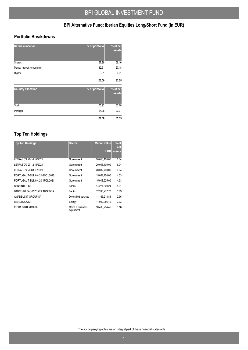### **Portfolio Breakdowns**

| <b>Nature allocation</b>  | % of portfolio | % of net<br>assets |
|---------------------------|----------------|--------------------|
| Shares                    | 67.38          | 56.16              |
| Money market instruments  | 32.61          | 27.18              |
| Rights                    | 0.01           | 0.01               |
|                           | 100.00         | 83.35              |
|                           |                |                    |
| <b>Country allocation</b> | % of portfolio | % of net<br>assets |
| Spain                     | 75.92          | 63.28              |
| Portugal                  | 24.08          | 20.07              |

## **Top Ten Holdings**

| <b>Top Ten Holdings</b>          | <b>Sector</b>                  | <b>Market value</b><br>EUR | $%$ of<br>net<br>assets |
|----------------------------------|--------------------------------|----------------------------|-------------------------|
| LETRAS 0% 20-10/12/2021          | Government                     | 20,053,100.00              | 6.04                    |
| LETRAS 0% 20-12/11/2021          | Government                     | 20,045,100.00              | 6.04                    |
| LETRAS 0% 20-08/10/2021          | Government                     | 20.032.700.00              | 6.04                    |
| PORTUGAL T-BILL 0% 21-21/01/2022 | Government                     | 15.051.150.00              | 4.53                    |
| PORTUGAL T-BILL 0% 20-17/09/2021 | Government                     | 15,018,525.00              | 4.53                    |
| <b>BANKINTER SA</b>              | <b>Banks</b>                   | 14,271,369.24              | 4.31                    |
| BANCO BILBAO VIZCAYA ARGENTA     | <b>Banks</b>                   | 12.245.277.77              | 3.69                    |
| AMADEUS IT GROUP SA              | Diversified services           | 11,166,218.84              | 3.36                    |
| <b>IBERDROLA SA</b>              | Energy                         | 11.042.056.40              | 3.33                    |
| <b>INDRA SISTEMAS SA</b>         | Office & Business<br>equipment | 10.493.294.45              | 3.16                    |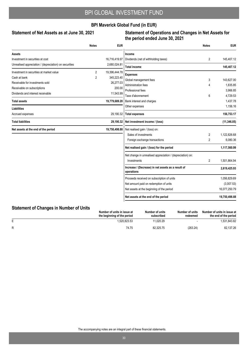### **BPI Maverick Global Fund (in EUR)**

#### Statement of Net Assets as at June 30, 2021

#### **Statement of Operations and Changes in Net Assets for the period ended June 30, 2021**

|                                                        | <b>Notes</b>   | <b>EUR</b>                                                       |                                                            | <b>Notes</b>   | <b>EUR</b>    |
|--------------------------------------------------------|----------------|------------------------------------------------------------------|------------------------------------------------------------|----------------|---------------|
| Assets                                                 |                |                                                                  | Income                                                     |                |               |
| Investment in securities at cost                       |                | 16,716,419.97                                                    | Dividends (net of withholding taxes)                       | 2              | 145,407.12    |
| Unrealised appreciation / (depreciation) on securities |                | 2,680,024.81                                                     | <b>Total income</b>                                        |                | 145,407.12    |
| Investment in securities at market value               | $\overline{2}$ | 19,396,444.78                                                    | <b>Expenses</b>                                            |                |               |
| Cash at bank                                           | 2              | 345,223.40                                                       | Global management fees                                     | 3              | 143,627.00    |
| Receivable for investments sold                        |                | 26,277.03                                                        | Administration fees                                        | 4              | 1,835.85      |
| Receivable on subscriptions                            |                | 200.00                                                           | Professional fees                                          |                | 3,966.85      |
| Dividends and interest receivable                      |                | 11,543.99                                                        | Taxe d'abonnement                                          | 6              | 4.729.53      |
| <b>Total assets</b>                                    |                | 19,779,689.20                                                    | Bank interest and charges                                  |                | 1,437.78      |
| <b>Liabilities</b>                                     |                |                                                                  | Other expenses                                             |                | 1,156.16      |
| Accrued expenses                                       |                | 29,190.32                                                        | <b>Total expenses</b>                                      |                | 156,753.17    |
| <b>Total liabilities</b>                               |                | 29,190.32                                                        | Net investment income / (loss)                             |                | (11, 346.05)  |
| Net assets at the end of the period                    |                | 19,750,498.88                                                    | Net realised gain / (loss) on:                             |                |               |
|                                                        |                |                                                                  | Sales of investments                                       | $\overline{2}$ | 1,122,826.68  |
|                                                        |                |                                                                  | Foreign exchange transactions                              | $\overline{2}$ | 6,080.36      |
|                                                        |                |                                                                  | Net realised gain / (loss) for the period                  |                | 1,117,560.99  |
|                                                        |                |                                                                  | Net change in unrealised appreciation / (depreciation) on: |                |               |
|                                                        |                |                                                                  | Investments                                                | 2              | 1,501,864.94  |
|                                                        |                | Increase / (Decrease) in net assets as a result of<br>operations |                                                            | 2,619,425.93   |               |
|                                                        |                |                                                                  | Proceeds received on subscription of units                 |                | 1,056,829.69  |
|                                                        |                |                                                                  | Net amount paid on redemption of units                     |                | (3,007.53)    |
|                                                        |                |                                                                  | Net assets at the beginning of the period                  |                | 16,077,250.79 |
|                                                        |                |                                                                  | Net assets at the end of the period                        |                | 19,750,498.88 |

## **Statement of Changes in Number of Units**

|   | Number of units in issue at<br>the beginning of the period | Number of units<br>subscribed | Number of units<br>redeemed | Number of units in issue at<br>the end of the period |
|---|------------------------------------------------------------|-------------------------------|-----------------------------|------------------------------------------------------|
|   | .520.823.53                                                | 11.020.29                     |                             | 1,531,843.82                                         |
| R | 74.75                                                      | 82.325.75                     | (263.24)                    | 82,137.26                                            |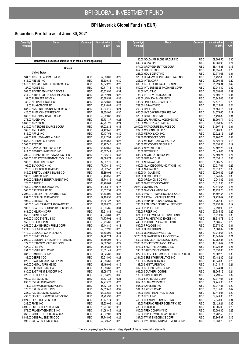## **Securities Portfolio as at June 30, 2021**

| Quantity/         | <b>Name</b>                                                          | Currency                 | <b>Market value</b>    |              |
|-------------------|----------------------------------------------------------------------|--------------------------|------------------------|--------------|
| Nominal           |                                                                      |                          | in EUR                 | <b>NA\</b>   |
|                   |                                                                      |                          |                        |              |
|                   | Transferable securities admitted to an official exchange listing     |                          |                        |              |
|                   |                                                                      |                          |                        |              |
|                   | Shares<br><b>United States</b>                                       |                          |                        |              |
|                   | 584.00 ABBOTT LABORATORIES                                           | <b>USD</b>               | 57,090.08              | 0.29         |
|                   | 616.00 ABBVIE INC                                                    | <b>USD</b>               | 58,509.35              | 0.30         |
|                   | 1,010.00 ABERCROMBIE & FITCH CO CL A<br>127.00 ADOBE INC             | <b>USD</b><br>USD        | 39.543.22<br>62,717.16 | 0.20<br>0.32 |
|                   | 768.00 ADVANCED MICRO DEVICES                                        | <b>USD</b>               | 60,829.95              | 0.31         |
|                   | 214.00 AIR PRODUCTS & CHEMICALS INC                                  | <b>USD</b>               | 51,912.91              | 0.26         |
|                   | 32.00 ALPHABET INC-CL A                                              | <b>USD</b>               | 65,888.59              | 0.33         |
|                   | 32.00 ALPHABET INC-CL C<br>19.00 AMAZON.COM INC                      | <b>USD</b><br><b>USD</b> | 67,629.85<br>55,116.82 | 0.34<br>0.28 |
|                   | 887.00 AMC ENTERTAINMENT HLDS-CL A                                   | <b>USD</b>               | 42,394.10              | 0.21         |
|                   | 426.00 AMERICAN EXPRESS CO                                           | <b>USD</b>               | 59,354.06              | 0.30         |
|                   | 263.00 AMERICAN TOWER CORP                                           | <b>USD</b>               | 59,909.62              | 0.30         |
|                   | 271.00 AMGEN INC<br>3,063.00 AMYRIS INC                              | <b>USD</b><br><b>USD</b> | 55,701.37<br>42,281.23 | 0.28<br>0.21 |
|                   | 5,289.00 ANTERO RESOURCES CORP                                       | <b>USD</b>               | 67,032.36              | 0.34         |
|                   | 169.00 ANTHEM INC                                                    | <b>USD</b>               | 54,409.48              | 0.28         |
|                   | 515.00 APPLE INC<br>489.00 APPLIED MATERIALS INC                     | <b>USD</b>               | 59,477.53              | 0.30         |
|                   | 1,656.00 AT HOME GROUP INC                                           | USD<br><b>USD</b>        | 58,717.94<br>51,443.66 | 0.30<br>0.26 |
| 2,307.00 AT&T INC |                                                                      | <b>USD</b>               | 55,987.40              | 0.28         |
|                   | 1,846.00 BANK OF AMERICA CORP                                        | <b>USD</b>               | 64,179.59              | 0.32         |
|                   | 1,614.00 BED BATH & BEYOND INC<br>300.00 BERKSHIRE HATHAWAY INC-CL B | <b>USD</b><br><b>USD</b> | 45,307.41<br>70,306.10 | 0.23<br>0.36 |
|                   | 4,703.00 BIOCRYST PHARMACEUTICALS INC                                | USD                      | 62,698.74              | 0.32         |
|                   | 100.00 BIO-TECHNE CORP                                               | USD                      | 37,967.79              | 0.19         |
|                   | 105.00 BLACKROCK INC                                                 | <b>USD</b>               | 77,470.15              | 0.40         |
|                   | 28.00 BOOKING HOLDINGS INC<br>1,045.00 BRISTOL-MYERS SQUIBB CO       | <b>USD</b><br><b>USD</b> | 51,662.47<br>58,880.93 | 0.26<br>0.30 |
|                   | 138.00 BROADCOM INC                                                  | <b>USD</b>               | 55,488.59              | 0.28         |
|                   | 500.00 CAESARS ENTERTAINMENT INC                                     | USD                      | 43,743.15              | 0.22         |
|                   | 1,123.00 CALIX INC                                                   | USD                      | 44,980.61              | 0.23         |
|                   | 1,164.00 CANNAE HOLDINGS INC<br>308.00 CATERPILLAR INC               | USD<br><b>USD</b>        | 33,283.78<br>56,522.51 | 0.17<br>0.29 |
|                   | 2,298.00 CELLDEX THERAPEUTICS INC                                    | <b>USD</b>               | 64,798.99              | 0.33         |
|                   | 891.00 CELSIUS HOLDINGS INC                                          | USD                      | 57,168.56              | 0.29         |
|                   | 493.00 CERENCE INC<br>165.00 CHARLES RIVER LABORATORIES              | <b>USD</b><br>USD        | 44,361.27<br>51,468.76 | 0.22<br>0.26 |
|                   | 100.00 CHARTER COMMUNICATIONS INC-A                                  | USD                      | 60,835.65              | 0.31         |
|                   | 641.00 CHEVRON CORP                                                  | <b>USD</b>               | 56,613.83              | 0.29         |
|                   | 250.00 CIGNA CORP                                                    | USD                      | 49,976.81              | 0.25         |
|                   | 1,606.00 CISCO SYSTEMS INC<br>952.00 CITIGROUP INC                   | <b>USD</b><br>USD        | 71,775.02<br>56,795.68 | 0.36<br>0.29 |
|                   | 4,258.00 CLEAN ENERGY FUELS CORP                                     | <b>USD</b>               | 36,443.80              | 0.18         |
|                   | 1,271.00 COCA-COLA CO/THE                                            | USD                      | 57,992.93              | 0.29         |
|                   | 1,410.00 COMCAST CORP-CLASS A                                        | USD<br><b>USD</b>        | 67,795.09              | 0.34         |
|                   | 620.00 COMERICA INC<br>2,900.00 COMMUNITY HEALTH SYSTEMS INC         | USD                      | 37,297.24<br>37,756.98 | 0.19<br>0.19 |
|                   | 172.00 COSTCO WHOLESALE CORP                                         | <b>USD</b>               | 57,387.00              | 0.29         |
|                   | 437.00 CREE INC                                                      | USD                      | 36,086.86              | 0.18         |
|                   | 754.00 CVS HEALTH CORP<br>287.00 DANAHER CORP                        | <b>USD</b><br><b>USD</b> | 53,051.49<br>64.945.88 | 0.27<br>0.33 |
|                   | 188.00 DEERE & CO                                                    | USD                      | 55,914.90              | 0.28         |
|                   | 620.00 DIAMONDBACK ENERGY INC                                        | <b>USD</b>               | 49,086.60              | 0.25         |
|                   | 600.00 DIGITAL TURBINE INC                                           | USD                      | 38,466.99              | 0.19         |
|                   | 260.00 DILLARDS INC-CL A<br>630.00 EAST WEST BANCORP INC             | <b>USD</b><br><b>USD</b> | 39,656.63<br>38,084.75 | 0.20<br>0.19 |
|                   | 326.00 ELI LILLY & CO                                                | USD                      | 63,094.29              | 0.32         |
|                   | 400.00 ENTEGRIS INC                                                  | USD                      | 41,477.36              | 0.21         |
|                   | 1,898.00 EVERI HOLDINGS INC                                          | USD                      | 39,915.78              | 0.20         |
|                   | 1,111.00 EXP WORLD HOLDINGS INC<br>1,176.00 EXXON MOBIL CORP         | USD<br>USD               | 36,321.33<br>62,553.40 | 0.18<br>0.32 |
|                   | 235.00 FACEBOOK INC-CLASS A                                          | USD                      | 68,902.82              | 0.35         |
|                   | 435.00 FIDELITY NATIONAL INFO SERV                                   | <b>USD</b>               | 51,965.98              | 0.26         |
|                   | 2,524.00 FIRST HORIZON CORP<br>282.00 FIVE9 INC                      | USD<br>USD               | 36,777.74<br>43,609.06 | 0.19<br>0.22 |
|                   | 3,895.00 FUELCELL ENERGY INC                                         | USD                      | 29,231.39              | 0.15         |
|                   | 573.00 FULGENT GENETICS INC                                          | USD                      | 44,563.45              | 0.23         |
|                   | 266.00 GAMESTOP CORP-CLASS A                                         | USD                      | 48,032.08              | 0.24         |
|                   | 5,088.00 GENERAL ELECTRIC CO<br>998.00 GILEAD SCIENCES INC           | USD<br>USD               | 57,748.95<br>57,949.47 | 0.29<br>0.29 |
|                   |                                                                      |                          |                        |              |

| <b>Quantity/</b> | Name                                                                           | <b>Currency</b>          | <b>Market value</b>    | %            |
|------------------|--------------------------------------------------------------------------------|--------------------------|------------------------|--------------|
| <b>Nominal</b>   |                                                                                |                          | in EUR                 | <b>NAV</b>   |
|                  |                                                                                |                          |                        |              |
|                  | 185.00 GOLDMAN SACHS GROUP INC                                                 | <b>USD</b>               | 59,206.55              | 0.30         |
|                  | 642.00 GRACO INC                                                               | <b>USD</b>               | 40,981.03              | 0.21         |
|                  | 874.00 GROWGENERATION CORP                                                     | <b>USD</b>               | 35,419.88              | 0.18         |
|                  | 657.00 HIBBETT INC<br>226.00 HOME DEPOT INC                                    | <b>USD</b><br><b>USD</b> | 49,655.88<br>60,771.68 | 0.25<br>0.31 |
|                  | 370.00 HONEYWELL INTERNATIONAL INC                                             | <b>USD</b>               | 68,437.05              | 0.35         |
|                  | 1,206.00 INTEL CORP                                                            | <b>USD</b>               | 57,091.53              | 0.29         |
|                  | 696.00 INTELLIA THERAPEUTICS INC                                               | <b>USD</b>               | 95,024.34              | 0.49         |
|                  | 510.00 INTL BUSINESS MACHINES CORP                                             | <b>USD</b>               | 63,041.49              | 0.32         |
|                  | 184.00 INTUIT INC                                                              | <b>USD</b>               | 76,053.02              | 0.39         |
|                  | 86.00 INTUITIVE SURGICAL INC<br>438.00 JOHNSON & JOHNSON                       | <b>USD</b><br><b>USD</b> | 66,691.15<br>60.845.03 | 0.34<br>0.31 |
|                  | 438.00 JPMORGAN CHASE & CO                                                     | <b>USD</b>               | 57,447.10              | 0.29         |
|                  | 792.00 L BRANDS INC                                                            | <b>USD</b>               | 48,125.07              | 0.24         |
|                  | 269.00 LINDE PLC                                                               | <b>EUR</b>               | 65,461.15              | 0.33         |
|                  | 685.00 LIVE OAK BANCSHARES INC                                                 | <b>USD</b>               | 34,079.60              | 0.17         |
|                  | 376.00 LOWES COS INC                                                           | <b>USD</b>               | 61,499.89              | 0.31         |
|                  | 325.00 LPL FINANCIAL HOLDINGS INC<br>185.00 MASTERCARD INC - A                 | <b>USD</b><br><b>USD</b> | 36,991.74<br>56,953.92 | 0.19<br>0.29 |
|                  | 2.019.00 MATADOR RESOURCES CO                                                  | <b>USD</b>               | 61,307.18              | 0.31         |
|                  | 287.00 MCDONALDS CORP                                                          | <b>USD</b>               | 55,901.96              | 0.28         |
|                  | 807.00 MERCK & CO. INC.                                                        | <b>USD</b>               | 52,922.16              | 0.27         |
|                  | 292.00 MICROSOFT CORP                                                          | <b>USD</b>               | 66,702.76              | 0.34         |
|                  | 65.00 MICROSTRATEGY INC-CL A                                                   | <b>USD</b>               | 36,421.71              | 0.18         |
|                  | 1,340.00 MR COOPER GROUP INC                                                   | <b>USD</b>               | 37,355.93              | 0.19         |
|                  | 3,656.00 NAVIENT CORP<br>120.00 NETFLIX INC                                    | <b>USD</b><br><b>USD</b> | 59,592.28<br>53,449.03 | 0.30<br>0.27 |
|                  | 848.00 NEXTERA ENERGY INC                                                      | <b>USD</b>               | 52,400.24              | 0.27         |
|                  | 500.00 NIKE INC CL B                                                           | <b>USD</b>               | 65,136.18              | 0.33         |
|                  | 200.00 NOVAVAX INC                                                             | <b>USD</b>               | 35,805.72              | 0.18         |
|                  | 1,090.00 NUANCE COMMUNICATIONS INC                                             | <b>USD</b>               | 50,037.61              | 0.25         |
|                  | 114.00 NVIDIA CORP                                                             | USD                      | 76,913.23              | 0.39         |
|                  | 3,842.00 O-I GLASS INC                                                         | USD                      | 52,904.85              | 0.27         |
|                  | 1,061.00 ORACLE CORP<br>80.00 ORGANON & CO-W/I                                 | <b>USD</b><br><b>USD</b> | 69,641.82<br>2,041.32  | 0.35<br>0.01 |
|                  | 660.00 OVERSTOCK.COM INC                                                       | <b>USD</b>               | 51,312.93              | 0.26         |
|                  | 2,028.00 OVINTIV INC                                                           | <b>USD</b>               | 53,816.65              | 0.27         |
|                  | 1,295.00 OWENS & MINOR INC                                                     | USD                      | 46,224.26              | 0.23         |
|                  | 1,511.00 PACIFIC BIOSCIENCES OF CALIF                                          | USD                      | 44,607.56              | 0.23         |
|                  | 243.00 PAYPAL HOLDINGS INC-W/I                                                 | <b>USD</b>               | 59,726.49              | 0.30         |
|                  | 384.00 PENN NATIONAL GAMING INC<br>735.00 PENNYMAC FINANCIAL SERVICES          | <b>USD</b><br><b>USD</b> | 24,767.82<br>38,252.97 | 0.13<br>0.19 |
|                  | 457.00 PEPSICO INC                                                             | <b>USD</b>               | 57,098.99              | 0.29         |
|                  | 1.756.00 PFIZER INC                                                            | <b>USD</b>               | 57,985.46              | 0.29         |
|                  | 821.00 PHILIP MORRIS INTERNATIONAL                                             | USD                      | 68,613.97              | 0.35         |
|                  | 275.00 PRA HEALTH SCIENCES INC                                                 | <b>USD</b>               | 38,310.78              | 0.19         |
|                  | 449.00 PROCTER & GAMBLE CO/THE                                                 | <b>USD</b>               | 51,086.58              | 0.26         |
|                  | 599.00 PROLOGIS INC                                                            | <b>USD</b>               | 60,374.80              | 0.31         |
|                  | 511.00 QUALCOMM INC<br>520.00 QUANTA SERVICES INC                              | <b>USD</b><br><b>USD</b> | 61,588.02<br>39,713.64 | 0.31<br>0.20 |
|                  | 3,773.00 QURATE RETAIL INC-SERIES A                                            | <b>USD</b>               | 41,646.49              | 0.21         |
|                  | 1,690.00 RESIDEO TECHNOLOGIES INC                                              | USD                      | 42,752.34              | 0.22         |
|                  | 2,900.00 ROCKET COS INC-CLASS A                                                | USD                      | 47,318.49              | 0.24         |
|                  | 871.00 SAGE THERAPEUTICS INC                                                   | USD                      | 41,724.86              | 0.21         |
|                  | 243.00 SALESFORCE.COM INC                                                      | USD                      | 50,052.80              | 0.25         |
|                  | 1,072.00 SCIENTIFIC GAMES RG REGISTERED SHS<br>2,361.00 SERES THERAPEUTICS INC | <b>USD</b><br><b>USD</b> | 70,002.26<br>47,482.80 | 0.35<br>0.24 |
|                  | 100.00 SERVICENOW INC                                                          | USD                      | 46,340.33              | 0.23         |
|                  | 198.00 SIGNATURE BANK                                                          | <b>USD</b>               | 41,014.17              | 0.21         |
|                  | 392.00 SLEEP NUMBER CORP                                                       | USD                      | 36,344.04              | 0.18         |
|                  | 942.00 SOUTHERN CO/THE                                                         | USD                      | 48,065.12              | 0.24         |
|                  | 180.00 S&P GLOBAL INC                                                          | <b>USD</b>               | 62.299.52              | 0.32         |
|                  | 714.00 STARBUCKS CORP                                                          | USD                      | 67,317.94              | 0.34         |
|                  | 1,619.00 SUNPOWER CORP<br>1,065.00 TAPESTRY INC                                | USD<br>USD               | 39,945.98<br>39,047.31 | 0.20<br>0.20 |
|                  | 394.00 TARGET CORP                                                             | <b>USD</b>               | 80,315.00              | 0.42         |
|                  | 716.00 TENET HEALTHCARE CORP                                                   | USD                      | 40,445.94              | 0.20         |
|                  | 95.00 TESLA INC                                                                | USD                      | 54,449.36              | 0.28         |
|                  | 419.00 TEXAS INSTRUMENTS INC                                                   | USD                      | 67,943.08              | 0.34         |
|                  | 139.00 THERMO FISHER SCIENTIFIC INC                                            | USD                      | 59,129.21              | 0.30         |
|                  | 435.00 TORO CO<br>500.00 TREX COMPANY INC                                      | USD                      | 40,305.08              | 0.20<br>0.22 |
|                  | 1,762.00 TUPPERWARE BRANDS CORP                                                | USD<br>USD               | 43,093.85<br>35,287.55 | 0.18         |
|                  | 337.00 TWIST BIOSCIENCE CORP                                                   | <b>USD</b>               | 37,865.97              | 0.19         |
|                  | 6,265.00 TWO HARBORS INVESTMENT CORP                                           | USD                      | 39,938.78              | 0.20         |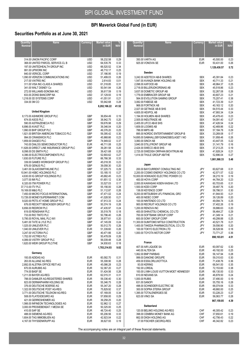## **Securities Portfolio as at June 30, 2021**

| <b>Quantity</b><br>Nominal | <b>Name</b>                                       | <b>Currency</b>          | <b>Market value</b><br>in EUR | <b>NAV</b>   |
|----------------------------|---------------------------------------------------|--------------------------|-------------------------------|--------------|
|                            | 314.00 UNION PACIFIC CORP                         | <b>USD</b>               | 58,232.58                     | 0.29         |
|                            | 368.00 UNITED PARCEL SERVICE-CL B                 | <b>USD</b>               | 64,535.76                     | 0.33         |
|                            | 197.00 UNITEDHEALTH GROUP INC                     | <b>USD</b>               | 66,520.52                     | 0.34         |
|                            | 991.00 UPWORK INC                                 | USD                      | 48,710.17                     | 0.25         |
|                            | 840.00 VERICEL CORP                               | <b>USD</b>               | 37,186.95                     | 0.19         |
|                            | 1,090.00 VERIZON COMMUNICATIONS INC               | USD                      | 51,499.03                     | 0.26         |
|                            | 217.00 VIATRIS INC                                | <b>USD</b>               | 2,614.83                      | 0.01         |
|                            | 311.00 VISA INC-CLASS A SHARES                    | <b>USD</b>               | 61,318.85                     | 0.31         |
|                            | 341.00 WALT DISNEY Co                             | USD                      | 50,541.84                     | 0.26         |
|                            | 272.00 WILLIAMS-SONOMA INC                        | <b>USD</b>               | 36,617.59                     | 0.19         |
|                            | 833.00 ZIONS BANCORP NA                           | USD                      | 37,129.93                     | 0.19         |
|                            | 1,218.00 3D SYSTEMS CORP                          | USD                      | 41,051.91                     | 0.21         |
|                            | 334.00 3M CO                                      | USD                      | 55,942.68                     | 0.28         |
|                            |                                                   |                          | 8,202,166.22                  | 41.52        |
|                            | <b>United Kingdom</b>                             |                          |                               |              |
|                            | 8,173.00 ASHMORE GROUP PLC                        | GBP                      | 36,654.49                     | 0.19         |
|                            | 674.00 ASOS PLC                                   | GBP                      | 38,942.75                     | 0.20         |
|                            | 590.00 ASTRAZENECA PLC                            | GBP                      | 59,676.98                     | 0.29         |
|                            | 6,896.00 AVAST PLC                                | GBP                      | 39,346.04                     | 0.20         |
|                            | 1,990.00 BHP GROUP PLC                            | GBP                      | 49,376.20                     | 0.25         |
|                            | 1,821.00 BRITISH AMERICAN TOBACCO PLC             | GBP                      | 59,395.42                     | 0.30         |
|                            | 994.00 CRANSWICK PLC                              | GBP                      | 45,968.66                     | 0.23         |
|                            | 1,859.00 DIAGEO PLC                               | GBP                      | 74,949.02                     | 0.37         |
|                            | 743.00 DIALOG SEMICONDUCTOR PLC                   | EUR                      | 48,711.08                     | 0.25         |
|                            | 11,826.00 DIRECT LINE INSURANCE GROUP PLC         | <b>GBP</b>               | 39,261.58                     | 0.20         |
|                            | 8.098.00 DS SMITH PLC                             | GBP                      | 39,421.68                     | 0.20         |
|                            | 4,396.00 ELECTROCOMPONENTS PLC                    | GBP                      | 52,693.62                     | 0.27         |
|                            | 1,830.00 FUTURE PLC                               | GBP                      | 66,766.38                     | 0.33         |
|                            | 339.00 GAMES WORKSHOP GROUP PLC                   | GBP                      | 45,018.35                     | 0.23         |
|                            | 676.00 GENUS PLC                                  | GBP                      | 39,058.30                     | 0.20         |
|                            | 3,461.00 GLAXOSMITHKLINE PLC                      | GBP                      | 57,225.73                     | 0.29         |
|                            | 10,941.00 HSBC HOLDINGS PLC                       | GBP                      | 53,185.15                     | 0.27         |
|                            | 4,630.00 IG GROUP HOLDINGS PLC                    | GBP                      | 45,682.45                     | 0.23         |
| 3,077.00 IMI PLC           |                                                   | GBP                      | 61,651.12                     | 0.30         |
|                            | 6,320.00 ITM POWER PLC                            | GBP                      | 33,527.03                     | 0.17         |
| 37,713.00 ITV PLC          |                                                   | GBP                      | 55,156.00                     | 0.28         |
|                            | 19,169.00 M&G PLC                                 | GBP                      | 51,112.87                     | 0.26         |
|                            | 7,450.00 MICRO FOCUS INTERNATIONAL                | GBP                      | 47,471.02                     | 0.24         |
|                            | 13,726.00 MONEYSUPERMARKET.COM                    | GBP                      | 41,028.50                     | 0.21         |
|                            | 9,020.00 PETS AT HOME GROUP PLC                   | <b>GBP</b>               | 47,913.33                     | 0.24         |
|                            | 676.00 RECKITT BENCKISER GROUP PLC                | GBP                      | 50,374.19                     | 0.26         |
|                            | 6,656.00 REDROW PLC                               | GBP                      | 47,435.97                     | 0.24         |
|                            | 619.00 RENISHAW PLC                               | <b>GBP</b>               | 35,519.76                     | 0.18         |
|                            | 733.00 RIO TINTO PLC                              | GBP                      | 50,796.40                     | 0.26         |
|                            | 5,795.00 ROYAL MAIL PLC-W/I                       | GBP                      | 38,977.61                     | 0.20         |
|                            | 5,481.00 TATE & LYLE PLC                          | GBP                      | 47,145.09                     | 0.24         |
|                            | 1.025.00 UNILEVER PLC                             | <b>GBP</b>               | 50,512.70                     | 0.26         |
|                            | 1,040.00 UNILEVER PLC                             | <b>EUR</b>               | 51,339.60                     | 0.26         |
|                            | 3,247.00 VICTORIA PLC                             | <b>GBP</b>               | 40,471.66                     | 0.20         |
|                            | 1,702.00 VICTREX PLC                              | <b>GBP</b>               | 50,478.09                     | 0.26         |
|                            | 4,089.00 VISTRY GROUP PLC                         | GBP                      | 56,039.48                     | 0.28         |
|                            | 1,620.00 WEIR GROUP PLC/THE                       | GBP                      | 34,930.63                     | 0.18         |
|                            |                                                   |                          | 1,783,214.93                  | 9.02         |
|                            | Germany<br>193.00 ADIDAS AG                       |                          |                               |              |
|                            |                                                   | <b>EUR</b>               | 60,582.70                     | 0.31         |
|                            | 263.00 ALLIANZ AG REG                             | <b>EUR</b>               | 55,308.90                     | 0.28         |
|                            | 2,892.00 ALSTRIA OFFICE REIT-AG                   | <b>EUR</b>               | 45,086.28                     | 0.23         |
|                            | 670.00 AURUBIS AG                                 | <b>EUR</b>               | 52,367.20                     | 0.27         |
|                            | 774.00 BASF SE                                    | <b>EUR</b>               | 51,424.56                     | 0.26         |
|                            | 1,211.00 BAYER AG-REG                             | <b>EUR</b>               | 62,015.31                     | 0.31         |
|                            | 788.00 DAIMLER AG-REGISTERED SHARES               | <b>EUR</b>               | 59,336.40                     | 0.30         |
|                            | 823.00 DERMAPHARM HOLDING SE                      | <b>EUR</b>               | 55,346.75                     | 0.28         |
|                            | 376.00 DEUTSCHE BOERSE AG                         | <b>EUR</b>               | 55,347.20                     | 0.28         |
|                            | 1,322.00 DEUTSCHE POST AG-REG                     | <b>EUR</b>               | 75,829.92                     | 0.37         |
|                            | 3,771.00 DEUTSCHE TELEKOM AG-REG                  | <b>EUR</b>               | 67,169.05                     | 0.34         |
|                            | 508.00 FLATEXDEGIRO AG                            | <b>EUR</b>               | 57,658.00                     | 0.29         |
|                            | 421.00 GERRESHEIMER AG                            | <b>EUR</b>               | 39,258.25                     | 0.20         |
|                            | 1,566.00 INFINEON TECHNOLOGIES AG                 | <b>EUR</b>               | 52,962.12                     | 0.27         |
|                            | 3,000.00 PROSIEBENSAT.1 MEDIA SE<br>410.00 SAP SE | <b>EUR</b>               | 50,325.00                     | 0.25         |
|                            | 488.00 SIEMENS AG-REG                             | <b>EUR</b><br><b>EUR</b> | 48,724.40<br>65,206.56        | 0.25<br>0.33 |
|                            | 1,604.00 TAG IMMOBILIEN AG                        | <b>EUR</b>               | 42,923.04                     | 0.22         |
|                            | 4,167.00 THYSSENKRUPP AG                          | <b>EUR</b>               | 36,627.93                     |              |
|                            |                                                   |                          |                               | 0.19         |

| <b>Quantity/</b> | Name                                                            | Currency                 | <b>Market value</b>    |              |
|------------------|-----------------------------------------------------------------|--------------------------|------------------------|--------------|
| <b>Nominal</b>   |                                                                 |                          | in EUR                 | <b>NAV</b>   |
|                  |                                                                 |                          |                        |              |
|                  |                                                                 |                          |                        |              |
|                  |                                                                 |                          |                        |              |
|                  | 350.00 VARTA AG<br>925.00 VONOVIA SE                            | <b>EUR</b><br><b>EUR</b> | 45,500.00<br>50,431.00 | 0.23<br>0.26 |
|                  |                                                                 |                          |                        | 5.72         |
|                  |                                                                 |                          | 1,129,430.57           |              |
|                  | Sweden                                                          |                          |                        |              |
|                  | 3,242.00 ADDTECH AB-B SHARES                                    | <b>SEK</b>               | 45,391.84              | 0.23         |
|                  | 1,547.00 AVANZA BANK HOLDING AB                                 | <b>SEK</b>               | 40,711.33              | 0.21         |
|                  | 2,098.00 AXFOOD AB                                              | <b>SEK</b>               | 48,964.37              | 0.25<br>0.23 |
|                  | 2,718.00 BILLERUDKORSNAS AB<br>3,637.00 DOMETIC GROUP AB        | <b>SEK</b><br><b>SEK</b> | 45,518.86<br>52,267.08 | 0.26         |
|                  | 1.779.00 EMBRACER GROUP AB                                      | <b>SEK</b>               | 40,607.23              | 0.21         |
|                  | 564.00 EVOLUTION GAMING GROUP                                   | <b>SEK</b>               | 75,207.41              | 0.38         |
|                  | 3,082.00 FABEGE AB                                              | <b>SEK</b>               | 41,723.39              | 0.21         |
|                  | 968.00 FORTNOX AB                                               | <b>SEK</b>               | 40,163.12              | 0.20         |
|                  | 2,027.00 GETINGE AB-B SHS                                       | <b>SEK</b>               | 64,515.44              | 0.33         |
|                  | 4,605.00 HEXPOL AB<br>1,194.00 HOLMEN AB-B SHARES               | <b>SEK</b><br><b>SEK</b> | 47,993.34<br>45,478.43 | 0.24<br>0.23 |
|                  | 2,505.00 INDUTRADE AB                                           | <b>SEK</b>               | 54,091.40              | 0.27         |
|                  | 2,405.00 LIFCO AB-B SHS                                         | <b>SEK</b>               | 47,426.54              | 0.24         |
|                  | 1,609.00 LOOMIS AB                                              | <b>SEK</b>               | 42,469.86              | 0.22         |
|                  | 788.00 MIPS AB                                                  | <b>SEK</b>               | 57,184.78              | 0.29         |
|                  | 895.00 NORDIC ENTERTAINMENT GROUP-B                             | <b>SEK</b>               | 33,269.08              | 0.17         |
|                  | 14.695.00 SAMHALLSBYGGNADSBOLAGET I NO                          | <b>SEK</b>               | 51,958.46              | 0.26         |
|                  | 3,060.00 SINCH AB                                               | SEK                      | 43,447.05              | 0.22         |
|                  | 3,840.00 STILLFRONT GROUP AB                                    | <b>SEK</b><br><b>SEK</b> | 31,141.79              | 0.16<br>0.19 |
|                  | 2,424.00 SWECO AB-B SHS<br>2,725.00 SWEDISH ORPHAN BIOVITRUM AB | <b>SEK</b>               | 37,213.25<br>41,928.24 | 0.21         |
|                  | 1,414.00 THULE GROUP AB/THE                                     | <b>SEK</b>               | 52,896.04              | 0.27         |
|                  |                                                                 |                          | 1,081,568.33           | 5.48         |
|                  |                                                                 |                          |                        |              |
|                  | Japan                                                           |                          |                        |              |
|                  | 200.00 BAYCURRENT CONSULTING INC                                | JPY                      | 60,627.68              | 0.31         |
|                  | 2,200.00 COSMO ENERGY HOLDINGS CO LTD                           | JPY                      | 42,571.57              | 0.22         |
|                  | 10,000.00 HOKKAIDO ELECTRIC POWER CO<br>400.00 HOYA CORP        | JPY<br>JPY               | 38,215.19<br>44,764.20 | 0.19<br>0.23 |
|                  | 2,000.00 KAWASAKI KISEN KAISHA LTD                              | JPY                      | 60,703.65              | 0.31         |
|                  | 1,500.00 KDDI CORP                                              | JPY                      | 39,487.76              | 0.20         |
|                  | 138.00 KEYENCE CORP                                             | JPY                      | 58,786.51              | 0.30         |
|                  | 9,200.00 MITSUBISHI UFJ FINANCIAL GRO                           | JPY                      | 41,944.93              | 0.21         |
|                  | 400.00 NIDEC CORP                                               | JPY                      | 39,126.89              | 0.20         |
|                  | 100.00 NINTENDO CO LTD                                          | JPY                      | 49,094.74              | 0.25         |
|                  | 900.00 RECRUIT HOLDINGS CO LTD<br>1,200.00 RENOVA INC           | JPY<br>JPY               | 37,402.26<br>39,886.63 | 0.19<br>0.20 |
|                  | 400.00 SHIN-ETSU CHEMICAL CO LTD                                | JPY                      | 56,464.27              | 0.29         |
|                  | 700.00 SOFTBANK GROUP CORP                                      | JPY                      | 41,349.14              | 0.21         |
|                  | 600.00 SONY GROUP CORP                                          | JPY                      | 49,299.88              | 0.25         |
|                  | 11,300.00 SUMITOMO MITSUI CONSTRUCTION                          | JPY                      | 40,521.78              | 0.21         |
|                  | 1,400.00 TAKEDA PHARMACEUTICAL CO LTD                           | JPY                      | 39,556.90              | 0.20         |
|                  | 100.00 TOKYO ELECTRON LTD                                       | JPY                      | 36,528.56              | 0.18         |
|                  | 1.000.00 TOYOTA MOTOR CORP                                      | JPY                      | 73,771.27              | 0.36         |
|                  |                                                                 |                          | 890,103.81             | 4.51         |
|                  | France                                                          |                          |                        |              |
|                  | 407.00 AIR LIQUIDE SA                                           | <b>EUR</b>               | 60,097.62              | 0.30         |
|                  | 440.00 ALTEN SA                                                 | <b>EUR</b>               | 49,192.00              | 0.25         |
|                  | 1.062.00 BNP PARIBAS                                            | <b>EUR</b>               | 56,147.94              | 0.28         |
|                  | 999.00 DANONE GROUPE                                            | <b>EUR</b>               | 59,310.63              | 0.30         |
|                  | 459.00 ESSILORLUXOTTICA<br>93.00 KERING                         | <b>EUR</b><br><b>EUR</b> | 71,438.76<br>68.541.00 | 0.36<br>0.35 |
|                  | 192.00 LOREAL                                                   | <b>EUR</b>               | 72,153.60              | 0.38         |
|                  | 100.00 LVMH LOUIS VUITTON MOET HENNESSY                         | <b>EUR</b>               | 66,130.00              | 0.33         |
|                  | 610.00 NEXANS SA                                                | <b>EUR</b>               | 46,878.50              | 0.24         |
| 1,000.00 RUBIS   |                                                                 | <b>EUR</b>               | 37,490.00              | 0.19         |
|                  | 631.00 SANOFI                                                   | <b>EUR</b>               | 55,755.16              | 0.28         |
|                  | 498.00 SCHNEIDER ELECTRIC SE                                    | <b>EUR</b>               | 66,074.64              | 0.33         |
|                  | 300.00 SOPRA STERIA GROUP                                       | <b>EUR</b>               | 48,660.00              | 0.25         |
|                  | 1,395.00 TOTALENERGIES SE<br>623.00 VINCI SA                    | <b>EUR</b><br><b>EUR</b> | 53,226.23<br>56,063.77 | 0.27<br>0.28 |
|                  |                                                                 |                          | 867,159.85             | 4.39         |
|                  |                                                                 |                          |                        |              |
|                  | Switzerland                                                     |                          |                        |              |
|                  | 120.00 BELIMO HOLDING AG-REG                                    | CHF                      | 46,305.42              | 0.23         |
|                  | 398.00 CEMBRA MONEY BANK AG                                     | CHF                      | 37,650.61              | 0.19         |
|                  | 662.00 DKSH HOLDING AG<br>37.00 FISCHER (GEORG)-REG             | CHF<br>CHF               | 42,756.43<br>46,342.82 | 0.22<br>0.23 |
|                  |                                                                 |                          |                        |              |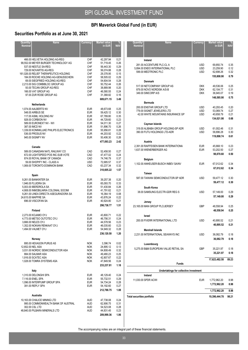## **Securities Portfolio as at June 30, 2021**

| Quantity/<br>Nominal | <b>Name</b>                              | Currency   | <b>Market value</b><br>in EUR | <b>NAV</b> |
|----------------------|------------------------------------------|------------|-------------------------------|------------|
|                      | 466.00 HELVETIA HOLDING AG-REG           | <b>CHF</b> | 42,297.94                     | 0.21       |
|                      | 99,552.00 MEYER BURGER TECHNOLOGY AG     | CHF        | 51.719.45                     | 0.26       |
|                      | 537.00 NESTLE SA-REG                     | CHF        | 56,443.30                     | 0.29       |
|                      | 729.00 NOVARTIS AG-REG                   | CHF        | 56,074.88                     | 0.28       |
|                      | 161,026.00 RELIEF THERAPEUTICS HOLDING   | <b>CHF</b> | 29,378.95                     | 0.15       |
|                      | 184.00 ROCHE HOLDING AG-GENUSSCHEIN      | <b>CHF</b> | 58,505.02                     | 0.29       |
|                      | 69.00 SIEGFRIED HOLDING AG-REG           | CHF        | 54,604.54                     | 0.28       |
|                      | 2,213.00 SIG COMBIBLOC GROUP AG          | CHF        | 50,752.44                     | 0.26       |
|                      | 93.00 TECAN GROUP AG-REG                 | <b>CHF</b> | 38,889.98                     | 0.20       |
|                      | 166.00 VAT GROUP AG                      | CHF        | 46,580.55                     | 0.24       |
|                      | 97.00 ZUR ROSE GROUP AG                  |            | 31.368.82                     |            |
|                      |                                          | <b>CHF</b> |                               | 0.16       |
|                      |                                          |            | 689,671.15                    | 3.49       |
|                      | Netherlands                              |            |                               |            |
|                      | 1,074.00 AALBERTS NV                     | <b>EUR</b> | 48,673.68                     | 0.25       |
|                      | 548.00 AIRBUS SE                         | <b>EUR</b> | 59,425.12                     | 0.30       |
|                      | 117.00 ASML HOLDING NV                   | <b>EUR</b> | 67,789.80                     | 0.35       |
|                      | 928.00 CORBION NV                        | <b>EUR</b> | 44,729.60                     | 0.23       |
|                      | 589.00 EURONEXT NV - W/I                 | <b>EUR</b> | 54,011.30                     | 0.27       |
|                      | 387.00 IMCD NV                           | <b>EUR</b> | 51,896.70                     | 0.26       |
|                      | 1,339.00 KONINKLIJKE PHILIPS ELECTRONICS | <b>EUR</b> | 55,956.81                     | 0.28       |
|                      | 536.00 PROSUS NV                         | <b>EUR</b> | 44,203.92                     | 0.22       |
|                      | 945.00 SIGNIFY NV                        | <b>EUR</b> | 50,406.30                     | 0.26       |
|                      |                                          |            |                               |            |
|                      |                                          |            | 477,093.23                    | 2.42       |
|                      | Canada                                   |            |                               |            |
|                      | 589.00 CANADIAN NATL RAILWAY CO          | CAD        | 52,458.50                     | 0.27       |
|                      | 672.00 LIGHTSPEED POS INC-SUB VOTE       | CAD        | 47,477.02                     | 0.24       |
|                      | 874.00 ROYAL BANK OF CANADA              | CAD        | 74,746.79                     | 0.37       |
|                      | 59.00 SHOPIFY INC - CLASS A              | <b>USD</b> | 72,685.57                     | 0.37       |
|                      | 1,069.00 TORONTO-DOMINION BANK           | CAD        | 63,237.34                     | 0.32       |
|                      |                                          |            | 310,605.22                    | 1.57       |
|                      | Spain                                    |            |                               |            |
|                      | 9,261.00 BANKINTER SA                    | <b>EUR</b> | 39,257.38                     | 0.20       |
|                      |                                          |            |                               |            |
|                      | 1,946.00 FLUIDRA SA                      | <b>EUR</b> | 65,093.70                     | 0.33       |
|                      | 5,003.00 IBERDROLA SA                    | <b>EUR</b> | 51,430.84                     | 0.26       |
|                      | 4,908.00 INMOBILIARIA COLONIAL SOCIMI    | <b>EUR</b> | 41,791.62                     | 0.21       |
|                      | 9,261.00 LINEA DIRECTA ASEGURADORA SA    | <b>EUR</b> | 16,364.19                     | 0.08       |
|                      | 24,615.00 MAPFRE SA                      | <b>EUR</b> | 43,876.24                     | 0.22       |
|                      | 696.00 VISCOFAN SA                       | <b>EUR</b> | 40,924.80                     | 0.21       |
|                      |                                          |            | 298,738.77                    | 1.51       |
|                      | Finland                                  |            |                               |            |
|                      | 2.273.00 KOJAMO OYJ                      | <b>EUR</b> | 43,800.71                     | 0.22       |
|                      | 4,773.00 METSO OUTOTEC OYJ               | <b>EUR</b> | 46.756.31                     | 0.24       |
|                      | 3,666.00 NELES OYJ                       | <b>EUR</b> | 44,578.56                     | 0.23       |
|                      | 1.352.00 NOKIAN RENKAAT OYJ              | <b>EUR</b> | 46,035.60                     | 0.23       |
|                      | 1,494.00 VALMET OYJ                      | EUR        | 54,949.32                     | 0.28       |
|                      |                                          |            | 236,120.50                    |            |
|                      |                                          |            |                               | 1.20       |
|                      | Norway                                   |            |                               |            |
|                      | 895.00 HEXAGON PURUS AS                  | <b>NOK</b> | 3,396.74                      | 0.02       |
| 12,652.00 NEL ASA    |                                          | <b>NOK</b> | 24,895.12                     | 0.13       |
|                      | 3,031.00 NORDIC SEMICONDUCTOR ASA        | <b>NOK</b> | 64,808.49                     | 0.32       |
|                      | 884.00 SALMAR ASA                        | <b>NOK</b> | 49,480.23                     | 0.25       |
|                      | 1,916.00 SCATEC ASA                      | <b>NOK</b> | 42,807.67                     | 0.22       |
|                      | 1,028.00 TOMRA SYSTEMS ASA               | <b>NOK</b> | 47,849.56                     | 0.24       |
|                      |                                          |            | 233,237.81                    | 1.18       |
|                      | Italy                                    |            |                               |            |
|                      | 1,310.00 DELONGHI SPA                    | <b>EUR</b> | 48,129.40                     | 0.24       |
|                      | 7,116.00 ENEL SPA                        | <b>EUR</b> | 55,732.51                     | 0.29       |
|                      | 1,096.00 INTERPUMP GROUP SPA             | <b>EUR</b> | 54,734.24                     | 0.28       |
|                      |                                          |            |                               |            |
|                      | 391.00 REPLY SPA                         | <b>EUR</b> | 54,192.60                     | 0.27       |
|                      |                                          |            | 212,788.75                    | 1.08       |
|                      | Australia                                |            |                               |            |
|                      | 10,163.00 CHALICE MINING LTD             | AUD        | 47,738.08                     | 0.24       |
|                      | 995.00 COMMONWEALTH BANK OF AUSTRAL      | AUD        | 62,906.75                     | 0.31       |
|                      | 302.00 CSL LTD                           | AUD        | 54,523.08                     | 0.28       |
|                      | 48,840.00 PILBARA MINERALS LTD           | AUD        | 44,831.45                     | 0.23       |
|                      |                                          |            |                               |            |
|                      |                                          |            | 209,999.36                    | 1.06       |

| Quantity/<br>Nominal | Name                                            | Currency                 | <b>Market value</b><br>in EUR | <b>NAV</b>   |
|----------------------|-------------------------------------------------|--------------------------|-------------------------------|--------------|
|                      | Ireland                                         |                          |                               |              |
|                      | 281.00 ACCENTURE PLC-CL A                       | <b>USD</b>               | 69,850.74                     | 0.35         |
|                      | 5,894.00 ENDO INTERNATIONAL PLC                 | <b>USD</b>               | 23,259.90                     | 0.12         |
|                      | 599.00 MEDTRONIC PLC                            | <b>USD</b>               | 62,698.26                     | 0.32         |
|                      |                                                 |                          | 155,808.90                    | 0.79         |
|                      | <b>Denmark</b>                                  |                          |                               |              |
|                      | 517.00 NETCOMPANY GROUP AS                      | <b>DKK</b>               | 49,536.06                     | 0.25         |
|                      | 879.00 NOVO NORDISK A/S-B<br>349.00 SIMCORP A/S | <b>DKK</b><br><b>DKK</b> | 62.104.77<br>36,945.07        | 0.31<br>0.19 |
|                      |                                                 |                          | 148,585.90                    | 0.75         |
|                      | <b>Bermuda</b>                                  |                          |                               |              |
|                      | 200.00 ENSTAR GROUP LTD                         | <b>USD</b>               | 40,293.45                     | 0.20         |
|                      | 779.00 SIGNET JEWELERS LTD                      | <b>USD</b>               | 53,069.74                     | 0.27         |
|                      | 42.00 WHITE MOUNTAINS INSURANCE GP              | <b>USD</b>               | 40,658.79                     | 0.21         |
|                      |                                                 |                          | 134,021.98                    | 0.68         |
|                      | Cayman Islands                                  |                          |                               |              |
|                      | 319.00 ALIBABA GROUP HOLDING-SP ADR             | <b>USD</b>               | 61,002.46                     | 0.31         |
|                      | 390.00 FUTU HOLDINGS LTD-ADR                    | <b>USD</b>               | 58,896.28                     | 0.30         |
|                      |                                                 |                          | 119,898.74                    | 0.61         |
|                      | Austria                                         |                          |                               |              |
|                      | 2,391.00 RAIFFEISEN BANK INTERNATIONA           | <b>EUR</b>               | 45,668.10                     | 0.23         |
|                      | 1,637.00 WIENERBERGER AG                        | <b>EUR</b>               | 53,202.50                     | 0.27         |
|                      |                                                 |                          | 98,870.60                     | 0.50         |
|                      | Belgium                                         |                          |                               |              |
|                      | 1,102.00 ANHEUSER-BUSCH INBEV SA/NV             | <b>EUR</b>               | 67,012.62                     | 0.34         |
|                      |                                                 |                          | 67,012.62                     | 0.34         |
|                      | Taiwan                                          |                          |                               |              |
|                      | 587.00 TAIWAN SEMICONDUCTOR-SP ADR              | <b>USD</b>               | 59,477.12                     | 0.30         |
|                      |                                                 |                          | 59,477.12                     | 0.30         |
|                      | South Korea                                     |                          |                               |              |
|                      | 38.00 SAMSUNG ELECTR-GDR REG S                  | <b>USD</b>               | 57,149.00                     | 0.29         |
|                      |                                                 |                          | 57,149.00                     | 0.29         |
|                      | Jersey                                          |                          |                               |              |
|                      | 23,165.00 MAN GROUP PLC/JERSEY                  | <b>GBP</b>               | 48,558.94                     | 0.25         |
|                      |                                                 |                          | 48,558.94                     | 0.25         |
|                      | Israel                                          |                          |                               |              |
|                      | 200.00 FIVERR INTERNATIONAL LTD                 | <b>USD</b>               | 40,895.52                     | 0.21         |
|                      |                                                 |                          | 40,895.52                     | 0.21         |
|                      | <b>Marshall Islands</b>                         |                          |                               |              |
|                      | 2.231.00 INTERNATIONAL SEAWAYS INC              | <b>USD</b>               | 36,082.79                     | 0.18         |
|                      |                                                 |                          | 36,082.79                     | 0.18         |
|                      | Luxembourg                                      |                          |                               |              |
|                      | 5,275.00 B&M EUROPEAN VALUE RETAIL SA           | <b>GBP</b>               | 35,221.97                     | 0.18         |
|                      |                                                 |                          | 35,221.97                     | 0.18         |
|                      |                                                 |                          | 17,623,482.58                 | 89.23        |
|                      | <b>Funds</b>                                    |                          |                               |              |
|                      |                                                 |                          |                               |              |
|                      | Undertakings for collective investment          |                          |                               |              |
|                      | Ireland<br>11.030.00 SPDR ACWL                  |                          | FUR 1772 962 20               | 8.98         |
|                      |                                                 |                          |                               |              |

11,030.00 SPDR ACWI EUR 1,772,962.20 8.98 **1,772,962.20 8.98 1,772,962.20 8.98 Total securities portfolio 19,396,444.78 98.21**

The accompanying notes are an integral part of these financial statements.

 $\overline{\phantom{a}}$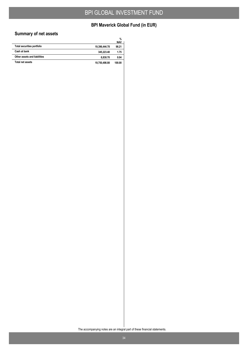## **BPI Maverick Global Fund (in EUR)**

## **Summary of net assets**

|                                   |               | %<br><b>NAV</b> |
|-----------------------------------|---------------|-----------------|
| <b>Total securities portfolio</b> | 19,396,444.78 | 98.21           |
| Cash at bank                      | 345.223.40    | 1.75            |
| Other assets and liabilities      | 8,830.70      | 0.04            |
| <b>Total net assets</b>           | 19,750,498.88 | 100.00          |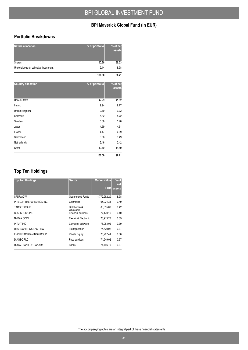#### **Portfolio Breakdowns**

| <b>Nature allocation</b>               | % of portfolio | % of net<br>assets |
|----------------------------------------|----------------|--------------------|
| Shares                                 | 90.86          | 89.23              |
| Undertakings for collective investment | 9.14           | 8.98               |
|                                        | 100.00         | 98.21              |
| <b>Country allocation</b>              | % of portfolio | % of net<br>assets |
| <b>United States</b>                   | 42.29          | 41.52              |
| Ireland                                | 9.94           | 9.77               |
| United Kingdom                         | 9.19           | 9.02               |
| Germany                                | 5.82           | 5.72               |
| Sweden                                 | 5.58           | 5.48               |
| Japan                                  | 4.59           | 4.51               |
| France                                 | 4.47           | 4.39               |
| Switzerland                            | 3.56           | 3.49               |
| Netherlands                            | 2.46           | 2.42               |
| Other                                  | 12.10          | 11.89              |
|                                        | 100.00         | 98.21              |

## **Top Ten Holdings**

| <b>Top Ten Holdings</b>          | <b>Sector</b>               | <b>Market value</b><br>EUR | $%$ of<br>net<br>assets |
|----------------------------------|-----------------------------|----------------------------|-------------------------|
| <b>SPDR ACWI</b>                 | Open-ended Funds            | 1,772,962.20               | 8.98                    |
| <b>INTELLIA THERAPEUTICS INC</b> | Cosmetics                   | 95,024.34                  | 0.49                    |
| <b>TARGET CORP</b>               | Distribution &<br>Wholesale | 80,315.00                  | 0.42                    |
| <b>BLACKROCK INC</b>             | <b>Financial services</b>   | 77.470.15                  | 0.40                    |
| NVIDIA CORP                      | Electric & Electronic       | 76.913.23                  | 0.39                    |
| <b>INTUIT INC</b>                | Computer software           | 76.053.02                  | 0.39                    |
| DEUTSCHE POST AG-REG             | Transportation              | 75,829.92                  | 0.37                    |
| EVOLUTION GAMING GROUP           | <b>Private Equity</b>       | 75,207.41                  | 0.38                    |
| DIAGEO PLC                       | Food services               | 74.949.02                  | 0.37                    |
| ROYAL BANK OF CANADA             | <b>Banks</b>                | 74.746.79                  | 0.37                    |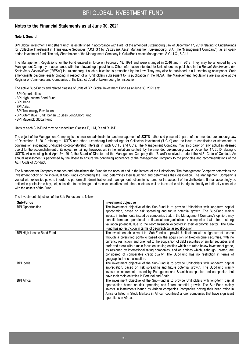#### **Notes to the Financial Statements as at June 30, 2021**

#### **Note 1. General**

BPI Global Investment Fund (the "Fund") is established in accordance with Part I of the amended Luxembourg Law of December 17, 2010 relating to Undertakings for Collective Investment in Transferable Securities ("UCITS") by CaixaBank Asset Management Luxembourg, S.A. (the "Management Company"), as an openended investment fund. The only Shareholder of the Management Company is CaixaBank Asset Management S.G.I.I.C., S.A.U.

The Management Regulations for the Fund entered in force on February 18, 1994 and were changed in 2016 and in 2018. They may be amended by the Management Company in accordance with the relevant legal provisions. Other information intended for Unitholders are published in the *Recueil Electronique des Sociétés et Associations* ("RESA") in Luxembourg, if such publication is prescribed by the Law. They may also be published in a Luxembourg newspaper. Such amendments become legally binding in respect of all Unitholders subsequent to its publication in the RESA. The Management Regulations are available at the Register of Commerce and Companies of the District Court of Luxembourg for inspection.

The active Sub-Funds and related classes of Units of BPI Global Investment Fund as at June 30, 2021 are:

- BPI Opportunities
- BPI High Income Bond Fund
- BPI Iberia
- BPI Africa
- BPI Technology Revolution
- BPI Alternative Fund: Iberian Equities Long/Short Fund
- BPI Maverick Global Fund

Units of each Sub-Fund may be divided into Classes E, I, M, R and R USD.

The object of the Management Company is the creation, administration and management of UCITS authorised pursuant to part I of the amended Luxembourg Law of December 17, 2010 relating to UCITS and other Luxembourg Undertakings for Collective Investment ("UCIs") and the issue of certificates or statements of confirmation evidencing undivided co-proprietorship interests in such UCITS and UCIs. The Management Company may also carry on any activities deemed useful for the accomplishment of its object, remaining, however, within the limitations set forth by the amended Luxembourg Law of December 17, 2010 relating to UCITS. At a meeting held April 2<sup>nd</sup>, 2019, the Board of Directors of the Management Company (the "Board") resolved to adopt the ALFI Code of Conduct. An annual assessment is performed by the Board to ensure the continuing adherence of the Management Company to the principles and recommendations of the ALFI Code of Conduct.

The Management Company manages and administers the Fund for the account and in the interest of the Unitholders. The Management Company determines the investment policy of the individual Sub-Funds constituting the Fund determines their launching and determines their dissolution. The Management Company is vested with extensive powers in order to perform all administrative and management actions in its name for the account of the Unitholders. It shall accordingly be entitled in particular to buy, sell, subscribe to, exchange and receive securities and other assets as well as to exercise all the rights directly or indirectly connected with the assets of the Fund.

| Sub-Funds                 | Investment objective                                                                                                                                                                                                                                                                                                                                                                                                                                                                                                                                                                                                          |
|---------------------------|-------------------------------------------------------------------------------------------------------------------------------------------------------------------------------------------------------------------------------------------------------------------------------------------------------------------------------------------------------------------------------------------------------------------------------------------------------------------------------------------------------------------------------------------------------------------------------------------------------------------------------|
| <b>BPI Opportunities</b>  | The investment objective of the Sub-Fund is to provide Unitholders with long-term capital<br>appreciation, based on risk spreading and future potential growth. The Sub-Fund mainly<br>invests in instruments issued by companies that, in the Management Company's opinion, may<br>benefit from an operational or financial reorganisation or companies that offer a strong<br>valuation potential, due to the reorganisation expected in their economic sector. The Sub-<br>Fund has no restriction in terms of geographical asset allocation.                                                                              |
| BPI High Income Bond Fund | The investment objective of the Sub-Fund is to provide Unitholders with a high current income<br>through a diversified portfolio based on the acquisition of fixed-income securities, with no<br>currency restriction, and oriented to the acquisition of debt securities or similar securities and<br>preferred stock with a main focus on issuing entities which are rated below investment grade.<br>as assigned by international rating companies, and on entities which, although unrated, are<br>considered of comparable credit quality. The Sub-Fund has no restriction in terms of<br>geographical asset allocation. |
| <b>BPI</b> Iberia         | The investment objective of the Sub-Fund is to provide Unitholders with long-term capital<br>appreciation, based on risk spreading and future potential growth. The Sub-Fund mainly<br>invests in instruments issued by Portuguese and Spanish companies and companies that<br>have their main activities in Portugal and Spain.                                                                                                                                                                                                                                                                                              |
| <b>BPI Africa</b>         | The investment objective of the Sub-Fund is to provide Unitholders with long-term capital<br>appreciation based on risk spreading and future potential growth. The Sub-Fund mainly<br>invests in instruments issued by African companies (companies having their head office in<br>Africa or listed in Stock Markets in African countries) and/or companies that have significant<br>operations in Africa.                                                                                                                                                                                                                    |

The investment objectives of the Sub-Funds are as follows: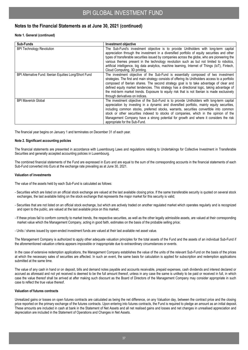#### **Notes to the Financial Statements as at June 30, 2021 (continued)**

#### **Note 1. General (continued)**

| Sub-Funds                                              | Investment objective                                                                                                                                                                                                                                                                                                                                                                                                                                                                                                     |
|--------------------------------------------------------|--------------------------------------------------------------------------------------------------------------------------------------------------------------------------------------------------------------------------------------------------------------------------------------------------------------------------------------------------------------------------------------------------------------------------------------------------------------------------------------------------------------------------|
| <b>BPI Technology Revolution</b>                       | The Sub-Fund's investment objective is to provide Unitholders with long-term capital<br>appreciation through the investment in a diversified portfolio of equity securities and other<br>types of transferable securities issued by companies across the globe, who are pioneering the<br>various themes present in the technology revolution such as but not limited to robotics,<br>artificial intelligence, big data analytics, machine learning, Internet of Things (IoT), Fintech,<br>Cloud Computing, 3D printing. |
| BPI Alternative Fund: Iberian Equities Long/Short Fund | The investment objective of the Sub-Fund is essentially composed of two investment<br>strategies. The first and main strategy consists of offering its Unitholders access to a portfolio<br>composed of Iberian shares. The second strategy goal is to take advantage of clear and<br>defined equity market tendencies. This strategy has a directional logic, taking advantage of<br>the mid-term market trends. Exposure to equity risk that is not Iberian is made exclusively<br>through derivatives on indices.     |
| <b>BPI Maverick Global</b>                             | The investment objective of the Sub-Fund is to provide Unitholders with long-term capital<br>appreciation by investing in a dynamic and diversified portfolio, mainly equity securities,<br>including common stocks, preferred stocks, warrants, securities convertible into common<br>stock or other securities indexed to stocks of companies, which in the opinion of the<br>Management Company have a strong potential for growth and where it considers the risk<br>appropriate for the Sub-Fund.                   |

The financial year begins on January 1 and terminates on December 31 of each year.

#### **Note 2. Significant accounting policies**

The financial statements are presented in accordance with Luxembourg Laws and regulations relating to Undertakings for Collective Investment in Transferable Securities and generally accepted accounting policies in Luxembourg.

The combined financial statements of the Fund are expressed in Euro and are equal to the sum of the corresponding accounts in the financial statements of each Sub-Fund converted into Euro at the exchange rate prevailing as at June 30, 2021.

#### **Valuation of investments**

The value of the assets held by each Sub-Fund is calculated as follows:

- Securities which are listed on an official stock exchange are valued at the last available closing price. If the same transferable security is quoted on several stock exchanges, the last available listing on the stock exchange that represents the major market for this security is valid;
- Securities that are not listed on an official stock exchange, but which are actively traded on another regulated market which operates regularly and is recognized and open to the public, are valued at the last available price on this market;
- If these prices fail to conform correctly to market trends, the respective securities, as well as the other legally admissible assets, are valued at their corresponding market value which the Management Company, acting in good faith, estimates on the basis of the probable selling price;
- Units / shares issued by open-ended investment funds are valued at their last available net asset value.

The Management Company is authorized to apply other adequate valuation principles for the total assets of the Fund and the assets of an individual Sub-Fund if the aforementioned valuation criteria appears impossible or inappropriate due to extraordinary circumstances or events.

In the case of extensive redemption applications, the Management Company establishes the value of the units of the relevant Sub-Fund on the basis of the prices at which the necessary sales of securities are affected. In such an event, the same basis for calculation is applied for subscription and redemption applications submitted at the same time.

The value of any cash in hand or on deposit, bills and demand notes payable and accounts receivable, prepaid expenses, cash dividends and interest declared or accrued as aforesaid and not yet received is deemed to be the full amount thereof, unless in any case the same is unlikely to be paid or received in full, in which case the value thereof shall be arrived at after making such discount as the Board of Directors of the Management Company may consider appropriate in such case to reflect the true value thereof.

#### **Valuation of futures contracts**

Unrealized gains or losses on open futures contracts are calculated as being the net difference, on any Valuation day, between the contract price and the closing price reported on the primary exchange of the futures contracts. Upon entering into futures contracts, the Fund is required to pledge an amount as an initial deposit. These amounts are included in cash at bank in the Statement of Net Assets and all net realised gains and losses and net changes in unrealised appreciation and depreciation are included in the Statement of Operations and Changes in Net Assets.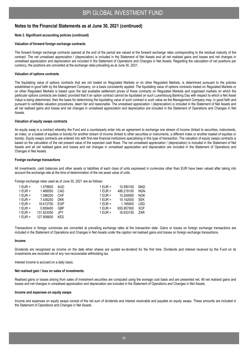#### **Notes to the Financial Statements as at June 30, 2021 (continued)**

#### **Note 2. Significant accounting policies (continued)**

#### **Valuation of forward foreign exchange contracts**

The forward foreign exchange contracts opened at the end of the period are valued at the forward exchange rates corresponding to the residual maturity of the contract. The net unrealised appreciation / (depreciation) is included in the Statement of Net Assets and all net realised gains and losses and net changes in unrealised appreciation and depreciation are included in the Statement of Operations and Changes in Net Assets. Regarding the calculation of net positions per currency, the positions are converted at the exchange rates prevailing as at June 30, 2021.

#### **Valuation of options contracts**

The liquidating value of options contracts that are not traded on Regulated Markets or on other Regulated Markets, is determined pursuant to the policies established in good faith by the Management Company, on a basis consistently applied. The liquidating value of options contracts traded on Regulated Markets or on other Regulated Markets is based upon the last available settlement prices of these contracts on Regulated Markets and organised markets on which the particular options contracts are traded; provided that if an option contract cannot be liquidated on such Luxembourg Banking Day with respect to which a Net Asset Value is being determined, then the basis for determining the liquidating value of such contract is such value as the Management Company may, in good faith and pursuant to verifiable valuation procedures, deem fair and reasonable. The unrealised appreciation / (depreciation) is included in the Statement of Net Assets and all net realised gains and losses and net changes in unrealised appreciation and depreciation are included in the Statement of Operations and Changes in Net Assets.

#### **Valuation of equity swaps contracts**

An equity swap is a contract whereby the Fund and a counterparty enter into an agreement to exchange one stream of income (linked to securities, instruments, an index, or a basket of equities or bonds) for another stream of income (linked to other securities or instruments, a different index or another basket of equities or bonds). Equity swaps contracts are entered into with first-rate financial institutions specialising in this type of transaction. The valuation of equity swaps contracts is based on the calculation of the net present value of the expected cash flows. The net unrealised appreciation / (depreciation) is included in the Statement of Net Assets and all net realised gains and losses and net changes in unrealised appreciation and depreciation are included in the Statement of Operations and Changes in Net Assets.

#### **Foreign exchange transactions**

All investments, cash balances and other assets or liabilities of each class of units expressed in currencies other than EUR have been valued after taking into account the exchange rate at the time of determination of the net asset value of units.

Foreign exchange rates used as of June 30, 2021 are as follows:

| 1 EUR = | 1.579650   | AUD.       | 1 FUR $=$ | 10.590100  | MAD        |
|---------|------------|------------|-----------|------------|------------|
| 1 EUR = | 1.468500   | CAD.       | 1 EUR =   | 486.219100 | <b>NGN</b> |
| 1 EUR = | 1.096200   | <b>CHF</b> | $1$ EUR = | 10.204900  | <b>NOK</b> |
| 1 EUR = | 7.436250   | <b>DKK</b> | 1 EUR =   | 10.142000  | <b>SEK</b> |
| 1 EUR = | 18.612700  | FGP        | 1 EUR =   | 1.185900   | USD        |
| 1 EUR = | 0.858450   | <b>GBP</b> | 1 EUR =   | 655.957000 | <b>XOF</b> |
| 1 EUR = | 131.623050 | .IPY       | 1 EUR =   | 16.933150  | 7AR        |
| 1 EUR = | 127.958600 | KES        |           |            |            |

Transactions in foreign currencies are converted at prevailing exchange rates at the transaction date. Gains or losses on foreign exchange transactions are included in the Statement of Operations and Changes in Net Assets under the caption net realised gains and losses on foreign exchange transactions.

#### **Income**

Dividends are recognised as income on the date when shares are quoted ex-dividend for the first time. Dividends and interest received by the Fund on its investments are recorded net of any non-recoverable withholding tax.

Interest income is accrued on a daily basis.

#### **Net realised gain / loss on sales of investments**

Realised gains or losses arising from sales of investment securities are computed using the average cost basis and are presented net. All net realised gains and losses and net changes in unrealised appreciation and depreciation are included in the Statement of Operations and Changes in Net Assets.

#### **Income and expenses on equity swaps**

Income and expenses on equity swaps consist of the net sum of dividends and interest receivable and payable on equity swaps. These amounts are included in the Statement of Operations and Changes in Net Assets.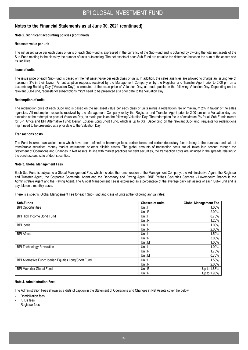#### **Notes to the Financial Statements as at June 30, 2021 (continued)**

#### **Note 2. Significant accounting policies (continued)**

#### **Net asset value per unit**

The net asset value per each class of units of each Sub-Fund is expressed in the currency of the Sub-Fund and is obtained by dividing the total net assets of the Sub-Fund relating to the class by the number of units outstanding. The net assets of each Sub-Fund are equal to the difference between the sum of the assets and its liabilities.

#### **Issue of units**

The issue price of each Sub-Fund is based on the net asset value per each class of units. In addition, the sales agencies are allowed to charge an issuing fee of maximum 3% in their favour. All subscription requests received by the Management Company or by the Registrar and Transfer Agent prior to 2.00 pm on a Luxembourg Banking Day ("Valuation Day") is executed at the issue price of Valuation Day, as made public on the following Valuation Day. Depending on the relevant Sub-Fund, requests for subscriptions might need to be presented at a prior date to the Valuation Day.

#### **Redemption of units**

The redemption price of each Sub-Fund is based on the net asset value per each class of units minus a redemption fee of maximum 2% in favour of the sales agencies. All redemption requests received by the Management Company or by the Registrar and Transfer Agent prior to 2.00 pm on a Valuation day are executed at the redemption price of Valuation Day, as made public on the following Valuation Day. The redemption fee is of maximum 2% for all Sub-Funds except for BPI Africa and BPI Alternative Fund: Iberian Equities Long/Short Fund, which is up to 3%. Depending on the relevant Sub-Fund, requests for redemptions might need to be presented at a prior date to the Valuation Day.

#### **Transactions costs**

The Fund incurred transaction costs which have been defined as brokerage fees, certain taxes and certain depositary fees relating to the purchase and sale of transferable securities, money market instruments or other eligible assets. The global amounts of transaction costs are all taken into account through the Statement of Operations and Changes in Net Assets. In line with market practices for debt securities, the transaction costs are included in the spreads relating to the purchase and sale of debt securities.

#### **Note 3. Global Management Fees**

Each Sub-Fund is subject to a Global Management Fee, which includes the remuneration of the Management Company, the Administrative Agent, the Registrar and Transfer Agent, the Corporate Secretarial Agent and the Depositary and Paying Agent. BNP Paribas Securities Services - Luxembourg Branch is the Administrative Agent and the Paying Agent. The Global Management Fee is expressed as a percentage of the average daily net assets of each Sub-Fund and is payable on a monthly basis.

There is a specific Global Management Fee for each Sub-Fund and class of units at the following annual rates:

| Sub-Funds                                              | <b>Classes of units</b> | <b>Global Management Fee</b> |
|--------------------------------------------------------|-------------------------|------------------------------|
| <b>BPI Opportunities</b>                               | Unit I                  | 1.00%                        |
|                                                        | Unit R                  | 2.00%                        |
| BPI High Income Bond Fund                              | Unit I                  | 0.75%                        |
|                                                        | Unit R                  | 1.25%                        |
| <b>BPI</b> Iberia                                      | Unit I                  | 1.00%                        |
|                                                        | Unit R                  | 2.00%                        |
| <b>BPI Africa</b>                                      | Unit I                  | 1.50%                        |
|                                                        | Unit R                  | 3.00%                        |
|                                                        | Unit M                  | 1.00%                        |
| <b>BPI Technology Revolution</b>                       | Unit I                  | 1.00%                        |
|                                                        | Unit R                  | 1.70%                        |
|                                                        | Unit M                  | 0.70%                        |
| BPI Alternative Fund: Iberian Equities Long/Short Fund | Unit I                  | 1.50%                        |
|                                                        | Unit R                  | 2.00%                        |
| <b>BPI Maverick Global Fund</b>                        | Unit E                  | Up to 1.63%                  |
|                                                        | Unit R                  | Up to 1.93%                  |

#### **Note 4. Administration Fees**

The Administration Fees shown as a distinct caption in the Statement of Operations and Changes in Net Assets cover the below:

Domiciliation fees

- KIIDs fees
- Registrar fees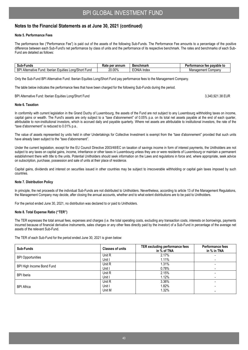#### **Notes to the Financial Statements as at June 30, 2021 (continued)**

#### **Note 5. Performance Fees**

The performance fee ("Performance Fee") is paid out of the assets of the following Sub-Funds. The Performance Fee amounts to a percentage of the positive difference between each Sub-Fund's net performance by class of units and the performance of its respective benchmark. The rates and benchmarks of each Sub-Fund are detailed as follows:

| -sub<br>`und⊾                                                                   | per annum<br>≺ate | <b>Benchmark</b>        | pavable to<br>rmance<br>tee<br><br>— u iOrm‴ |  |
|---------------------------------------------------------------------------------|-------------------|-------------------------|----------------------------------------------|--|
| ВP<br><br>Shon<br>Iberian<br>'−uno<br>Alternative<br>∟quities<br>und<br>Lona/Si | ∠0.00%            | <b>EONIA</b><br>A Index | . Company<br>:ment<br>Manageme               |  |

Only the Sub-Fund BPI Alternative Fund: Iberian Equities Long/Short Fund pay performance fees to the Management Company.

The table below indicates the performance fees that have been charged for the following Sub-Funds during the period.

BPI Alternative Fund: Iberian Equities Long/Short Fund 3,340,921.38 EUR

#### **Note 6. Taxation**

In conformity with current legislation in the Grand Duchy of Luxembourg, the assets of the Fund are not subject to any Luxembourg withholding taxes on income, capital gains or wealth. The Fund's assets are only subject to a "taxe d'abonnement" of 0.05% p.a. on its total net assets payable at the end of each quarter, attributable to non-institutional investors, which is accrued daily and payable quarterly. Where net assets are attributable to institutional investors, the rate of the "taxe d'abonnement" is reduced to 0.01% p.a..

The value of assets represented by units held in other Undertakings for Collective Investment is exempt from the "taxe d'abonnement" provided that such units have already been subject to the "taxe d'abonnement".

Under the current legislation, except for the EU Council Directive 2003/48/EC on taxation of savings income in form of interest payments, the Unitholders are not subject to any taxes on capital gains, income, inheritance or other taxes in Luxembourg unless they are or were residents of Luxembourg or maintain a permanent establishment there with title to the units. Potential Unitholders should seek information on the Laws and regulations in force and, where appropriate, seek advice on subscription, purchase, possession and sale of units at their place of residence.

Capital gains, dividends and interest on securities issued in other countries may be subject to irrecoverable withholding or capital gain taxes imposed by such countries.

#### **Note 7. Distribution Policy**

In principle, the net proceeds of the individual Sub-Funds are not distributed to Unitholders. Nevertheless, according to article 13 of the Management Regulations, the Management Company may decide, after closing the annual accounts, whether and to what extent distributions are to be paid to Unitholders.

For the period ended June 30, 2021, no distribution was declared to or paid to Unitholders.

#### **Note 8. Total Expense Ratio ("TER")**

The TER expresses the total annual fees, expenses and charges (i.e. the total operating costs, excluding any transaction costs, interests on borrowings, payments incurred because of financial derivative instruments, sales charges or any other fees directly paid by the investor) of a Sub-Fund in percentage of the average net assets of the relevant Sub-Fund.

The TER of each Sub-Fund for the period ended June 30, 2021 is given below:

| Sub-Funds                 | <b>Classes of units</b>    | TER excluding performance fees<br>in % of TNA | <b>Performance fees</b><br>in % in TNA |
|---------------------------|----------------------------|-----------------------------------------------|----------------------------------------|
| <b>BPI Opportunities</b>  | Unit R<br>Unit I           | 2.17%<br>1.11%                                |                                        |
| BPI High Income Bond Fund | Unit R<br>Unit I           | 1.31%<br>0.78%                                | $\overline{\phantom{0}}$               |
| <b>BPI</b> Iberia         | Unit R<br>Unit I           | 2.15%<br>1.12%                                | $\overline{\phantom{0}}$               |
| <b>BPI Africa</b>         | Unit R<br>Unit I<br>Unit M | 3.36%<br>1.82%<br>1.32%                       |                                        |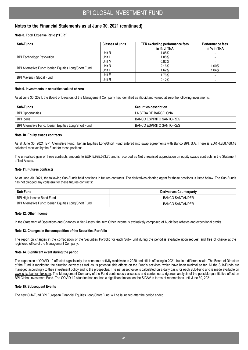#### **Notes to the Financial Statements as at June 30, 2021 (continued)**

#### **Note 8. Total Expense Ratio ("TER")**

| Sub-Funds                                              | <b>Classes of units</b> | TER excluding performance fees<br>in % of TNA | <b>Performance fees</b><br>in % in TNA |
|--------------------------------------------------------|-------------------------|-----------------------------------------------|----------------------------------------|
|                                                        | Unit R                  | .88%                                          |                                        |
| <b>BPI Technology Revolution</b>                       | Unit I                  | 1.08%                                         |                                        |
|                                                        | Unit M                  | 0.82%                                         |                                        |
| BPI Alternative Fund: Iberian Equities Long/Short Fund | Unit R                  | 2.16%                                         | 1.00%                                  |
|                                                        | Unit I                  | 1.62%                                         | 1.04%                                  |
| <b>BPI Maverick Global Fund</b>                        | Unit E                  | 1.76%                                         |                                        |
|                                                        | Unit R                  | 2.12%                                         |                                        |

#### **Note 9. Investments in securities valued at zero**

As at June 30, 2021, the Board of Directors of the Management Company has identified as illiquid and valued at zero the following investments:

| Sub-Funds                                              | <b>Securities description</b>   |
|--------------------------------------------------------|---------------------------------|
| <b>BPI Opportunities</b>                               | LA SEDA DE BARCELONA            |
| <b>BPI</b> Iberia                                      | BANCO ESPIRITO SANTO-REG        |
| BPI Alternative Fund: Iberian Equities Long/Short Fund | <b>BANCO ESPIRITO SANTO-REG</b> |

#### **Note 10. Equity swaps contracts**

As at June 30, 2021, BPI Alternative Fund: Iberian Equities Long/Short Fund entered into swap agreements with Banco BPI, S.A. There is EUR 4,268,468.18 collateral received by the Fund for these positions.

The unrealised gain of these contracts amounts to EUR 5,925,033.70 and is recorded as Net unrealised appreciation on equity swaps contracts in the Statement of Net Assets.

#### **Note 11. Futures contracts**

As at June 30, 2021, the following Sub-Funds held positions in futures contracts. The derivatives clearing agent for these positions is listed below. The Sub-Funds has not pledged any collateral for these futures contracts:

| Sub-Fund                                               | <b>Derivatives Counterparty</b> |
|--------------------------------------------------------|---------------------------------|
| BPI High Income Bond Fund                              | <b>BANCO SANTANDER</b>          |
| BPI Alternative Fund: Iberian Equities Long/Short Fund | <b>BANCO SANTANDER</b>          |

#### **Note 12. Other Income**

In the Statement of Operations and Changes in Net Assets, the item Other income is exclusively composed of Audit fees rebates and exceptional profits.

#### **Note 13. Changes in the composition of the Securities Portfolio**

The report on changes in the composition of the Securities Portfolio for each Sub-Fund during the period is available upon request and free of charge at the registered office of the Management Company.

#### **Note 14. Significant event during the period**

The expansion of COVID-19 affected significantly the economic activity worldwide in 2020 and still is affecting in 2021, but in a different scale. The Board of Directors of the Fund is monitoring the situation actively as well as its potential side effects on the Fund's activities, which have been minimal so far. All the Sub-Funds are managed accordingly to their investment policy and to the prospectus. The net asset value is calculated on a daily basis for each Sub-Fund and is made available on www.caixabankamlux.com. The Management Company of the Fund continuously assesses and carries out a rigorous analysis of the possible quantitative effect on BPI Global Investment Fund. The COVID-19 situation has not had a significant impact on the SICAV in terms of redemptions until June 30, 2021.

#### **Note 15. Subsequent Events**

The new Sub-Fund BPI European Financial Equities Long/Short Fund will be launched after the period ended.